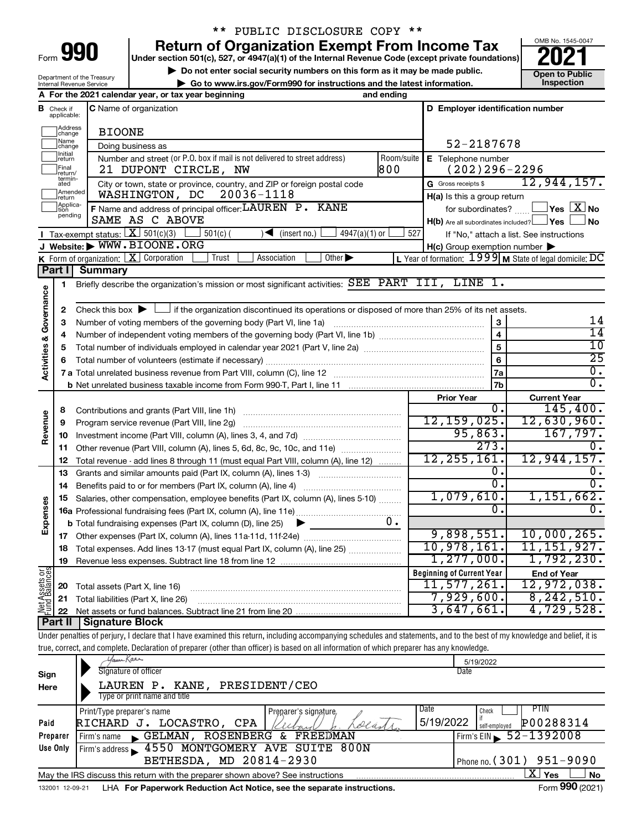| <b>Form</b> |  |  |
|-------------|--|--|
|             |  |  |

Department of the Treasury

# \*\* PUBLIC DISCLOSURE COPY \*\*

**Under section 501(c), 527, or 4947(a)(1) of the Internal Revenue Code (except private foundations) Return of Organization Exempt From Income Tax** 

**b** Do not enter social security numbers on this form as it may be made public.<br> **Go to www.irs.gov/Form990 for instructions and the latest information. This impection | Go to www.irs.gov/Form990 for instructions and the latest information. Inspection**



3,647,661. 4,729,528.

|                                      |                                  | Internal Revenue Service                               |                                                                    | $\blacktriangleright$ Go to www.irs.gov/Form990 for instructions and the latest information.                                              |                 |                                                     | <b>Inspection</b>                                         |
|--------------------------------------|----------------------------------|--------------------------------------------------------|--------------------------------------------------------------------|-------------------------------------------------------------------------------------------------------------------------------------------|-----------------|-----------------------------------------------------|-----------------------------------------------------------|
|                                      |                                  |                                                        | A For the 2021 calendar year, or tax year beginning                |                                                                                                                                           | and ending      |                                                     |                                                           |
|                                      | <b>B</b> Check if<br>applicable: |                                                        | <b>C</b> Name of organization                                      |                                                                                                                                           |                 | D Employer identification number                    |                                                           |
|                                      | Address<br> change               | <b>BIOONE</b>                                          |                                                                    |                                                                                                                                           |                 |                                                     |                                                           |
|                                      | Name<br>change                   |                                                        | Doing business as                                                  |                                                                                                                                           |                 | 52-2187678                                          |                                                           |
|                                      | Initial<br>return                |                                                        |                                                                    | Number and street (or P.O. box if mail is not delivered to street address)                                                                | Room/suite      | E Telephone number                                  |                                                           |
|                                      | Final<br>return/                 |                                                        | 21 DUPONT CIRCLE, NW                                               |                                                                                                                                           | 800             | $(202)296 - 2296$                                   |                                                           |
|                                      | termin-<br>ated                  |                                                        |                                                                    | City or town, state or province, country, and ZIP or foreign postal code                                                                  |                 | G Gross receipts \$                                 | 12,944,157.                                               |
|                                      | Amended<br>return                |                                                        | WASHINGTON, DC                                                     | 20036-1118                                                                                                                                |                 | $H(a)$ is this a group return                       |                                                           |
|                                      | Applica-<br>tion<br>pending      |                                                        |                                                                    | F Name and address of principal officer: LAUREN P. KANE                                                                                   |                 | for subordinates?                                   | $\,$ Yes $\,$ $\rm X$ No $\,$                             |
|                                      |                                  |                                                        | SAME AS C ABOVE                                                    |                                                                                                                                           |                 | $H(b)$ Are all subordinates included? $\Box$ Yes    | J No                                                      |
|                                      |                                  | <b>I</b> Tax-exempt status: $X \overline{X}$ 501(c)(3) | $501(c)$ (                                                         | $\sqrt{\frac{1}{1}}$ (insert no.)                                                                                                         | $4947(a)(1)$ or | 527                                                 | If "No," attach a list. See instructions                  |
|                                      |                                  |                                                        | J Website: WWW.BIOONE.ORG                                          |                                                                                                                                           |                 | $H(c)$ Group exemption number $\blacktriangleright$ |                                                           |
|                                      |                                  |                                                        | K Form of organization: $X$ Corporation<br>Trust                   | Other $\blacktriangleright$<br>Association                                                                                                |                 |                                                     | L Year of formation: $1999$ M State of legal domicile: DC |
|                                      | Part I                           | <b>Summary</b>                                         |                                                                    |                                                                                                                                           |                 |                                                     |                                                           |
|                                      | 1                                |                                                        |                                                                    | Briefly describe the organization's mission or most significant activities: SEE PART III, LINE 1.                                         |                 |                                                     |                                                           |
| Governance                           |                                  |                                                        |                                                                    |                                                                                                                                           |                 |                                                     |                                                           |
|                                      | $\mathbf{2}$                     |                                                        |                                                                    | Check this box $\blacktriangleright \Box$ if the organization discontinued its operations or disposed of more than 25% of its net assets. |                 |                                                     | 14                                                        |
|                                      | 3                                |                                                        | Number of voting members of the governing body (Part VI, line 1a)  | 3<br>$\overline{\mathbf{4}}$                                                                                                              | $\overline{14}$ |                                                     |                                                           |
|                                      | 4<br>5                           |                                                        |                                                                    | 5                                                                                                                                         | 10              |                                                     |                                                           |
| <b>Activities &amp;</b>              | 6                                |                                                        |                                                                    |                                                                                                                                           |                 | $\overline{6}$                                      | $\overline{25}$                                           |
|                                      |                                  |                                                        |                                                                    |                                                                                                                                           |                 | <b>7a</b>                                           | $\overline{0}$ .                                          |
|                                      |                                  |                                                        |                                                                    |                                                                                                                                           |                 | 7 <sub>b</sub>                                      | $\overline{0}$ .                                          |
|                                      |                                  |                                                        |                                                                    |                                                                                                                                           |                 | <b>Prior Year</b>                                   | <b>Current Year</b>                                       |
|                                      | 8                                |                                                        |                                                                    |                                                                                                                                           |                 | 0.                                                  | 145,400.                                                  |
|                                      | 9                                |                                                        | Program service revenue (Part VIII, line 2g)                       |                                                                                                                                           |                 | 12, 159, 025.                                       | 12,630,960.                                               |
| Revenue                              | 10                               |                                                        |                                                                    |                                                                                                                                           |                 | 95,863.                                             | 167,797.                                                  |
|                                      | 11                               |                                                        |                                                                    | Other revenue (Part VIII, column (A), lines 5, 6d, 8c, 9c, 10c, and 11e)                                                                  |                 | $\overline{273}$ .                                  | 0.                                                        |
|                                      | 12                               |                                                        |                                                                    | Total revenue - add lines 8 through 11 (must equal Part VIII, column (A), line 12)                                                        |                 | 12, 255, 161.                                       | 12,944,157.                                               |
|                                      | 13                               |                                                        |                                                                    | Grants and similar amounts paid (Part IX, column (A), lines 1-3)                                                                          |                 | $\overline{0}$ .                                    | 0.                                                        |
|                                      | 14                               |                                                        |                                                                    |                                                                                                                                           |                 | $\overline{0}$ .                                    | 0.                                                        |
|                                      | 15                               |                                                        |                                                                    | Salaries, other compensation, employee benefits (Part IX, column (A), lines 5-10)                                                         |                 | 1,079,610.                                          | 1,151,662.                                                |
| Expenses                             |                                  |                                                        |                                                                    |                                                                                                                                           |                 | Ω.                                                  | 0.                                                        |
|                                      |                                  |                                                        | <b>b</b> Total fundraising expenses (Part IX, column (D), line 25) | ▶                                                                                                                                         | 0.              |                                                     |                                                           |
|                                      | 17                               |                                                        |                                                                    |                                                                                                                                           |                 | 9,898,551.                                          | 10,000,265.                                               |
|                                      | 18                               |                                                        |                                                                    | Total expenses. Add lines 13-17 (must equal Part IX, column (A), line 25)                                                                 |                 | 10,978,161.                                         | 11, 151, 927.                                             |
|                                      | 19                               |                                                        |                                                                    |                                                                                                                                           |                 | 1, 277, 000.                                        | 1,792,230.                                                |
| <b>Vet Assets or</b><br>und Balances |                                  |                                                        |                                                                    |                                                                                                                                           |                 | <b>Beginning of Current Year</b>                    | <b>End of Year</b>                                        |
|                                      |                                  |                                                        | <b>20</b> Total assets (Part X, line 16)                           |                                                                                                                                           |                 | 11,577,261.                                         | 12,972,038.                                               |
|                                      |                                  |                                                        | 21 Total liabilities (Part X, line 26)                             |                                                                                                                                           |                 | 7,929,600.                                          | 8, 242, 510.                                              |
|                                      |                                  |                                                        | 00. Net consta ou fund belowned. Qubbungt line 01 funny line 00.   |                                                                                                                                           |                 | 3.617.661                                           | $1.729$ 528                                               |

Under penalties of perjury, I declare that I have examined this return, including accompanying schedules and statements, and to the best of my knowledge and belief, it is true, correct, and complete. Declaration of preparer (other than officer) is based on all information of which preparer has any knowledge.

**22** Net assets or fund balances. Subtract line 21 from line 20

**Part II Signature Block**

|                 | Yam-Kar                                                                         | 5/19/2022                               |
|-----------------|---------------------------------------------------------------------------------|-----------------------------------------|
| Sign            | Signature of officer                                                            | Date                                    |
| Here            | PRESIDENT/CEO<br>LAUREN P. KANE,                                                |                                         |
|                 | Type or print name and title                                                    |                                         |
|                 | Print/Type preparer's name<br>Preparer's signature,                             | Date<br>PTIN<br>Check                   |
| Paid            | LOCASTRO,<br>CPA<br>RICHARD J.<br>las                                           | 5/19/2022<br>P00288314<br>self-employed |
| Preparer        | ROSENBERG<br>FREEDMAN<br>GELMAN,<br>&.<br>Firm's name<br>$\blacksquare$         | Firm's EIN $\frac{52 - 1392008}{ }$     |
| Use Only        | 4550 MONTGOMERY AVE SUITE 800N<br>Firm's address                                |                                         |
|                 | BETHESDA, MD 20814-2930                                                         | Phone no. $(301)$ 951-9090              |
|                 | May the IRS discuss this return with the preparer shown above? See instructions | X'<br><b>No</b><br>Yes                  |
| 132001 12-09-21 | LHA For Paperwork Reduction Act Notice, see the separate instructions.          | Form 990 (2021)                         |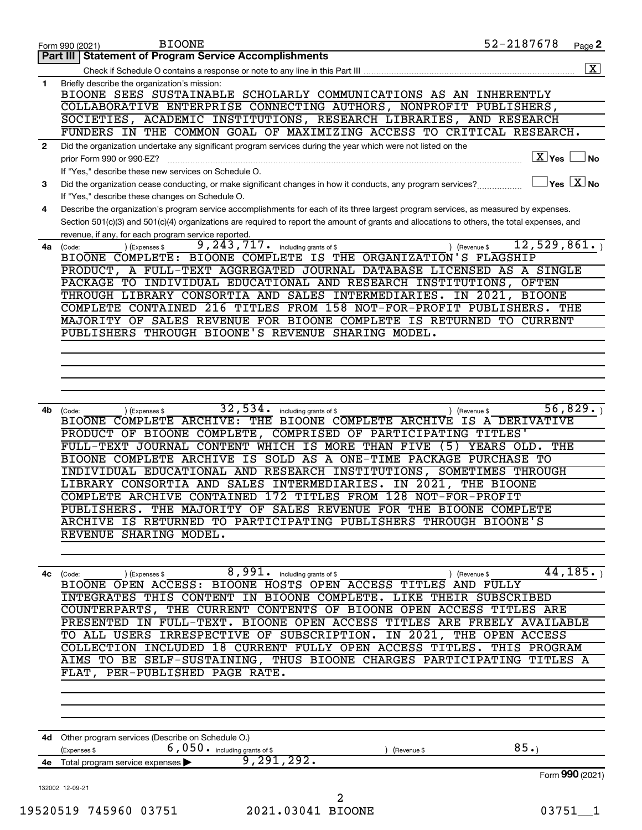|    | 52-2187678<br><b>BIOONE</b><br>Page 2<br>Form 990 (2021)                                                                                                |
|----|---------------------------------------------------------------------------------------------------------------------------------------------------------|
|    | <b>Part III   Statement of Program Service Accomplishments</b>                                                                                          |
|    |                                                                                                                                                         |
| 1  | Briefly describe the organization's mission:                                                                                                            |
|    | BIOONE SEES SUSTAINABLE SCHOLARLY COMMUNICATIONS AS AN INHERENTLY                                                                                       |
|    | COLLABORATIVE ENTERPRISE CONNECTING AUTHORS, NONPROFIT PUBLISHERS,                                                                                      |
|    | SOCIETIES, ACADEMIC INSTITUTIONS, RESEARCH LIBRARIES, AND RESEARCH                                                                                      |
|    | FUNDERS IN THE COMMON GOAL OF MAXIMIZING ACCESS TO CRITICAL RESEARCH.                                                                                   |
| 2  | Did the organization undertake any significant program services during the year which were not listed on the                                            |
|    | $\boxed{\text{X}}$ Yes $\boxed{\text{}}$<br>$\Box$ No<br>prior Form 990 or 990-EZ?                                                                      |
|    | If "Yes," describe these new services on Schedule O.                                                                                                    |
| 3  | $\Box$ Yes $[\overline{\mathrm{X}}]$ No<br>Did the organization cease conducting, or make significant changes in how it conducts, any program services? |
|    | If "Yes," describe these changes on Schedule O.                                                                                                         |
| 4  | Describe the organization's program service accomplishments for each of its three largest program services, as measured by expenses.                    |
|    | Section 501(c)(3) and 501(c)(4) organizations are required to report the amount of grants and allocations to others, the total expenses, and            |
|    | revenue, if any, for each program service reported.                                                                                                     |
| 4a | 12,529,861.<br>9, 243, 717. including grants of \$<br>) (Expenses \$<br>) (Revenue \$<br>(Code:                                                         |
|    | BIOONE COMPLETE: BIOONE COMPLETE IS THE ORGANIZATION'S FLAGSHIP                                                                                         |
|    | PRODUCT, A FULL-TEXT AGGREGATED JOURNAL DATABASE LICENSED AS A SINGLE                                                                                   |
|    | PACKAGE TO INDIVIDUAL EDUCATIONAL AND RESEARCH INSTITUTIONS,<br><b>OFTEN</b>                                                                            |
|    | THROUGH LIBRARY CONSORTIA AND SALES INTERMEDIARIES. IN 2021, BIOONE                                                                                     |
|    | COMPLETE CONTAINED 216 TITLES FROM 158 NOT-FOR-PROFIT PUBLISHERS. THE                                                                                   |
|    | MAJORITY OF SALES REVENUE FOR BIOONE COMPLETE IS RETURNED TO CURRENT                                                                                    |
|    | PUBLISHERS THROUGH BIOONE'S REVENUE SHARING MODEL.                                                                                                      |
|    |                                                                                                                                                         |
|    |                                                                                                                                                         |
|    |                                                                                                                                                         |
|    |                                                                                                                                                         |
|    |                                                                                                                                                         |
|    |                                                                                                                                                         |
| 4b | $\overline{32}$ , $\overline{534}$ $\cdot$ including grants of \$<br>56,829.<br>(Expenses \$<br>) (Revenue \$<br>(Code:                                 |
|    | BIOONE COMPLETE ARCHIVE: THE BIOONE COMPLETE ARCHIVE IS A DERIVATIVE                                                                                    |
|    | PRODUCT OF BIOONE COMPLETE, COMPRISED OF PARTICIPATING TITLES'                                                                                          |
|    | FULL-TEXT JOURNAL CONTENT WHICH IS MORE THAN FIVE (5) YEARS OLD.<br>THE                                                                                 |
|    | BIOONE COMPLETE ARCHIVE IS SOLD AS A ONE-TIME PACKAGE PURCHASE TO                                                                                       |
|    | INDIVIDUAL EDUCATIONAL AND RESEARCH INSTITUTIONS, SOMETIMES THROUGH                                                                                     |
|    | LIBRARY CONSORTIA AND SALES INTERMEDIARIES. IN 2021, THE BIOONE                                                                                         |
|    | COMPLETE ARCHIVE CONTAINED 172 TITLES FROM 128 NOT-FOR-PROFIT                                                                                           |
|    | PUBLISHERS. THE MAJORITY OF SALES REVENUE FOR THE BIOONE COMPLETE                                                                                       |
|    | ARCHIVE IS RETURNED TO PARTICIPATING PUBLISHERS THROUGH BIOONE'S                                                                                        |
|    | REVENUE SHARING MODEL.                                                                                                                                  |
|    |                                                                                                                                                         |
|    |                                                                                                                                                         |
| 4c | 8,991.<br>44, 185.<br>including grants of \$<br>) (Expenses \$<br>) (Revenue \$<br>(Code:                                                               |
|    | BIOONE OPEN ACCESS: BIOONE HOSTS OPEN ACCESS TITLES AND FULLY                                                                                           |
|    | INTEGRATES THIS CONTENT IN BIOONE COMPLETE. LIKE THEIR SUBSCRIBED                                                                                       |
|    | COUNTERPARTS, THE CURRENT CONTENTS OF BIOONE OPEN ACCESS TITLES ARE                                                                                     |
|    | PRESENTED IN FULL-TEXT. BIOONE OPEN ACCESS TITLES ARE FREELY AVAILABLE                                                                                  |
|    | TO ALL USERS IRRESPECTIVE OF SUBSCRIPTION. IN 2021, THE OPEN ACCESS                                                                                     |
|    |                                                                                                                                                         |
|    | COLLECTION INCLUDED 18 CURRENT FULLY OPEN ACCESS TITLES. THIS PROGRAM                                                                                   |
|    |                                                                                                                                                         |
|    |                                                                                                                                                         |
|    | FLAT, PER-PUBLISHED PAGE RATE.                                                                                                                          |
|    |                                                                                                                                                         |
|    |                                                                                                                                                         |
|    |                                                                                                                                                         |
|    |                                                                                                                                                         |
|    | 4d Other program services (Describe on Schedule O.)                                                                                                     |
|    | 85.<br>6,050. including grants of \$<br>(Expenses \$<br>(Revenue \$                                                                                     |
|    | 9,291,292.<br>4e Total program service expenses >                                                                                                       |
|    |                                                                                                                                                         |
|    | AIMS TO BE SELF-SUSTAINING, THUS BIOONE CHARGES PARTICIPATING TITLES A<br>Form 990 (2021)<br>132002 12-09-21                                            |
|    | 2                                                                                                                                                       |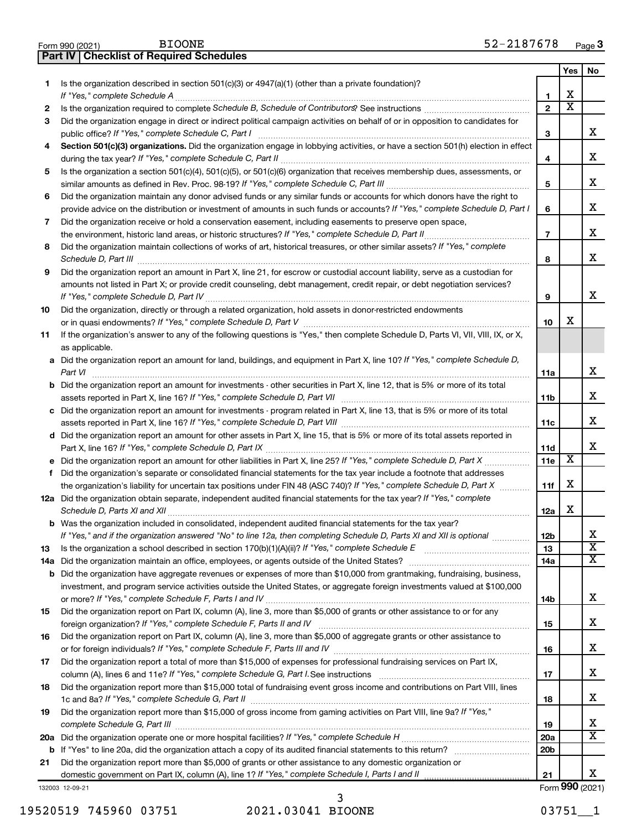| Yes<br>Is the organization described in section 501(c)(3) or $4947(a)(1)$ (other than a private foundation)?<br>1.<br>X<br>1<br>$\overline{\text{x}}$<br>$\overline{2}$<br>2<br>Did the organization engage in direct or indirect political campaign activities on behalf of or in opposition to candidates for<br>3<br>x<br>3<br>Section 501(c)(3) organizations. Did the organization engage in lobbying activities, or have a section 501(h) election in effect<br>4<br>X<br>4<br>Is the organization a section 501(c)(4), 501(c)(5), or 501(c)(6) organization that receives membership dues, assessments, or<br>5<br>X<br>5<br>Did the organization maintain any donor advised funds or any similar funds or accounts for which donors have the right to<br>6<br>X<br>6<br>provide advice on the distribution or investment of amounts in such funds or accounts? If "Yes," complete Schedule D, Part I<br>Did the organization receive or hold a conservation easement, including easements to preserve open space,<br>7<br>х<br>$\overline{7}$<br>the environment, historic land areas, or historic structures? If "Yes," complete Schedule D, Part II<br>Did the organization maintain collections of works of art, historical treasures, or other similar assets? If "Yes," complete<br>8<br>X<br>Schedule D, Part III <b>Marting Community</b> Contract of the Community Contract of the Community Contract of the Community Contract of the Community Contract of the Community Contract of the Community Community Community Contr<br>8<br>Did the organization report an amount in Part X, line 21, for escrow or custodial account liability, serve as a custodian for<br>9<br>amounts not listed in Part X; or provide credit counseling, debt management, credit repair, or debt negotiation services?<br>X<br>9<br>Did the organization, directly or through a related organization, hold assets in donor-restricted endowments<br>10<br>х<br>10<br>If the organization's answer to any of the following questions is "Yes," then complete Schedule D, Parts VI, VII, VIII, IX, or X,<br>11<br>as applicable.<br>a Did the organization report an amount for land, buildings, and equipment in Part X, line 10? If "Yes," complete Schedule D,<br>х<br>Part VI<br>11a<br><b>b</b> Did the organization report an amount for investments - other securities in Part X, line 12, that is 5% or more of its total<br>X<br>11 <sub>b</sub><br>c Did the organization report an amount for investments - program related in Part X, line 13, that is 5% or more of its total<br>X<br>11c<br>d Did the organization report an amount for other assets in Part X, line 15, that is 5% or more of its total assets reported in<br>х<br>11d<br>$\overline{\mathbf{X}}$<br>e Did the organization report an amount for other liabilities in Part X, line 25? If "Yes," complete Schedule D, Part X<br>11e<br>f Did the organization's separate or consolidated financial statements for the tax year include a footnote that addresses<br>X<br>the organization's liability for uncertain tax positions under FIN 48 (ASC 740)? If "Yes," complete Schedule D, Part X<br>11f<br>12a Did the organization obtain separate, independent audited financial statements for the tax year? If "Yes," complete<br>X<br>12a<br>b Was the organization included in consolidated, independent audited financial statements for the tax year?<br>х<br>If "Yes," and if the organization answered "No" to line 12a, then completing Schedule D, Parts XI and XII is optional<br>12b<br>$\overline{\textbf{X}}$<br>13<br>13<br>$\overline{\mathbf{x}}$<br>14a<br>14a<br><b>b</b> Did the organization have aggregate revenues or expenses of more than \$10,000 from grantmaking, fundraising, business,<br>investment, and program service activities outside the United States, or aggregate foreign investments valued at \$100,000<br>х<br>14b<br>Did the organization report on Part IX, column (A), line 3, more than \$5,000 of grants or other assistance to or for any<br>15<br>x<br>15<br>Did the organization report on Part IX, column (A), line 3, more than \$5,000 of aggregate grants or other assistance to<br>16<br>х<br>16 | Part IV   Checklist of Required Schedules |  |    |
|-----------------------------------------------------------------------------------------------------------------------------------------------------------------------------------------------------------------------------------------------------------------------------------------------------------------------------------------------------------------------------------------------------------------------------------------------------------------------------------------------------------------------------------------------------------------------------------------------------------------------------------------------------------------------------------------------------------------------------------------------------------------------------------------------------------------------------------------------------------------------------------------------------------------------------------------------------------------------------------------------------------------------------------------------------------------------------------------------------------------------------------------------------------------------------------------------------------------------------------------------------------------------------------------------------------------------------------------------------------------------------------------------------------------------------------------------------------------------------------------------------------------------------------------------------------------------------------------------------------------------------------------------------------------------------------------------------------------------------------------------------------------------------------------------------------------------------------------------------------------------------------------------------------------------------------------------------------------------------------------------------------------------------------------------------------------------------------------------------------------------------------------------------------------------------------------------------------------------------------------------------------------------------------------------------------------------------------------------------------------------------------------------------------------------------------------------------------------------------------------------------------------------------------------------------------------------------------------------------------------------------------------------------------------------------------------------------------------------------------------------------------------------------------------------------------------------------------------------------------------------------------------------------------------------------------------------------------------------------------------------------------------------------------------------------------------------------------------------------------------------------------------------------------------------------------------------------------------------------------------------------------------------------------------------------------------------------------------------------------------------------------------------------------------------------------------------------------------------------------------------------------------------------------------------------------------------------------------------------------------------------------------------------------------------------------------------------------------------------------------------------------------------------------------------------------------------------------------------------------------------------------------------------------------------------------------------------------------------------------------------------------------------------------------------------------------------------------------------------------------------------------------------------------------------------------------------------------------------------------------|-------------------------------------------|--|----|
|                                                                                                                                                                                                                                                                                                                                                                                                                                                                                                                                                                                                                                                                                                                                                                                                                                                                                                                                                                                                                                                                                                                                                                                                                                                                                                                                                                                                                                                                                                                                                                                                                                                                                                                                                                                                                                                                                                                                                                                                                                                                                                                                                                                                                                                                                                                                                                                                                                                                                                                                                                                                                                                                                                                                                                                                                                                                                                                                                                                                                                                                                                                                                                                                                                                                                                                                                                                                                                                                                                                                                                                                                                                                                                                                                                                                                                                                                                                                                                                                                                                                                                                                                                                                                                         |                                           |  | No |
|                                                                                                                                                                                                                                                                                                                                                                                                                                                                                                                                                                                                                                                                                                                                                                                                                                                                                                                                                                                                                                                                                                                                                                                                                                                                                                                                                                                                                                                                                                                                                                                                                                                                                                                                                                                                                                                                                                                                                                                                                                                                                                                                                                                                                                                                                                                                                                                                                                                                                                                                                                                                                                                                                                                                                                                                                                                                                                                                                                                                                                                                                                                                                                                                                                                                                                                                                                                                                                                                                                                                                                                                                                                                                                                                                                                                                                                                                                                                                                                                                                                                                                                                                                                                                                         |                                           |  |    |
|                                                                                                                                                                                                                                                                                                                                                                                                                                                                                                                                                                                                                                                                                                                                                                                                                                                                                                                                                                                                                                                                                                                                                                                                                                                                                                                                                                                                                                                                                                                                                                                                                                                                                                                                                                                                                                                                                                                                                                                                                                                                                                                                                                                                                                                                                                                                                                                                                                                                                                                                                                                                                                                                                                                                                                                                                                                                                                                                                                                                                                                                                                                                                                                                                                                                                                                                                                                                                                                                                                                                                                                                                                                                                                                                                                                                                                                                                                                                                                                                                                                                                                                                                                                                                                         |                                           |  |    |
|                                                                                                                                                                                                                                                                                                                                                                                                                                                                                                                                                                                                                                                                                                                                                                                                                                                                                                                                                                                                                                                                                                                                                                                                                                                                                                                                                                                                                                                                                                                                                                                                                                                                                                                                                                                                                                                                                                                                                                                                                                                                                                                                                                                                                                                                                                                                                                                                                                                                                                                                                                                                                                                                                                                                                                                                                                                                                                                                                                                                                                                                                                                                                                                                                                                                                                                                                                                                                                                                                                                                                                                                                                                                                                                                                                                                                                                                                                                                                                                                                                                                                                                                                                                                                                         |                                           |  |    |
|                                                                                                                                                                                                                                                                                                                                                                                                                                                                                                                                                                                                                                                                                                                                                                                                                                                                                                                                                                                                                                                                                                                                                                                                                                                                                                                                                                                                                                                                                                                                                                                                                                                                                                                                                                                                                                                                                                                                                                                                                                                                                                                                                                                                                                                                                                                                                                                                                                                                                                                                                                                                                                                                                                                                                                                                                                                                                                                                                                                                                                                                                                                                                                                                                                                                                                                                                                                                                                                                                                                                                                                                                                                                                                                                                                                                                                                                                                                                                                                                                                                                                                                                                                                                                                         |                                           |  |    |
|                                                                                                                                                                                                                                                                                                                                                                                                                                                                                                                                                                                                                                                                                                                                                                                                                                                                                                                                                                                                                                                                                                                                                                                                                                                                                                                                                                                                                                                                                                                                                                                                                                                                                                                                                                                                                                                                                                                                                                                                                                                                                                                                                                                                                                                                                                                                                                                                                                                                                                                                                                                                                                                                                                                                                                                                                                                                                                                                                                                                                                                                                                                                                                                                                                                                                                                                                                                                                                                                                                                                                                                                                                                                                                                                                                                                                                                                                                                                                                                                                                                                                                                                                                                                                                         |                                           |  |    |
|                                                                                                                                                                                                                                                                                                                                                                                                                                                                                                                                                                                                                                                                                                                                                                                                                                                                                                                                                                                                                                                                                                                                                                                                                                                                                                                                                                                                                                                                                                                                                                                                                                                                                                                                                                                                                                                                                                                                                                                                                                                                                                                                                                                                                                                                                                                                                                                                                                                                                                                                                                                                                                                                                                                                                                                                                                                                                                                                                                                                                                                                                                                                                                                                                                                                                                                                                                                                                                                                                                                                                                                                                                                                                                                                                                                                                                                                                                                                                                                                                                                                                                                                                                                                                                         |                                           |  |    |
|                                                                                                                                                                                                                                                                                                                                                                                                                                                                                                                                                                                                                                                                                                                                                                                                                                                                                                                                                                                                                                                                                                                                                                                                                                                                                                                                                                                                                                                                                                                                                                                                                                                                                                                                                                                                                                                                                                                                                                                                                                                                                                                                                                                                                                                                                                                                                                                                                                                                                                                                                                                                                                                                                                                                                                                                                                                                                                                                                                                                                                                                                                                                                                                                                                                                                                                                                                                                                                                                                                                                                                                                                                                                                                                                                                                                                                                                                                                                                                                                                                                                                                                                                                                                                                         |                                           |  |    |
|                                                                                                                                                                                                                                                                                                                                                                                                                                                                                                                                                                                                                                                                                                                                                                                                                                                                                                                                                                                                                                                                                                                                                                                                                                                                                                                                                                                                                                                                                                                                                                                                                                                                                                                                                                                                                                                                                                                                                                                                                                                                                                                                                                                                                                                                                                                                                                                                                                                                                                                                                                                                                                                                                                                                                                                                                                                                                                                                                                                                                                                                                                                                                                                                                                                                                                                                                                                                                                                                                                                                                                                                                                                                                                                                                                                                                                                                                                                                                                                                                                                                                                                                                                                                                                         |                                           |  |    |
|                                                                                                                                                                                                                                                                                                                                                                                                                                                                                                                                                                                                                                                                                                                                                                                                                                                                                                                                                                                                                                                                                                                                                                                                                                                                                                                                                                                                                                                                                                                                                                                                                                                                                                                                                                                                                                                                                                                                                                                                                                                                                                                                                                                                                                                                                                                                                                                                                                                                                                                                                                                                                                                                                                                                                                                                                                                                                                                                                                                                                                                                                                                                                                                                                                                                                                                                                                                                                                                                                                                                                                                                                                                                                                                                                                                                                                                                                                                                                                                                                                                                                                                                                                                                                                         |                                           |  |    |
|                                                                                                                                                                                                                                                                                                                                                                                                                                                                                                                                                                                                                                                                                                                                                                                                                                                                                                                                                                                                                                                                                                                                                                                                                                                                                                                                                                                                                                                                                                                                                                                                                                                                                                                                                                                                                                                                                                                                                                                                                                                                                                                                                                                                                                                                                                                                                                                                                                                                                                                                                                                                                                                                                                                                                                                                                                                                                                                                                                                                                                                                                                                                                                                                                                                                                                                                                                                                                                                                                                                                                                                                                                                                                                                                                                                                                                                                                                                                                                                                                                                                                                                                                                                                                                         |                                           |  |    |
|                                                                                                                                                                                                                                                                                                                                                                                                                                                                                                                                                                                                                                                                                                                                                                                                                                                                                                                                                                                                                                                                                                                                                                                                                                                                                                                                                                                                                                                                                                                                                                                                                                                                                                                                                                                                                                                                                                                                                                                                                                                                                                                                                                                                                                                                                                                                                                                                                                                                                                                                                                                                                                                                                                                                                                                                                                                                                                                                                                                                                                                                                                                                                                                                                                                                                                                                                                                                                                                                                                                                                                                                                                                                                                                                                                                                                                                                                                                                                                                                                                                                                                                                                                                                                                         |                                           |  |    |
|                                                                                                                                                                                                                                                                                                                                                                                                                                                                                                                                                                                                                                                                                                                                                                                                                                                                                                                                                                                                                                                                                                                                                                                                                                                                                                                                                                                                                                                                                                                                                                                                                                                                                                                                                                                                                                                                                                                                                                                                                                                                                                                                                                                                                                                                                                                                                                                                                                                                                                                                                                                                                                                                                                                                                                                                                                                                                                                                                                                                                                                                                                                                                                                                                                                                                                                                                                                                                                                                                                                                                                                                                                                                                                                                                                                                                                                                                                                                                                                                                                                                                                                                                                                                                                         |                                           |  |    |
|                                                                                                                                                                                                                                                                                                                                                                                                                                                                                                                                                                                                                                                                                                                                                                                                                                                                                                                                                                                                                                                                                                                                                                                                                                                                                                                                                                                                                                                                                                                                                                                                                                                                                                                                                                                                                                                                                                                                                                                                                                                                                                                                                                                                                                                                                                                                                                                                                                                                                                                                                                                                                                                                                                                                                                                                                                                                                                                                                                                                                                                                                                                                                                                                                                                                                                                                                                                                                                                                                                                                                                                                                                                                                                                                                                                                                                                                                                                                                                                                                                                                                                                                                                                                                                         |                                           |  |    |
|                                                                                                                                                                                                                                                                                                                                                                                                                                                                                                                                                                                                                                                                                                                                                                                                                                                                                                                                                                                                                                                                                                                                                                                                                                                                                                                                                                                                                                                                                                                                                                                                                                                                                                                                                                                                                                                                                                                                                                                                                                                                                                                                                                                                                                                                                                                                                                                                                                                                                                                                                                                                                                                                                                                                                                                                                                                                                                                                                                                                                                                                                                                                                                                                                                                                                                                                                                                                                                                                                                                                                                                                                                                                                                                                                                                                                                                                                                                                                                                                                                                                                                                                                                                                                                         |                                           |  |    |
|                                                                                                                                                                                                                                                                                                                                                                                                                                                                                                                                                                                                                                                                                                                                                                                                                                                                                                                                                                                                                                                                                                                                                                                                                                                                                                                                                                                                                                                                                                                                                                                                                                                                                                                                                                                                                                                                                                                                                                                                                                                                                                                                                                                                                                                                                                                                                                                                                                                                                                                                                                                                                                                                                                                                                                                                                                                                                                                                                                                                                                                                                                                                                                                                                                                                                                                                                                                                                                                                                                                                                                                                                                                                                                                                                                                                                                                                                                                                                                                                                                                                                                                                                                                                                                         |                                           |  |    |
|                                                                                                                                                                                                                                                                                                                                                                                                                                                                                                                                                                                                                                                                                                                                                                                                                                                                                                                                                                                                                                                                                                                                                                                                                                                                                                                                                                                                                                                                                                                                                                                                                                                                                                                                                                                                                                                                                                                                                                                                                                                                                                                                                                                                                                                                                                                                                                                                                                                                                                                                                                                                                                                                                                                                                                                                                                                                                                                                                                                                                                                                                                                                                                                                                                                                                                                                                                                                                                                                                                                                                                                                                                                                                                                                                                                                                                                                                                                                                                                                                                                                                                                                                                                                                                         |                                           |  |    |
|                                                                                                                                                                                                                                                                                                                                                                                                                                                                                                                                                                                                                                                                                                                                                                                                                                                                                                                                                                                                                                                                                                                                                                                                                                                                                                                                                                                                                                                                                                                                                                                                                                                                                                                                                                                                                                                                                                                                                                                                                                                                                                                                                                                                                                                                                                                                                                                                                                                                                                                                                                                                                                                                                                                                                                                                                                                                                                                                                                                                                                                                                                                                                                                                                                                                                                                                                                                                                                                                                                                                                                                                                                                                                                                                                                                                                                                                                                                                                                                                                                                                                                                                                                                                                                         |                                           |  |    |
|                                                                                                                                                                                                                                                                                                                                                                                                                                                                                                                                                                                                                                                                                                                                                                                                                                                                                                                                                                                                                                                                                                                                                                                                                                                                                                                                                                                                                                                                                                                                                                                                                                                                                                                                                                                                                                                                                                                                                                                                                                                                                                                                                                                                                                                                                                                                                                                                                                                                                                                                                                                                                                                                                                                                                                                                                                                                                                                                                                                                                                                                                                                                                                                                                                                                                                                                                                                                                                                                                                                                                                                                                                                                                                                                                                                                                                                                                                                                                                                                                                                                                                                                                                                                                                         |                                           |  |    |
|                                                                                                                                                                                                                                                                                                                                                                                                                                                                                                                                                                                                                                                                                                                                                                                                                                                                                                                                                                                                                                                                                                                                                                                                                                                                                                                                                                                                                                                                                                                                                                                                                                                                                                                                                                                                                                                                                                                                                                                                                                                                                                                                                                                                                                                                                                                                                                                                                                                                                                                                                                                                                                                                                                                                                                                                                                                                                                                                                                                                                                                                                                                                                                                                                                                                                                                                                                                                                                                                                                                                                                                                                                                                                                                                                                                                                                                                                                                                                                                                                                                                                                                                                                                                                                         |                                           |  |    |
|                                                                                                                                                                                                                                                                                                                                                                                                                                                                                                                                                                                                                                                                                                                                                                                                                                                                                                                                                                                                                                                                                                                                                                                                                                                                                                                                                                                                                                                                                                                                                                                                                                                                                                                                                                                                                                                                                                                                                                                                                                                                                                                                                                                                                                                                                                                                                                                                                                                                                                                                                                                                                                                                                                                                                                                                                                                                                                                                                                                                                                                                                                                                                                                                                                                                                                                                                                                                                                                                                                                                                                                                                                                                                                                                                                                                                                                                                                                                                                                                                                                                                                                                                                                                                                         |                                           |  |    |
|                                                                                                                                                                                                                                                                                                                                                                                                                                                                                                                                                                                                                                                                                                                                                                                                                                                                                                                                                                                                                                                                                                                                                                                                                                                                                                                                                                                                                                                                                                                                                                                                                                                                                                                                                                                                                                                                                                                                                                                                                                                                                                                                                                                                                                                                                                                                                                                                                                                                                                                                                                                                                                                                                                                                                                                                                                                                                                                                                                                                                                                                                                                                                                                                                                                                                                                                                                                                                                                                                                                                                                                                                                                                                                                                                                                                                                                                                                                                                                                                                                                                                                                                                                                                                                         |                                           |  |    |
|                                                                                                                                                                                                                                                                                                                                                                                                                                                                                                                                                                                                                                                                                                                                                                                                                                                                                                                                                                                                                                                                                                                                                                                                                                                                                                                                                                                                                                                                                                                                                                                                                                                                                                                                                                                                                                                                                                                                                                                                                                                                                                                                                                                                                                                                                                                                                                                                                                                                                                                                                                                                                                                                                                                                                                                                                                                                                                                                                                                                                                                                                                                                                                                                                                                                                                                                                                                                                                                                                                                                                                                                                                                                                                                                                                                                                                                                                                                                                                                                                                                                                                                                                                                                                                         |                                           |  |    |
|                                                                                                                                                                                                                                                                                                                                                                                                                                                                                                                                                                                                                                                                                                                                                                                                                                                                                                                                                                                                                                                                                                                                                                                                                                                                                                                                                                                                                                                                                                                                                                                                                                                                                                                                                                                                                                                                                                                                                                                                                                                                                                                                                                                                                                                                                                                                                                                                                                                                                                                                                                                                                                                                                                                                                                                                                                                                                                                                                                                                                                                                                                                                                                                                                                                                                                                                                                                                                                                                                                                                                                                                                                                                                                                                                                                                                                                                                                                                                                                                                                                                                                                                                                                                                                         |                                           |  |    |
|                                                                                                                                                                                                                                                                                                                                                                                                                                                                                                                                                                                                                                                                                                                                                                                                                                                                                                                                                                                                                                                                                                                                                                                                                                                                                                                                                                                                                                                                                                                                                                                                                                                                                                                                                                                                                                                                                                                                                                                                                                                                                                                                                                                                                                                                                                                                                                                                                                                                                                                                                                                                                                                                                                                                                                                                                                                                                                                                                                                                                                                                                                                                                                                                                                                                                                                                                                                                                                                                                                                                                                                                                                                                                                                                                                                                                                                                                                                                                                                                                                                                                                                                                                                                                                         |                                           |  |    |
|                                                                                                                                                                                                                                                                                                                                                                                                                                                                                                                                                                                                                                                                                                                                                                                                                                                                                                                                                                                                                                                                                                                                                                                                                                                                                                                                                                                                                                                                                                                                                                                                                                                                                                                                                                                                                                                                                                                                                                                                                                                                                                                                                                                                                                                                                                                                                                                                                                                                                                                                                                                                                                                                                                                                                                                                                                                                                                                                                                                                                                                                                                                                                                                                                                                                                                                                                                                                                                                                                                                                                                                                                                                                                                                                                                                                                                                                                                                                                                                                                                                                                                                                                                                                                                         |                                           |  |    |
|                                                                                                                                                                                                                                                                                                                                                                                                                                                                                                                                                                                                                                                                                                                                                                                                                                                                                                                                                                                                                                                                                                                                                                                                                                                                                                                                                                                                                                                                                                                                                                                                                                                                                                                                                                                                                                                                                                                                                                                                                                                                                                                                                                                                                                                                                                                                                                                                                                                                                                                                                                                                                                                                                                                                                                                                                                                                                                                                                                                                                                                                                                                                                                                                                                                                                                                                                                                                                                                                                                                                                                                                                                                                                                                                                                                                                                                                                                                                                                                                                                                                                                                                                                                                                                         |                                           |  |    |
|                                                                                                                                                                                                                                                                                                                                                                                                                                                                                                                                                                                                                                                                                                                                                                                                                                                                                                                                                                                                                                                                                                                                                                                                                                                                                                                                                                                                                                                                                                                                                                                                                                                                                                                                                                                                                                                                                                                                                                                                                                                                                                                                                                                                                                                                                                                                                                                                                                                                                                                                                                                                                                                                                                                                                                                                                                                                                                                                                                                                                                                                                                                                                                                                                                                                                                                                                                                                                                                                                                                                                                                                                                                                                                                                                                                                                                                                                                                                                                                                                                                                                                                                                                                                                                         |                                           |  |    |
|                                                                                                                                                                                                                                                                                                                                                                                                                                                                                                                                                                                                                                                                                                                                                                                                                                                                                                                                                                                                                                                                                                                                                                                                                                                                                                                                                                                                                                                                                                                                                                                                                                                                                                                                                                                                                                                                                                                                                                                                                                                                                                                                                                                                                                                                                                                                                                                                                                                                                                                                                                                                                                                                                                                                                                                                                                                                                                                                                                                                                                                                                                                                                                                                                                                                                                                                                                                                                                                                                                                                                                                                                                                                                                                                                                                                                                                                                                                                                                                                                                                                                                                                                                                                                                         |                                           |  |    |
|                                                                                                                                                                                                                                                                                                                                                                                                                                                                                                                                                                                                                                                                                                                                                                                                                                                                                                                                                                                                                                                                                                                                                                                                                                                                                                                                                                                                                                                                                                                                                                                                                                                                                                                                                                                                                                                                                                                                                                                                                                                                                                                                                                                                                                                                                                                                                                                                                                                                                                                                                                                                                                                                                                                                                                                                                                                                                                                                                                                                                                                                                                                                                                                                                                                                                                                                                                                                                                                                                                                                                                                                                                                                                                                                                                                                                                                                                                                                                                                                                                                                                                                                                                                                                                         |                                           |  |    |
|                                                                                                                                                                                                                                                                                                                                                                                                                                                                                                                                                                                                                                                                                                                                                                                                                                                                                                                                                                                                                                                                                                                                                                                                                                                                                                                                                                                                                                                                                                                                                                                                                                                                                                                                                                                                                                                                                                                                                                                                                                                                                                                                                                                                                                                                                                                                                                                                                                                                                                                                                                                                                                                                                                                                                                                                                                                                                                                                                                                                                                                                                                                                                                                                                                                                                                                                                                                                                                                                                                                                                                                                                                                                                                                                                                                                                                                                                                                                                                                                                                                                                                                                                                                                                                         |                                           |  |    |
|                                                                                                                                                                                                                                                                                                                                                                                                                                                                                                                                                                                                                                                                                                                                                                                                                                                                                                                                                                                                                                                                                                                                                                                                                                                                                                                                                                                                                                                                                                                                                                                                                                                                                                                                                                                                                                                                                                                                                                                                                                                                                                                                                                                                                                                                                                                                                                                                                                                                                                                                                                                                                                                                                                                                                                                                                                                                                                                                                                                                                                                                                                                                                                                                                                                                                                                                                                                                                                                                                                                                                                                                                                                                                                                                                                                                                                                                                                                                                                                                                                                                                                                                                                                                                                         |                                           |  |    |
|                                                                                                                                                                                                                                                                                                                                                                                                                                                                                                                                                                                                                                                                                                                                                                                                                                                                                                                                                                                                                                                                                                                                                                                                                                                                                                                                                                                                                                                                                                                                                                                                                                                                                                                                                                                                                                                                                                                                                                                                                                                                                                                                                                                                                                                                                                                                                                                                                                                                                                                                                                                                                                                                                                                                                                                                                                                                                                                                                                                                                                                                                                                                                                                                                                                                                                                                                                                                                                                                                                                                                                                                                                                                                                                                                                                                                                                                                                                                                                                                                                                                                                                                                                                                                                         |                                           |  |    |
|                                                                                                                                                                                                                                                                                                                                                                                                                                                                                                                                                                                                                                                                                                                                                                                                                                                                                                                                                                                                                                                                                                                                                                                                                                                                                                                                                                                                                                                                                                                                                                                                                                                                                                                                                                                                                                                                                                                                                                                                                                                                                                                                                                                                                                                                                                                                                                                                                                                                                                                                                                                                                                                                                                                                                                                                                                                                                                                                                                                                                                                                                                                                                                                                                                                                                                                                                                                                                                                                                                                                                                                                                                                                                                                                                                                                                                                                                                                                                                                                                                                                                                                                                                                                                                         |                                           |  |    |
|                                                                                                                                                                                                                                                                                                                                                                                                                                                                                                                                                                                                                                                                                                                                                                                                                                                                                                                                                                                                                                                                                                                                                                                                                                                                                                                                                                                                                                                                                                                                                                                                                                                                                                                                                                                                                                                                                                                                                                                                                                                                                                                                                                                                                                                                                                                                                                                                                                                                                                                                                                                                                                                                                                                                                                                                                                                                                                                                                                                                                                                                                                                                                                                                                                                                                                                                                                                                                                                                                                                                                                                                                                                                                                                                                                                                                                                                                                                                                                                                                                                                                                                                                                                                                                         |                                           |  |    |
|                                                                                                                                                                                                                                                                                                                                                                                                                                                                                                                                                                                                                                                                                                                                                                                                                                                                                                                                                                                                                                                                                                                                                                                                                                                                                                                                                                                                                                                                                                                                                                                                                                                                                                                                                                                                                                                                                                                                                                                                                                                                                                                                                                                                                                                                                                                                                                                                                                                                                                                                                                                                                                                                                                                                                                                                                                                                                                                                                                                                                                                                                                                                                                                                                                                                                                                                                                                                                                                                                                                                                                                                                                                                                                                                                                                                                                                                                                                                                                                                                                                                                                                                                                                                                                         |                                           |  |    |
|                                                                                                                                                                                                                                                                                                                                                                                                                                                                                                                                                                                                                                                                                                                                                                                                                                                                                                                                                                                                                                                                                                                                                                                                                                                                                                                                                                                                                                                                                                                                                                                                                                                                                                                                                                                                                                                                                                                                                                                                                                                                                                                                                                                                                                                                                                                                                                                                                                                                                                                                                                                                                                                                                                                                                                                                                                                                                                                                                                                                                                                                                                                                                                                                                                                                                                                                                                                                                                                                                                                                                                                                                                                                                                                                                                                                                                                                                                                                                                                                                                                                                                                                                                                                                                         |                                           |  |    |
|                                                                                                                                                                                                                                                                                                                                                                                                                                                                                                                                                                                                                                                                                                                                                                                                                                                                                                                                                                                                                                                                                                                                                                                                                                                                                                                                                                                                                                                                                                                                                                                                                                                                                                                                                                                                                                                                                                                                                                                                                                                                                                                                                                                                                                                                                                                                                                                                                                                                                                                                                                                                                                                                                                                                                                                                                                                                                                                                                                                                                                                                                                                                                                                                                                                                                                                                                                                                                                                                                                                                                                                                                                                                                                                                                                                                                                                                                                                                                                                                                                                                                                                                                                                                                                         |                                           |  |    |
|                                                                                                                                                                                                                                                                                                                                                                                                                                                                                                                                                                                                                                                                                                                                                                                                                                                                                                                                                                                                                                                                                                                                                                                                                                                                                                                                                                                                                                                                                                                                                                                                                                                                                                                                                                                                                                                                                                                                                                                                                                                                                                                                                                                                                                                                                                                                                                                                                                                                                                                                                                                                                                                                                                                                                                                                                                                                                                                                                                                                                                                                                                                                                                                                                                                                                                                                                                                                                                                                                                                                                                                                                                                                                                                                                                                                                                                                                                                                                                                                                                                                                                                                                                                                                                         |                                           |  |    |
|                                                                                                                                                                                                                                                                                                                                                                                                                                                                                                                                                                                                                                                                                                                                                                                                                                                                                                                                                                                                                                                                                                                                                                                                                                                                                                                                                                                                                                                                                                                                                                                                                                                                                                                                                                                                                                                                                                                                                                                                                                                                                                                                                                                                                                                                                                                                                                                                                                                                                                                                                                                                                                                                                                                                                                                                                                                                                                                                                                                                                                                                                                                                                                                                                                                                                                                                                                                                                                                                                                                                                                                                                                                                                                                                                                                                                                                                                                                                                                                                                                                                                                                                                                                                                                         |                                           |  |    |
|                                                                                                                                                                                                                                                                                                                                                                                                                                                                                                                                                                                                                                                                                                                                                                                                                                                                                                                                                                                                                                                                                                                                                                                                                                                                                                                                                                                                                                                                                                                                                                                                                                                                                                                                                                                                                                                                                                                                                                                                                                                                                                                                                                                                                                                                                                                                                                                                                                                                                                                                                                                                                                                                                                                                                                                                                                                                                                                                                                                                                                                                                                                                                                                                                                                                                                                                                                                                                                                                                                                                                                                                                                                                                                                                                                                                                                                                                                                                                                                                                                                                                                                                                                                                                                         |                                           |  |    |
|                                                                                                                                                                                                                                                                                                                                                                                                                                                                                                                                                                                                                                                                                                                                                                                                                                                                                                                                                                                                                                                                                                                                                                                                                                                                                                                                                                                                                                                                                                                                                                                                                                                                                                                                                                                                                                                                                                                                                                                                                                                                                                                                                                                                                                                                                                                                                                                                                                                                                                                                                                                                                                                                                                                                                                                                                                                                                                                                                                                                                                                                                                                                                                                                                                                                                                                                                                                                                                                                                                                                                                                                                                                                                                                                                                                                                                                                                                                                                                                                                                                                                                                                                                                                                                         |                                           |  |    |
|                                                                                                                                                                                                                                                                                                                                                                                                                                                                                                                                                                                                                                                                                                                                                                                                                                                                                                                                                                                                                                                                                                                                                                                                                                                                                                                                                                                                                                                                                                                                                                                                                                                                                                                                                                                                                                                                                                                                                                                                                                                                                                                                                                                                                                                                                                                                                                                                                                                                                                                                                                                                                                                                                                                                                                                                                                                                                                                                                                                                                                                                                                                                                                                                                                                                                                                                                                                                                                                                                                                                                                                                                                                                                                                                                                                                                                                                                                                                                                                                                                                                                                                                                                                                                                         |                                           |  |    |
|                                                                                                                                                                                                                                                                                                                                                                                                                                                                                                                                                                                                                                                                                                                                                                                                                                                                                                                                                                                                                                                                                                                                                                                                                                                                                                                                                                                                                                                                                                                                                                                                                                                                                                                                                                                                                                                                                                                                                                                                                                                                                                                                                                                                                                                                                                                                                                                                                                                                                                                                                                                                                                                                                                                                                                                                                                                                                                                                                                                                                                                                                                                                                                                                                                                                                                                                                                                                                                                                                                                                                                                                                                                                                                                                                                                                                                                                                                                                                                                                                                                                                                                                                                                                                                         |                                           |  |    |
|                                                                                                                                                                                                                                                                                                                                                                                                                                                                                                                                                                                                                                                                                                                                                                                                                                                                                                                                                                                                                                                                                                                                                                                                                                                                                                                                                                                                                                                                                                                                                                                                                                                                                                                                                                                                                                                                                                                                                                                                                                                                                                                                                                                                                                                                                                                                                                                                                                                                                                                                                                                                                                                                                                                                                                                                                                                                                                                                                                                                                                                                                                                                                                                                                                                                                                                                                                                                                                                                                                                                                                                                                                                                                                                                                                                                                                                                                                                                                                                                                                                                                                                                                                                                                                         |                                           |  |    |
|                                                                                                                                                                                                                                                                                                                                                                                                                                                                                                                                                                                                                                                                                                                                                                                                                                                                                                                                                                                                                                                                                                                                                                                                                                                                                                                                                                                                                                                                                                                                                                                                                                                                                                                                                                                                                                                                                                                                                                                                                                                                                                                                                                                                                                                                                                                                                                                                                                                                                                                                                                                                                                                                                                                                                                                                                                                                                                                                                                                                                                                                                                                                                                                                                                                                                                                                                                                                                                                                                                                                                                                                                                                                                                                                                                                                                                                                                                                                                                                                                                                                                                                                                                                                                                         |                                           |  |    |
| Did the organization report a total of more than \$15,000 of expenses for professional fundraising services on Part IX,<br>17                                                                                                                                                                                                                                                                                                                                                                                                                                                                                                                                                                                                                                                                                                                                                                                                                                                                                                                                                                                                                                                                                                                                                                                                                                                                                                                                                                                                                                                                                                                                                                                                                                                                                                                                                                                                                                                                                                                                                                                                                                                                                                                                                                                                                                                                                                                                                                                                                                                                                                                                                                                                                                                                                                                                                                                                                                                                                                                                                                                                                                                                                                                                                                                                                                                                                                                                                                                                                                                                                                                                                                                                                                                                                                                                                                                                                                                                                                                                                                                                                                                                                                           |                                           |  |    |
| х<br>17                                                                                                                                                                                                                                                                                                                                                                                                                                                                                                                                                                                                                                                                                                                                                                                                                                                                                                                                                                                                                                                                                                                                                                                                                                                                                                                                                                                                                                                                                                                                                                                                                                                                                                                                                                                                                                                                                                                                                                                                                                                                                                                                                                                                                                                                                                                                                                                                                                                                                                                                                                                                                                                                                                                                                                                                                                                                                                                                                                                                                                                                                                                                                                                                                                                                                                                                                                                                                                                                                                                                                                                                                                                                                                                                                                                                                                                                                                                                                                                                                                                                                                                                                                                                                                 |                                           |  |    |
| Did the organization report more than \$15,000 total of fundraising event gross income and contributions on Part VIII, lines<br>18                                                                                                                                                                                                                                                                                                                                                                                                                                                                                                                                                                                                                                                                                                                                                                                                                                                                                                                                                                                                                                                                                                                                                                                                                                                                                                                                                                                                                                                                                                                                                                                                                                                                                                                                                                                                                                                                                                                                                                                                                                                                                                                                                                                                                                                                                                                                                                                                                                                                                                                                                                                                                                                                                                                                                                                                                                                                                                                                                                                                                                                                                                                                                                                                                                                                                                                                                                                                                                                                                                                                                                                                                                                                                                                                                                                                                                                                                                                                                                                                                                                                                                      |                                           |  |    |
| х<br>18                                                                                                                                                                                                                                                                                                                                                                                                                                                                                                                                                                                                                                                                                                                                                                                                                                                                                                                                                                                                                                                                                                                                                                                                                                                                                                                                                                                                                                                                                                                                                                                                                                                                                                                                                                                                                                                                                                                                                                                                                                                                                                                                                                                                                                                                                                                                                                                                                                                                                                                                                                                                                                                                                                                                                                                                                                                                                                                                                                                                                                                                                                                                                                                                                                                                                                                                                                                                                                                                                                                                                                                                                                                                                                                                                                                                                                                                                                                                                                                                                                                                                                                                                                                                                                 |                                           |  |    |
| Did the organization report more than \$15,000 of gross income from gaming activities on Part VIII, line 9a? If "Yes,"<br>19                                                                                                                                                                                                                                                                                                                                                                                                                                                                                                                                                                                                                                                                                                                                                                                                                                                                                                                                                                                                                                                                                                                                                                                                                                                                                                                                                                                                                                                                                                                                                                                                                                                                                                                                                                                                                                                                                                                                                                                                                                                                                                                                                                                                                                                                                                                                                                                                                                                                                                                                                                                                                                                                                                                                                                                                                                                                                                                                                                                                                                                                                                                                                                                                                                                                                                                                                                                                                                                                                                                                                                                                                                                                                                                                                                                                                                                                                                                                                                                                                                                                                                            |                                           |  |    |
| x<br>19                                                                                                                                                                                                                                                                                                                                                                                                                                                                                                                                                                                                                                                                                                                                                                                                                                                                                                                                                                                                                                                                                                                                                                                                                                                                                                                                                                                                                                                                                                                                                                                                                                                                                                                                                                                                                                                                                                                                                                                                                                                                                                                                                                                                                                                                                                                                                                                                                                                                                                                                                                                                                                                                                                                                                                                                                                                                                                                                                                                                                                                                                                                                                                                                                                                                                                                                                                                                                                                                                                                                                                                                                                                                                                                                                                                                                                                                                                                                                                                                                                                                                                                                                                                                                                 |                                           |  |    |
| $\overline{\texttt{x}}$<br>20a                                                                                                                                                                                                                                                                                                                                                                                                                                                                                                                                                                                                                                                                                                                                                                                                                                                                                                                                                                                                                                                                                                                                                                                                                                                                                                                                                                                                                                                                                                                                                                                                                                                                                                                                                                                                                                                                                                                                                                                                                                                                                                                                                                                                                                                                                                                                                                                                                                                                                                                                                                                                                                                                                                                                                                                                                                                                                                                                                                                                                                                                                                                                                                                                                                                                                                                                                                                                                                                                                                                                                                                                                                                                                                                                                                                                                                                                                                                                                                                                                                                                                                                                                                                                          |                                           |  |    |
| 20 <sub>b</sub>                                                                                                                                                                                                                                                                                                                                                                                                                                                                                                                                                                                                                                                                                                                                                                                                                                                                                                                                                                                                                                                                                                                                                                                                                                                                                                                                                                                                                                                                                                                                                                                                                                                                                                                                                                                                                                                                                                                                                                                                                                                                                                                                                                                                                                                                                                                                                                                                                                                                                                                                                                                                                                                                                                                                                                                                                                                                                                                                                                                                                                                                                                                                                                                                                                                                                                                                                                                                                                                                                                                                                                                                                                                                                                                                                                                                                                                                                                                                                                                                                                                                                                                                                                                                                         |                                           |  |    |
| Did the organization report more than \$5,000 of grants or other assistance to any domestic organization or<br>21                                                                                                                                                                                                                                                                                                                                                                                                                                                                                                                                                                                                                                                                                                                                                                                                                                                                                                                                                                                                                                                                                                                                                                                                                                                                                                                                                                                                                                                                                                                                                                                                                                                                                                                                                                                                                                                                                                                                                                                                                                                                                                                                                                                                                                                                                                                                                                                                                                                                                                                                                                                                                                                                                                                                                                                                                                                                                                                                                                                                                                                                                                                                                                                                                                                                                                                                                                                                                                                                                                                                                                                                                                                                                                                                                                                                                                                                                                                                                                                                                                                                                                                       |                                           |  |    |
| x<br>21                                                                                                                                                                                                                                                                                                                                                                                                                                                                                                                                                                                                                                                                                                                                                                                                                                                                                                                                                                                                                                                                                                                                                                                                                                                                                                                                                                                                                                                                                                                                                                                                                                                                                                                                                                                                                                                                                                                                                                                                                                                                                                                                                                                                                                                                                                                                                                                                                                                                                                                                                                                                                                                                                                                                                                                                                                                                                                                                                                                                                                                                                                                                                                                                                                                                                                                                                                                                                                                                                                                                                                                                                                                                                                                                                                                                                                                                                                                                                                                                                                                                                                                                                                                                                                 |                                           |  |    |
| Form 990 (2021)<br>132003 12-09-21                                                                                                                                                                                                                                                                                                                                                                                                                                                                                                                                                                                                                                                                                                                                                                                                                                                                                                                                                                                                                                                                                                                                                                                                                                                                                                                                                                                                                                                                                                                                                                                                                                                                                                                                                                                                                                                                                                                                                                                                                                                                                                                                                                                                                                                                                                                                                                                                                                                                                                                                                                                                                                                                                                                                                                                                                                                                                                                                                                                                                                                                                                                                                                                                                                                                                                                                                                                                                                                                                                                                                                                                                                                                                                                                                                                                                                                                                                                                                                                                                                                                                                                                                                                                      |                                           |  |    |

19520519 745960 03751 2021.03041 BIOONE 03751\_\_1

3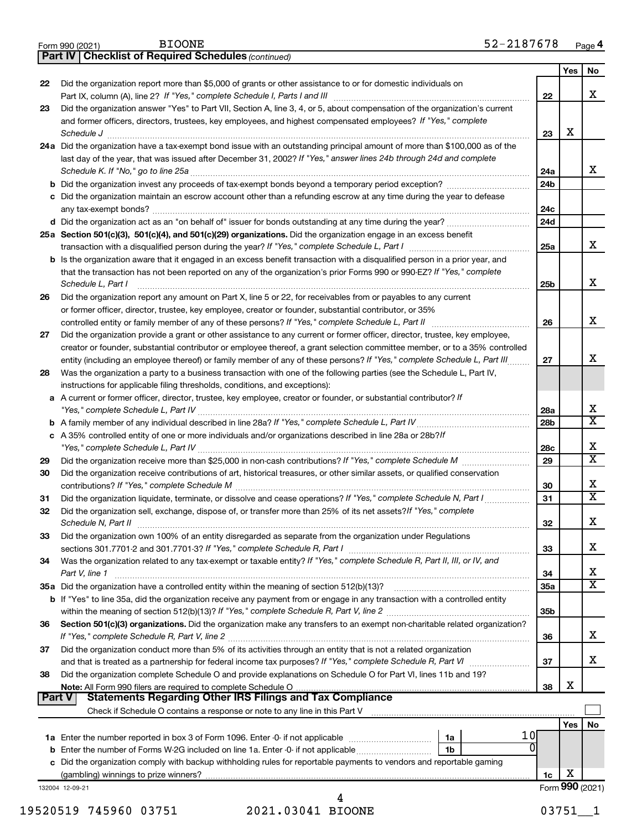|        | <b>Part IV   Checklist of Required Schedules (continued)</b>                                                                                                                                                                                          |                 |             |                         |
|--------|-------------------------------------------------------------------------------------------------------------------------------------------------------------------------------------------------------------------------------------------------------|-----------------|-------------|-------------------------|
|        |                                                                                                                                                                                                                                                       |                 | Yes         | No                      |
| 22     | Did the organization report more than \$5,000 of grants or other assistance to or for domestic individuals on                                                                                                                                         |                 |             |                         |
|        |                                                                                                                                                                                                                                                       | 22              |             | х                       |
| 23     | Did the organization answer "Yes" to Part VII, Section A, line 3, 4, or 5, about compensation of the organization's current                                                                                                                           |                 |             |                         |
|        | and former officers, directors, trustees, key employees, and highest compensated employees? If "Yes," complete                                                                                                                                        |                 |             |                         |
|        | Schedule J <b>Example 2 Contract 2 Contract 2 Contract 2 Contract 2 Contract 2 Contract 2 Contract 2 Contract 2 Contract 2 Contract 2 Contract 2 Contract 2 Contract 2 Contract 2 Contract 2 Con</b>                                                  | 23              | X           |                         |
|        | 24a Did the organization have a tax-exempt bond issue with an outstanding principal amount of more than \$100,000 as of the                                                                                                                           |                 |             |                         |
|        | last day of the year, that was issued after December 31, 2002? If "Yes," answer lines 24b through 24d and complete                                                                                                                                    |                 |             |                         |
|        |                                                                                                                                                                                                                                                       | 24a             |             | x                       |
|        |                                                                                                                                                                                                                                                       | 24b             |             |                         |
|        | c Did the organization maintain an escrow account other than a refunding escrow at any time during the year to defease                                                                                                                                |                 |             |                         |
|        |                                                                                                                                                                                                                                                       | 24c             |             |                         |
|        |                                                                                                                                                                                                                                                       | 24d             |             |                         |
|        | 25a Section 501(c)(3), 501(c)(4), and 501(c)(29) organizations. Did the organization engage in an excess benefit                                                                                                                                      |                 |             |                         |
|        |                                                                                                                                                                                                                                                       | 25a             |             | x                       |
|        |                                                                                                                                                                                                                                                       |                 |             |                         |
|        | b Is the organization aware that it engaged in an excess benefit transaction with a disqualified person in a prior year, and<br>that the transaction has not been reported on any of the organization's prior Forms 990 or 990-EZ? If "Yes," complete |                 |             |                         |
|        |                                                                                                                                                                                                                                                       |                 |             | x                       |
|        | Schedule L, Part I                                                                                                                                                                                                                                    | 25b             |             |                         |
| 26     | Did the organization report any amount on Part X, line 5 or 22, for receivables from or payables to any current                                                                                                                                       |                 |             |                         |
|        | or former officer, director, trustee, key employee, creator or founder, substantial contributor, or 35%                                                                                                                                               |                 |             | x                       |
|        | controlled entity or family member of any of these persons? If "Yes," complete Schedule L, Part II [ [ [ [ [ [ ] ]]                                                                                                                                   | 26              |             |                         |
| 27     | Did the organization provide a grant or other assistance to any current or former officer, director, trustee, key employee,                                                                                                                           |                 |             |                         |
|        | creator or founder, substantial contributor or employee thereof, a grant selection committee member, or to a 35% controlled                                                                                                                           |                 |             |                         |
|        | entity (including an employee thereof) or family member of any of these persons? If "Yes," complete Schedule L, Part III                                                                                                                              | 27              |             | x                       |
| 28     | Was the organization a party to a business transaction with one of the following parties (see the Schedule L, Part IV,                                                                                                                                |                 |             |                         |
|        | instructions for applicable filing thresholds, conditions, and exceptions):                                                                                                                                                                           |                 |             |                         |
|        | a A current or former officer, director, trustee, key employee, creator or founder, or substantial contributor? If                                                                                                                                    |                 |             |                         |
|        | "Yes," complete Schedule L, Part IV [11] [2010] The Schedule L, Part IV [2010] The Management Complete Schedule L, Part IV [2010] [2010] [2010] [2010] [2010] [2010] [2010] [2010] [2010] [2010] [2010] [2010] [2010] [2010] [                        | 28a             |             | х                       |
|        |                                                                                                                                                                                                                                                       | 28 <sub>b</sub> |             | $\overline{\mathtt{x}}$ |
|        | c A 35% controlled entity of one or more individuals and/or organizations described in line 28a or 28b?/f                                                                                                                                             |                 |             |                         |
|        |                                                                                                                                                                                                                                                       | 28c             |             | х                       |
| 29     |                                                                                                                                                                                                                                                       | 29              |             | $\overline{\texttt{x}}$ |
| 30     | Did the organization receive contributions of art, historical treasures, or other similar assets, or qualified conservation                                                                                                                           |                 |             |                         |
|        |                                                                                                                                                                                                                                                       | 30              |             | x                       |
| 31     | Did the organization liquidate, terminate, or dissolve and cease operations? If "Yes," complete Schedule N, Part I                                                                                                                                    | 31              |             | $\overline{\texttt{x}}$ |
| 32     | Did the organization sell, exchange, dispose of, or transfer more than 25% of its net assets? If "Yes," complete                                                                                                                                      |                 |             |                         |
|        | Schedule N, Part II                                                                                                                                                                                                                                   | 32              |             | Χ                       |
| 33     | Did the organization own 100% of an entity disregarded as separate from the organization under Regulations                                                                                                                                            |                 |             |                         |
|        |                                                                                                                                                                                                                                                       | 33              |             | x                       |
| 34     | Was the organization related to any tax-exempt or taxable entity? If "Yes," complete Schedule R, Part II, III, or IV, and                                                                                                                             |                 |             |                         |
|        | Part V, line 1                                                                                                                                                                                                                                        | 34              |             | х                       |
|        |                                                                                                                                                                                                                                                       | 35a             |             | X                       |
|        | b If "Yes" to line 35a, did the organization receive any payment from or engage in any transaction with a controlled entity                                                                                                                           |                 |             |                         |
|        |                                                                                                                                                                                                                                                       | 35b             |             |                         |
| 36     | Section 501(c)(3) organizations. Did the organization make any transfers to an exempt non-charitable related organization?                                                                                                                            |                 |             |                         |
|        |                                                                                                                                                                                                                                                       | 36              |             | х                       |
| 37     | Did the organization conduct more than 5% of its activities through an entity that is not a related organization                                                                                                                                      |                 |             |                         |
|        |                                                                                                                                                                                                                                                       | 37              |             | x                       |
| 38     | Did the organization complete Schedule O and provide explanations on Schedule O for Part VI, lines 11b and 19?                                                                                                                                        |                 |             |                         |
|        |                                                                                                                                                                                                                                                       | 38              | X           |                         |
| Part V | <b>Statements Regarding Other IRS Filings and Tax Compliance</b>                                                                                                                                                                                      |                 |             |                         |
|        | Check if Schedule O contains a response or note to any line in this Part V [11] matter than the Schedule O contains a response or note to any line in this Part V                                                                                     |                 |             |                         |
|        |                                                                                                                                                                                                                                                       |                 | Yes         | No                      |
|        | 10                                                                                                                                                                                                                                                    |                 |             |                         |
|        | 0<br>1 <sub>b</sub>                                                                                                                                                                                                                                   |                 |             |                         |
|        | c Did the organization comply with backup withholding rules for reportable payments to vendors and reportable gaming                                                                                                                                  |                 |             |                         |
|        |                                                                                                                                                                                                                                                       | 1c              | х           |                         |
|        | 132004 12-09-21                                                                                                                                                                                                                                       |                 |             | Form 990 (2021)         |
|        | 4                                                                                                                                                                                                                                                     |                 |             |                         |
|        | 520519 745960 03751<br>2021.03041 BIOONE                                                                                                                                                                                                              |                 | $03751 - 1$ |                         |
|        |                                                                                                                                                                                                                                                       |                 |             |                         |

Form 990 (2021) Page **4** BIOONE 52-2187678

| 19520519 745960 0375 |  |  |  |
|----------------------|--|--|--|
|----------------------|--|--|--|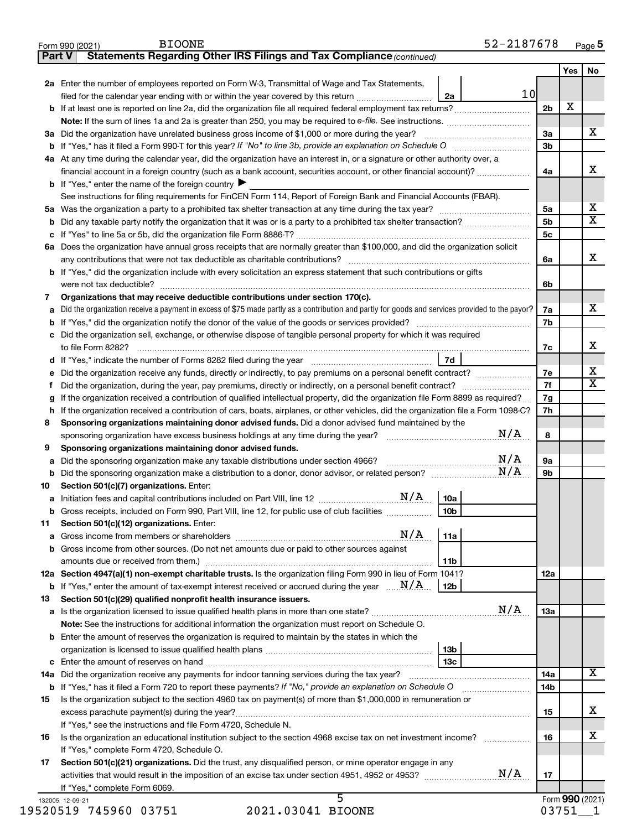|    | Statements Regarding Other IRS Filings and Tax Compliance (continued)<br>Part V                                                                                                                                                     |     |                 |                 |                        |     |
|----|-------------------------------------------------------------------------------------------------------------------------------------------------------------------------------------------------------------------------------------|-----|-----------------|-----------------|------------------------|-----|
|    | 2a Enter the number of employees reported on Form W-3, Transmittal of Wage and Tax Statements,                                                                                                                                      |     |                 |                 |                        | Yes |
|    | filed for the calendar year ending with or within the year covered by this return                                                                                                                                                   |     | 2a              | 10 <sub>l</sub> |                        |     |
|    |                                                                                                                                                                                                                                     |     |                 |                 | 2 <sub>b</sub>         | X   |
|    |                                                                                                                                                                                                                                     |     |                 |                 |                        |     |
|    | 3a Did the organization have unrelated business gross income of \$1,000 or more during the year?                                                                                                                                    |     |                 |                 | 3a                     |     |
|    |                                                                                                                                                                                                                                     |     |                 |                 | 3b                     |     |
|    | 4a At any time during the calendar year, did the organization have an interest in, or a signature or other authority over, a                                                                                                        |     |                 |                 |                        |     |
|    | financial account in a foreign country (such as a bank account, securities account, or other financial account)?                                                                                                                    |     |                 |                 | 4a                     |     |
|    | <b>b</b> If "Yes," enter the name of the foreign country $\blacktriangleright$                                                                                                                                                      |     |                 |                 |                        |     |
|    | See instructions for filing requirements for FinCEN Form 114, Report of Foreign Bank and Financial Accounts (FBAR).                                                                                                                 |     |                 |                 |                        |     |
|    |                                                                                                                                                                                                                                     |     |                 |                 | 5a                     |     |
| b  |                                                                                                                                                                                                                                     |     |                 |                 | 5 <sub>b</sub>         |     |
|    |                                                                                                                                                                                                                                     |     |                 |                 | 5c                     |     |
|    | 6a Does the organization have annual gross receipts that are normally greater than \$100,000, and did the organization solicit                                                                                                      |     |                 |                 |                        |     |
|    |                                                                                                                                                                                                                                     |     |                 |                 | 6a                     |     |
|    | <b>b</b> If "Yes," did the organization include with every solicitation an express statement that such contributions or gifts                                                                                                       |     |                 |                 |                        |     |
|    | were not tax deductible?                                                                                                                                                                                                            |     |                 |                 | 6b                     |     |
| 7  | Organizations that may receive deductible contributions under section 170(c).                                                                                                                                                       |     |                 |                 |                        |     |
| a  | Did the organization receive a payment in excess of \$75 made partly as a contribution and partly for goods and services provided to the payor?                                                                                     |     |                 |                 | 7a                     |     |
| b  |                                                                                                                                                                                                                                     |     |                 |                 | 7b                     |     |
| с  | Did the organization sell, exchange, or otherwise dispose of tangible personal property for which it was required                                                                                                                   |     |                 |                 |                        |     |
|    |                                                                                                                                                                                                                                     |     | 7d              |                 | 7c                     |     |
| d  | Did the organization receive any funds, directly or indirectly, to pay premiums on a personal benefit contract?                                                                                                                     |     |                 |                 | 7e                     |     |
| Ť. | Did the organization, during the year, pay premiums, directly or indirectly, on a personal benefit contract?                                                                                                                        |     |                 |                 | 7f                     |     |
|    | If the organization received a contribution of qualified intellectual property, did the organization file Form 8899 as required?                                                                                                    |     |                 |                 | 7g                     |     |
| h  | If the organization received a contribution of cars, boats, airplanes, or other vehicles, did the organization file a Form 1098-C?                                                                                                  |     |                 |                 | 7h                     |     |
| 8  | Sponsoring organizations maintaining donor advised funds. Did a donor advised fund maintained by the                                                                                                                                |     |                 |                 |                        |     |
|    | sponsoring organization have excess business holdings at any time during the year? [111] success that the year?                                                                                                                     |     |                 | N/A             | 8                      |     |
| 9  | Sponsoring organizations maintaining donor advised funds.                                                                                                                                                                           |     |                 |                 |                        |     |
| а  | Did the sponsoring organization make any taxable distributions under section 4966?                                                                                                                                                  |     |                 | N/A             | <b>9a</b>              |     |
| b  |                                                                                                                                                                                                                                     |     |                 | N/A             | 9b                     |     |
| 10 | Section 501(c)(7) organizations. Enter:                                                                                                                                                                                             |     |                 |                 |                        |     |
|    |                                                                                                                                                                                                                                     |     | 10a             |                 |                        |     |
|    | Gross receipts, included on Form 990, Part VIII, line 12, for public use of club facilities                                                                                                                                         | 10b |                 |                 |                        |     |
| 11 | Section 501(c)(12) organizations. Enter:                                                                                                                                                                                            |     |                 |                 |                        |     |
| а  | N/A                                                                                                                                                                                                                                 |     | 11a             |                 |                        |     |
| b  | Gross income from other sources. (Do not net amounts due or paid to other sources against                                                                                                                                           |     |                 |                 |                        |     |
|    |                                                                                                                                                                                                                                     |     | 11b             |                 |                        |     |
|    | 12a Section 4947(a)(1) non-exempt charitable trusts. Is the organization filing Form 990 in lieu of Form 1041?                                                                                                                      |     |                 |                 | 12a                    |     |
|    | <b>b</b> If "Yes," enter the amount of tax-exempt interest received or accrued during the year $\ldots$ $\mathbf{N}/\mathbf{A}$                                                                                                     | 12b |                 |                 |                        |     |
| 13 | Section 501(c)(29) qualified nonprofit health insurance issuers.                                                                                                                                                                    |     |                 |                 |                        |     |
| а  |                                                                                                                                                                                                                                     |     |                 | N/A             | 13a                    |     |
|    | Note: See the instructions for additional information the organization must report on Schedule O.                                                                                                                                   |     |                 |                 |                        |     |
|    | <b>b</b> Enter the amount of reserves the organization is required to maintain by the states in which the                                                                                                                           |     |                 |                 |                        |     |
|    |                                                                                                                                                                                                                                     |     | 13 <sub>b</sub> |                 |                        |     |
|    |                                                                                                                                                                                                                                     |     | 13c             |                 |                        |     |
|    | 14a Did the organization receive any payments for indoor tanning services during the tax year?                                                                                                                                      |     |                 |                 | 14a<br>14 <sub>b</sub> |     |
| 15 | <b>b</b> If "Yes," has it filed a Form 720 to report these payments? If "No," provide an explanation on Schedule O<br>Is the organization subject to the section 4960 tax on payment(s) of more than \$1,000,000 in remuneration or |     |                 |                 |                        |     |
|    | excess parachute payment(s) during the year?                                                                                                                                                                                        |     |                 |                 | 15                     |     |
|    | If "Yes," see the instructions and file Form 4720, Schedule N.                                                                                                                                                                      |     |                 |                 |                        |     |
| 16 | Is the organization an educational institution subject to the section 4968 excise tax on net investment income?                                                                                                                     |     |                 |                 | 16                     |     |
|    | If "Yes," complete Form 4720, Schedule O.                                                                                                                                                                                           |     |                 |                 |                        |     |
|    | Section 501(c)(21) organizations. Did the trust, any disqualified person, or mine operator engage in any                                                                                                                            |     |                 |                 |                        |     |
| 17 |                                                                                                                                                                                                                                     |     |                 |                 |                        |     |
|    |                                                                                                                                                                                                                                     |     |                 | N/A             | 17                     |     |
|    | If "Yes," complete Form 6069.                                                                                                                                                                                                       |     |                 |                 |                        |     |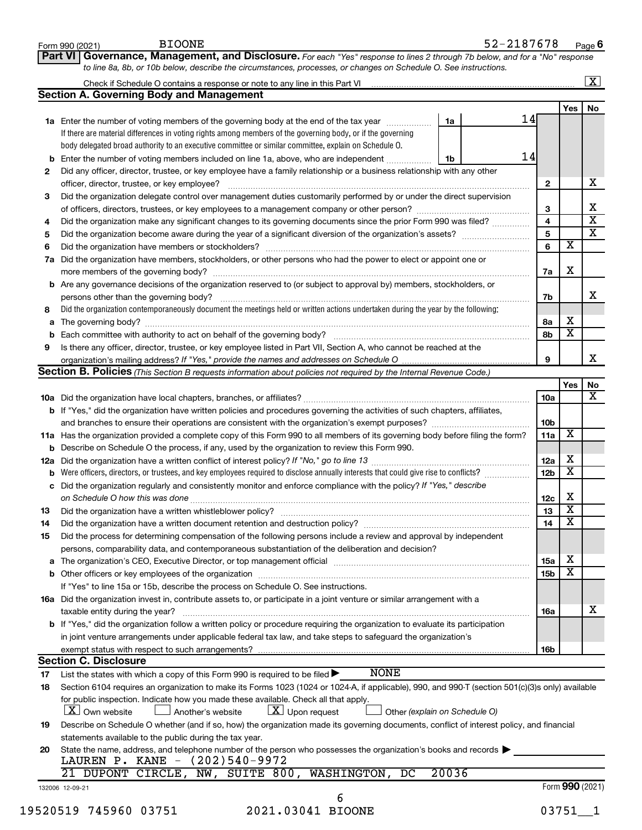|     | Part VI Governance, Management, and Disclosure. For each "Yes" response to lines 2 through 7b below, and for a "No" response                                                                                                   |       |    |                 |                         |  |
|-----|--------------------------------------------------------------------------------------------------------------------------------------------------------------------------------------------------------------------------------|-------|----|-----------------|-------------------------|--|
|     | to line 8a, 8b, or 10b below, describe the circumstances, processes, or changes on Schedule O. See instructions.                                                                                                               |       |    |                 |                         |  |
|     |                                                                                                                                                                                                                                |       |    |                 |                         |  |
|     | <b>Section A. Governing Body and Management</b>                                                                                                                                                                                |       |    |                 |                         |  |
|     |                                                                                                                                                                                                                                |       | 14 |                 | Yes                     |  |
|     | 1a Enter the number of voting members of the governing body at the end of the tax year                                                                                                                                         | 1a    |    |                 |                         |  |
|     | If there are material differences in voting rights among members of the governing body, or if the governing                                                                                                                    |       |    |                 |                         |  |
|     | body delegated broad authority to an executive committee or similar committee, explain on Schedule O.                                                                                                                          |       |    |                 |                         |  |
| b   | Enter the number of voting members included on line 1a, above, who are independent                                                                                                                                             | 1b    | 14 |                 |                         |  |
| 2   | Did any officer, director, trustee, or key employee have a family relationship or a business relationship with any other                                                                                                       |       |    |                 |                         |  |
|     | officer, director, trustee, or key employee?                                                                                                                                                                                   |       |    | $\mathbf{2}$    |                         |  |
| З   | Did the organization delegate control over management duties customarily performed by or under the direct supervision                                                                                                          |       |    |                 |                         |  |
|     |                                                                                                                                                                                                                                |       |    | 3               |                         |  |
| 4   | Did the organization make any significant changes to its governing documents since the prior Form 990 was filed?                                                                                                               |       |    | $\overline{4}$  |                         |  |
| 5   |                                                                                                                                                                                                                                |       |    | 5               |                         |  |
| 6   |                                                                                                                                                                                                                                |       |    | 6               | $\overline{\mathbf{x}}$ |  |
| 7a  | Did the organization have members, stockholders, or other persons who had the power to elect or appoint one or                                                                                                                 |       |    |                 |                         |  |
|     | more members of the governing body?                                                                                                                                                                                            |       |    | 7a              | X                       |  |
|     | <b>b</b> Are any governance decisions of the organization reserved to (or subject to approval by) members, stockholders, or                                                                                                    |       |    |                 |                         |  |
|     | persons other than the governing body?                                                                                                                                                                                         |       |    | 7b              |                         |  |
| 8   | Did the organization contemporaneously document the meetings held or written actions undertaken during the year by the following:                                                                                              |       |    |                 |                         |  |
|     |                                                                                                                                                                                                                                |       |    |                 | х                       |  |
| a   |                                                                                                                                                                                                                                |       |    | 8а              | $\overline{\mathbf{X}}$ |  |
|     | Each committee with authority to act on behalf of the governing body?                                                                                                                                                          |       |    | 8b              |                         |  |
| 9   | Is there any officer, director, trustee, or key employee listed in Part VII, Section A, who cannot be reached at the                                                                                                           |       |    |                 |                         |  |
|     |                                                                                                                                                                                                                                |       |    | 9               |                         |  |
|     | Section B. Policies (This Section B requests information about policies not required by the Internal Revenue Code.)                                                                                                            |       |    |                 |                         |  |
|     |                                                                                                                                                                                                                                |       |    |                 | Yes                     |  |
|     |                                                                                                                                                                                                                                |       |    | 10a             |                         |  |
|     | b If "Yes," did the organization have written policies and procedures governing the activities of such chapters, affiliates,                                                                                                   |       |    |                 |                         |  |
|     |                                                                                                                                                                                                                                |       |    | 10 <sub>b</sub> |                         |  |
|     | 11a Has the organization provided a complete copy of this Form 990 to all members of its governing body before filing the form?                                                                                                |       |    | 11a             | $\overline{\mathbf{X}}$ |  |
|     | <b>b</b> Describe on Schedule O the process, if any, used by the organization to review this Form 990.                                                                                                                         |       |    |                 |                         |  |
| 12a |                                                                                                                                                                                                                                |       |    | 12a             | х                       |  |
| b   | Were officers, directors, or trustees, and key employees required to disclose annually interests that could give rise to conflicts?                                                                                            |       |    | 12 <sub>b</sub> | $\overline{\textbf{X}}$ |  |
|     | Did the organization regularly and consistently monitor and enforce compliance with the policy? If "Yes," describe                                                                                                             |       |    |                 |                         |  |
|     | on Schedule O how this was done                                                                                                                                                                                                |       |    | 12c             | X                       |  |
| 13  |                                                                                                                                                                                                                                |       |    | 13              | х                       |  |
| 14  | Did the organization have a written document retention and destruction policy? [11] manufaction in the organization have a written document retention and destruction policy?                                                  |       |    | 14              | $\overline{\textbf{x}}$ |  |
| 15  | Did the process for determining compensation of the following persons include a review and approval by independent                                                                                                             |       |    |                 |                         |  |
|     | persons, comparability data, and contemporaneous substantiation of the deliberation and decision?                                                                                                                              |       |    |                 |                         |  |
|     | The organization's CEO, Executive Director, or top management official manufactured content of the organization's CEO, Executive Director, or top management official manufactured content of the state of the state of the st |       |    | 15a             | х                       |  |
|     |                                                                                                                                                                                                                                |       |    | 15 <sub>b</sub> | $\overline{\textbf{x}}$ |  |
|     |                                                                                                                                                                                                                                |       |    |                 |                         |  |
|     | If "Yes" to line 15a or 15b, describe the process on Schedule O. See instructions.                                                                                                                                             |       |    |                 |                         |  |
|     | 16a Did the organization invest in, contribute assets to, or participate in a joint venture or similar arrangement with a                                                                                                      |       |    |                 |                         |  |
|     | taxable entity during the year?                                                                                                                                                                                                |       |    | 16a             |                         |  |
|     | b If "Yes," did the organization follow a written policy or procedure requiring the organization to evaluate its participation                                                                                                 |       |    |                 |                         |  |
|     | in joint venture arrangements under applicable federal tax law, and take steps to safeguard the organization's                                                                                                                 |       |    |                 |                         |  |
|     | exempt status with respect to such arrangements?                                                                                                                                                                               |       |    | 16 <sub>b</sub> |                         |  |
|     | <b>Section C. Disclosure</b>                                                                                                                                                                                                   |       |    |                 |                         |  |
| 17  | <b>NONE</b><br>List the states with which a copy of this Form 990 is required to be filed $\blacktriangleright$                                                                                                                |       |    |                 |                         |  |
| 18  | Section 6104 requires an organization to make its Forms 1023 (1024 or 1024-A, if applicable), 990, and 990-T (section 501(c)(3)s only) available                                                                               |       |    |                 |                         |  |
|     | for public inspection. Indicate how you made these available. Check all that apply.                                                                                                                                            |       |    |                 |                         |  |
|     | $X$ Own website<br>$\lfloor x \rfloor$ Upon request<br>Another's website<br>Other (explain on Schedule O)                                                                                                                      |       |    |                 |                         |  |
| 19  | Describe on Schedule O whether (and if so, how) the organization made its governing documents, conflict of interest policy, and financial                                                                                      |       |    |                 |                         |  |
|     | statements available to the public during the tax year.                                                                                                                                                                        |       |    |                 |                         |  |
| 20  | State the name, address, and telephone number of the person who possesses the organization's books and records $\blacktriangleright$                                                                                           |       |    |                 |                         |  |
|     | LAUREN P. KANE - (202)540-9972                                                                                                                                                                                                 |       |    |                 |                         |  |
|     | 21 DUPONT CIRCLE, NW, SUITE 800, WASHINGTON,<br>DC                                                                                                                                                                             | 20036 |    |                 |                         |  |
|     | 132006 12-09-21                                                                                                                                                                                                                |       |    |                 | Form 990 (2021)         |  |
|     |                                                                                                                                                                                                                                |       |    |                 |                         |  |
|     | 2021.03041 BIOONE<br>19520519 745960 03751                                                                                                                                                                                     |       |    |                 | 03751                   |  |
|     |                                                                                                                                                                                                                                |       |    |                 |                         |  |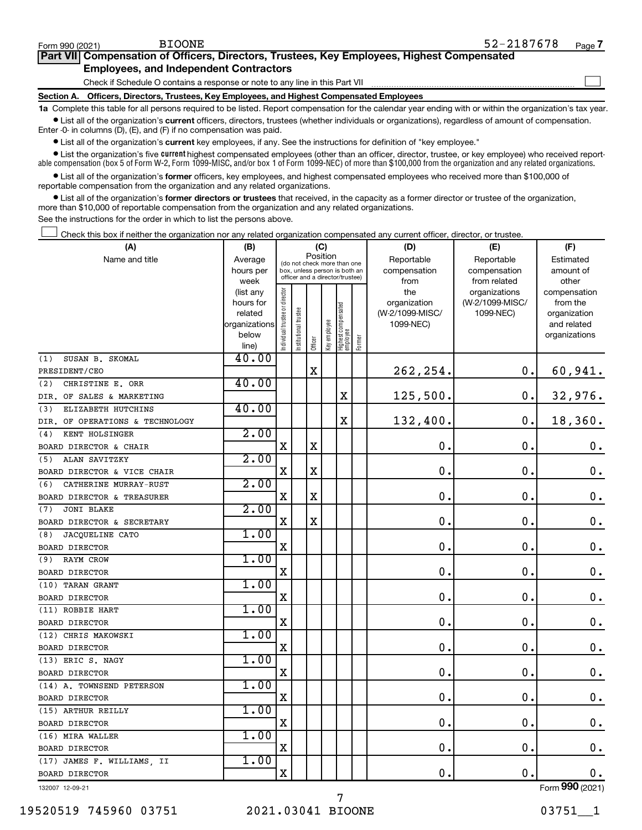$\Box$ 

| Part VII Compensation of Officers, Directors, Trustees, Key Employees, Highest Compensated |  |
|--------------------------------------------------------------------------------------------|--|
| <b>Employees, and Independent Contractors</b>                                              |  |

Check if Schedule O contains a response or note to any line in this Part VII

**Section A. Officers, Directors, Trustees, Key Employees, and Highest Compensated Employees**

**1a**  Complete this table for all persons required to be listed. Report compensation for the calendar year ending with or within the organization's tax year.  $\bullet$  List all of the organization's current officers, directors, trustees (whether individuals or organizations), regardless of amount of compensation.

Enter -0- in columns (D), (E), and (F) if no compensation was paid.

**•** List all of the organization's **current** key employees, if any. See the instructions for definition of "key employee."

• List the organization's five *current* highest compensated employees (other than an officer, director, trustee, or key employee) who received reportable compensation (box 5 of Form W-2, Form 1099-MISC, and/or box 1 of Form 1099-NEC) of more than \$100,000 from the organization and any related organizations.

 $\bullet$  List all of the organization's former officers, key employees, and highest compensated employees who received more than \$100,000 of reportable compensation from the organization and any related organizations.

**•** List all of the organization's former directors or trustees that received, in the capacity as a former director or trustee of the organization, more than \$10,000 of reportable compensation from the organization and any related organizations.

See the instructions for the order in which to list the persons above.

Check this box if neither the organization nor any related organization compensated any current officer, director, or trustee.  $\Box$ 

| (A)                             | (B)                      |                                |                                 | (C)         |              |                                   |        | (D)                          | (E)             | (F)                         |
|---------------------------------|--------------------------|--------------------------------|---------------------------------|-------------|--------------|-----------------------------------|--------|------------------------------|-----------------|-----------------------------|
| Name and title                  | Average                  |                                | (do not check more than one     | Position    |              |                                   |        | Reportable                   | Reportable      | Estimated                   |
|                                 | hours per                |                                | box, unless person is both an   |             |              |                                   |        | compensation                 | compensation    | amount of                   |
|                                 | week                     |                                | officer and a director/trustee) |             |              |                                   |        | from                         | from related    | other                       |
|                                 | (list any                |                                |                                 |             |              |                                   |        | the                          | organizations   | compensation                |
|                                 | hours for                |                                |                                 |             |              |                                   |        | organization                 | (W-2/1099-MISC/ | from the                    |
|                                 | related<br>organizations |                                |                                 |             |              |                                   |        | (W-2/1099-MISC/<br>1099-NEC) | 1099-NEC)       | organization<br>and related |
|                                 | below                    |                                |                                 |             |              |                                   |        |                              |                 | organizations               |
|                                 | line)                    | Individual trustee or director | nstitutional trustee            | Officer     | Key employee | Highest compensated<br>  employee | Former |                              |                 |                             |
| SUSAN B. SKOMAL<br>(1)          | 40.00                    |                                |                                 |             |              |                                   |        |                              |                 |                             |
| PRESIDENT/CEO                   |                          |                                |                                 | $\mathbf X$ |              |                                   |        | 262,254.                     | 0.              | 60,941.                     |
| (2)<br>CHRISTINE E. ORR         | 40.00                    |                                |                                 |             |              |                                   |        |                              |                 |                             |
| DIR. OF SALES & MARKETING       |                          |                                |                                 |             |              | $\mathbf X$                       |        | 125,500.                     | $\mathbf 0$ .   | 32,976.                     |
| ELIZABETH HUTCHINS<br>(3)       | 40.00                    |                                |                                 |             |              |                                   |        |                              |                 |                             |
| DIR. OF OPERATIONS & TECHNOLOGY |                          |                                |                                 |             |              | $\mathbf X$                       |        | 132,400.                     | О.              | 18,360.                     |
| KENT HOLSINGER<br>(4)           | 2.00                     |                                |                                 |             |              |                                   |        |                              |                 |                             |
| BOARD DIRECTOR & CHAIR          |                          | $\mathbf X$                    |                                 | $\mathbf X$ |              |                                   |        | $\mathbf 0$ .                | $\mathbf 0$ .   | 0.                          |
| (5)<br>ALAN SAVITZKY            | 2.00                     |                                |                                 |             |              |                                   |        |                              |                 |                             |
| BOARD DIRECTOR & VICE CHAIR     |                          | X                              |                                 | X           |              |                                   |        | $\mathbf 0$ .                | $\mathbf 0$ .   | $\mathbf 0$ .               |
| CATHERINE MURRAY-RUST<br>(6)    | 2.00                     |                                |                                 |             |              |                                   |        |                              |                 |                             |
| BOARD DIRECTOR & TREASURER      |                          | $\mathbf X$                    |                                 | $\mathbf X$ |              |                                   |        | $\mathbf 0$ .                | $\mathbf 0$ .   | 0.                          |
| <b>JONI BLAKE</b><br>(7)        | 2.00                     |                                |                                 |             |              |                                   |        |                              |                 |                             |
| BOARD DIRECTOR & SECRETARY      |                          | $\mathbf X$                    |                                 | $\mathbf X$ |              |                                   |        | $\mathbf 0$ .                | $\mathbf 0$ .   | 0.                          |
| JACQUELINE CATO<br>(8)          | 1.00                     |                                |                                 |             |              |                                   |        |                              |                 |                             |
| BOARD DIRECTOR                  |                          | X                              |                                 |             |              |                                   |        | $\mathbf 0$ .                | $\mathbf 0$ .   | 0.                          |
| RAYM CROW<br>(9)                | 1.00                     |                                |                                 |             |              |                                   |        |                              |                 |                             |
| <b>BOARD DIRECTOR</b>           |                          | X                              |                                 |             |              |                                   |        | $\mathbf 0$ .                | $\mathbf 0$ .   | $\mathbf 0$ .               |
| (10) TARAN GRANT                | 1.00                     |                                |                                 |             |              |                                   |        |                              |                 |                             |
| BOARD DIRECTOR                  |                          | X                              |                                 |             |              |                                   |        | $\mathbf 0$ .                | $\mathbf 0$ .   | $\mathbf 0$ .               |
| (11) ROBBIE HART                | 1.00                     |                                |                                 |             |              |                                   |        |                              |                 |                             |
| <b>BOARD DIRECTOR</b>           |                          | X                              |                                 |             |              |                                   |        | 0.                           | 0.              | $\mathbf 0$ .               |
| (12) CHRIS MAKOWSKI             | 1.00                     |                                |                                 |             |              |                                   |        |                              |                 |                             |
| <b>BOARD DIRECTOR</b>           |                          | $\mathbf X$                    |                                 |             |              |                                   |        | $\mathbf 0$ .                | $\mathbf 0$ .   | $\mathbf 0$ .               |
| (13) ERIC S. NAGY               | 1.00                     |                                |                                 |             |              |                                   |        |                              |                 |                             |
| <b>BOARD DIRECTOR</b>           |                          | X                              |                                 |             |              |                                   |        | $\mathbf 0$ .                | $\mathbf 0$ .   | $\mathbf 0$ .               |
| (14) A. TOWNSEND PETERSON       | 1.00                     |                                |                                 |             |              |                                   |        |                              |                 |                             |
| <b>BOARD DIRECTOR</b>           |                          | X                              |                                 |             |              |                                   |        | $\mathbf 0$ .                | $\mathbf 0$ .   | 0.                          |
| (15) ARTHUR REILLY              | 1.00                     |                                |                                 |             |              |                                   |        |                              |                 |                             |
| <b>BOARD DIRECTOR</b>           |                          | X                              |                                 |             |              |                                   |        | $\mathbf 0$ .                | $\mathbf 0$ .   | 0.                          |
| (16) MIRA WALLER                | 1.00                     |                                |                                 |             |              |                                   |        |                              |                 |                             |
| <b>BOARD DIRECTOR</b>           |                          | $\mathbf X$                    |                                 |             |              |                                   |        | 0.                           | $\mathbf 0$ .   | $\mathbf 0$ .               |
| (17) JAMES F. WILLIAMS, II      | 1.00                     |                                |                                 |             |              |                                   |        |                              |                 |                             |
| <b>BOARD DIRECTOR</b>           |                          | X                              |                                 |             |              |                                   |        | 0.                           | $\mathbf 0$ .   | $0$ .                       |
| 132007 12-09-21                 |                          |                                |                                 |             |              |                                   |        |                              |                 | Form 990 (2021)             |

19520519 745960 03751 2021.03041 BIOONE 03751\_\_1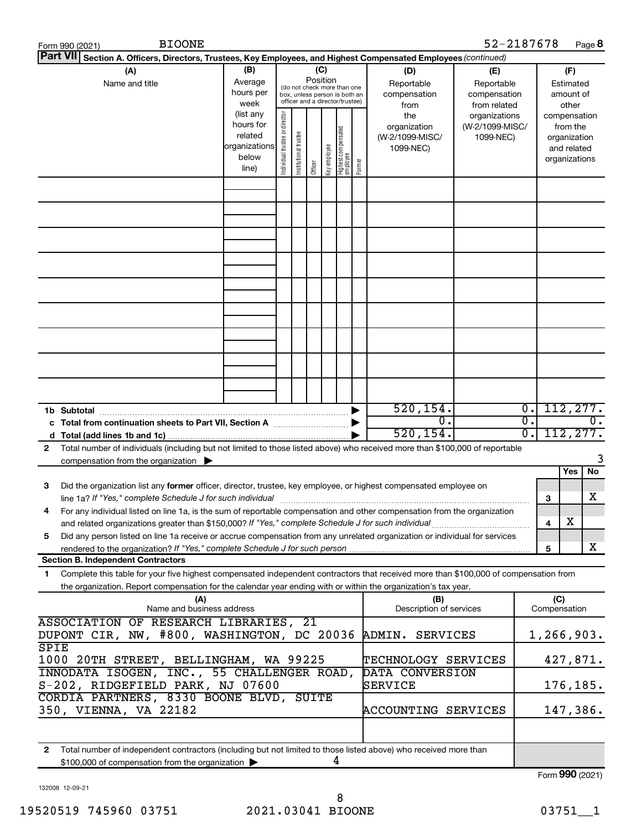|                                                                                      | <b>BIOONE</b><br>Form 990 (2021)                                                                                                                                                                                                                       |                                                                      |                                |                       |                 |              |                                                                                                 |                                        |                                                     | 52-2187678                                        |                                                 |          |                                                                          | Page 8 |
|--------------------------------------------------------------------------------------|--------------------------------------------------------------------------------------------------------------------------------------------------------------------------------------------------------------------------------------------------------|----------------------------------------------------------------------|--------------------------------|-----------------------|-----------------|--------------|-------------------------------------------------------------------------------------------------|----------------------------------------|-----------------------------------------------------|---------------------------------------------------|-------------------------------------------------|----------|--------------------------------------------------------------------------|--------|
| <b>Part VII</b>                                                                      | Section A. Officers, Directors, Trustees, Key Employees, and Highest Compensated Employees (continued)                                                                                                                                                 |                                                                      |                                |                       |                 |              |                                                                                                 |                                        |                                                     |                                                   |                                                 |          |                                                                          |        |
|                                                                                      | (A)<br>Name and title                                                                                                                                                                                                                                  | (B)<br>Average<br>hours per<br>week                                  |                                |                       | (C)<br>Position |              | (do not check more than one<br>box, unless person is both an<br>officer and a director/trustee) |                                        | (D)<br>Reportable<br>compensation<br>from           | (E)<br>Reportable<br>compensation<br>from related |                                                 |          | (F)<br>Estimated<br>amount of<br>other                                   |        |
|                                                                                      |                                                                                                                                                                                                                                                        | (list any<br>hours for<br>related<br>organizations<br>below<br>line) | Individual trustee or director | Institutional trustee | Officer         | key employee | Highest compensated<br>employee                                                                 | Former                                 | the<br>organization<br>(W-2/1099-MISC/<br>1099-NEC) | organizations<br>(W-2/1099-MISC/<br>1099-NEC)     |                                                 |          | compensation<br>from the<br>organization<br>and related<br>organizations |        |
|                                                                                      |                                                                                                                                                                                                                                                        |                                                                      |                                |                       |                 |              |                                                                                                 |                                        |                                                     |                                                   |                                                 |          |                                                                          |        |
|                                                                                      |                                                                                                                                                                                                                                                        |                                                                      |                                |                       |                 |              |                                                                                                 |                                        |                                                     |                                                   |                                                 |          |                                                                          |        |
|                                                                                      |                                                                                                                                                                                                                                                        |                                                                      |                                |                       |                 |              |                                                                                                 |                                        |                                                     |                                                   |                                                 |          |                                                                          |        |
|                                                                                      |                                                                                                                                                                                                                                                        |                                                                      |                                |                       |                 |              |                                                                                                 |                                        |                                                     |                                                   |                                                 |          |                                                                          |        |
|                                                                                      |                                                                                                                                                                                                                                                        |                                                                      |                                |                       |                 |              |                                                                                                 |                                        |                                                     |                                                   |                                                 |          |                                                                          |        |
|                                                                                      |                                                                                                                                                                                                                                                        |                                                                      |                                |                       |                 |              |                                                                                                 |                                        |                                                     |                                                   |                                                 |          |                                                                          |        |
|                                                                                      |                                                                                                                                                                                                                                                        |                                                                      |                                |                       |                 |              |                                                                                                 |                                        |                                                     |                                                   |                                                 |          |                                                                          |        |
|                                                                                      |                                                                                                                                                                                                                                                        |                                                                      |                                |                       |                 |              |                                                                                                 |                                        |                                                     |                                                   |                                                 |          |                                                                          |        |
|                                                                                      |                                                                                                                                                                                                                                                        |                                                                      |                                |                       |                 |              |                                                                                                 |                                        |                                                     |                                                   |                                                 |          |                                                                          |        |
|                                                                                      |                                                                                                                                                                                                                                                        |                                                                      |                                |                       |                 |              |                                                                                                 |                                        | 520, 154.                                           |                                                   | $\overline{0}$ .                                |          | 112, 277.                                                                |        |
|                                                                                      | c Total from continuation sheets to Part VII, Section A manufactured by                                                                                                                                                                                |                                                                      |                                |                       |                 |              |                                                                                                 |                                        | $\overline{0}$ .<br>520, 154.                       |                                                   | $\overline{\mathfrak{o}}$ .<br>$\overline{0}$ . |          | 112, 277.                                                                | 0.     |
| $\mathbf{2}$                                                                         | Total number of individuals (including but not limited to those listed above) who received more than \$100,000 of reportable                                                                                                                           |                                                                      |                                |                       |                 |              |                                                                                                 |                                        |                                                     |                                                   |                                                 |          |                                                                          | 3      |
|                                                                                      | compensation from the organization $\blacktriangleright$                                                                                                                                                                                               |                                                                      |                                |                       |                 |              |                                                                                                 |                                        |                                                     |                                                   |                                                 |          | Yes                                                                      | No     |
| З                                                                                    | Did the organization list any former officer, director, trustee, key employee, or highest compensated employee on                                                                                                                                      |                                                                      |                                |                       |                 |              |                                                                                                 |                                        |                                                     |                                                   |                                                 | 3        |                                                                          | х      |
| 4                                                                                    | For any individual listed on line 1a, is the sum of reportable compensation and other compensation from the organization                                                                                                                               |                                                                      |                                |                       |                 |              |                                                                                                 |                                        |                                                     |                                                   |                                                 | 4        | х                                                                        |        |
| 5                                                                                    | Did any person listed on line 1a receive or accrue compensation from any unrelated organization or individual for services                                                                                                                             |                                                                      |                                |                       |                 |              |                                                                                                 |                                        |                                                     |                                                   |                                                 |          |                                                                          | X      |
|                                                                                      | rendered to the organization? If "Yes," complete Schedule J for such person.<br><b>Section B. Independent Contractors</b>                                                                                                                              |                                                                      |                                |                       |                 |              |                                                                                                 |                                        |                                                     |                                                   |                                                 | 5        |                                                                          |        |
| 1.                                                                                   | Complete this table for your five highest compensated independent contractors that received more than \$100,000 of compensation from<br>the organization. Report compensation for the calendar year ending with or within the organization's tax year. |                                                                      |                                |                       |                 |              |                                                                                                 |                                        |                                                     |                                                   |                                                 |          |                                                                          |        |
|                                                                                      | (A)<br>Name and business address                                                                                                                                                                                                                       |                                                                      |                                |                       |                 |              |                                                                                                 |                                        | (B)<br>Description of services                      |                                                   |                                                 |          | (C)<br>Compensation                                                      |        |
|                                                                                      | ASSOCIATION OF RESEARCH LIBRARIES, 21                                                                                                                                                                                                                  |                                                                      |                                |                       |                 |              |                                                                                                 |                                        |                                                     |                                                   |                                                 |          |                                                                          |        |
| SPIE                                                                                 | DUPONT CIR, NW, #800, WASHINGTON, DC 20036                                                                                                                                                                                                             |                                                                      |                                |                       |                 |              |                                                                                                 |                                        | ADMIN.<br>SERVICES                                  |                                                   |                                                 |          | 1,266,903.                                                               |        |
| 1000 20TH STREET, BELLINGHAM, WA 99225<br>INNODATA ISOGEN, INC., 55 CHALLENGER ROAD, |                                                                                                                                                                                                                                                        |                                                                      |                                |                       |                 |              |                                                                                                 | TECHNOLOGY SERVICES<br>DATA CONVERSION |                                                     |                                                   |                                                 | 427,871. |                                                                          |        |
|                                                                                      | S-202, RIDGEFIELD PARK, NJ 07600<br>CORDIA PARTNERS, 8330 BOONE BLVD, SUITE                                                                                                                                                                            |                                                                      |                                |                       |                 |              |                                                                                                 |                                        | SERVICE                                             |                                                   |                                                 |          | 176,185.                                                                 |        |
|                                                                                      | 350, VIENNA, VA 22182                                                                                                                                                                                                                                  |                                                                      |                                |                       |                 |              |                                                                                                 |                                        | ACCOUNTING SERVICES                                 |                                                   |                                                 |          | 147,386.                                                                 |        |
|                                                                                      |                                                                                                                                                                                                                                                        |                                                                      |                                |                       |                 |              |                                                                                                 |                                        |                                                     |                                                   |                                                 |          |                                                                          |        |
| $\mathbf{2}$                                                                         | Total number of independent contractors (including but not limited to those listed above) who received more than<br>\$100,000 of compensation from the organization                                                                                    |                                                                      |                                |                       |                 |              | 4                                                                                               |                                        |                                                     |                                                   |                                                 |          |                                                                          |        |
|                                                                                      |                                                                                                                                                                                                                                                        |                                                                      |                                |                       |                 |              |                                                                                                 |                                        |                                                     |                                                   |                                                 |          | Form 990 (2021)                                                          |        |

132008 12-09-21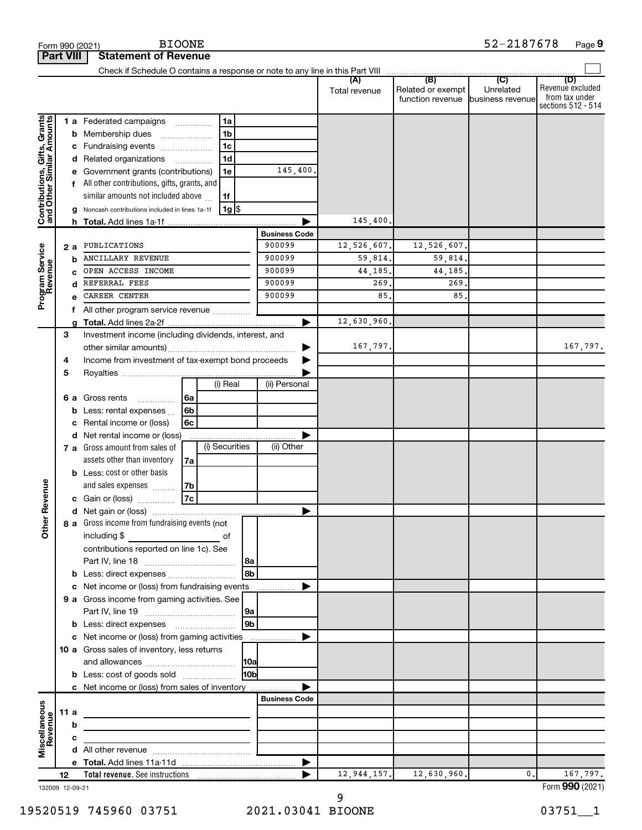|                                                                                                                                                                                                                                                                                                              |                         |                                                       | <b>BIOONE</b>                                                                                                          |                 |                      |                 |                                       | 52-2187678                    | Page 9                                                          |
|--------------------------------------------------------------------------------------------------------------------------------------------------------------------------------------------------------------------------------------------------------------------------------------------------------------|-------------------------|-------------------------------------------------------|------------------------------------------------------------------------------------------------------------------------|-----------------|----------------------|-----------------|---------------------------------------|-------------------------------|-----------------------------------------------------------------|
|                                                                                                                                                                                                                                                                                                              |                         |                                                       | <b>Statement of Revenue</b>                                                                                            |                 |                      |                 |                                       |                               |                                                                 |
|                                                                                                                                                                                                                                                                                                              |                         |                                                       |                                                                                                                        |                 |                      |                 |                                       |                               |                                                                 |
|                                                                                                                                                                                                                                                                                                              |                         |                                                       |                                                                                                                        |                 |                      | Total revenue   | Related or exempt<br>function revenue | Unrelated<br>business revenue | (D)<br>Revenue excluded<br>from tax under<br>sections 512 - 514 |
|                                                                                                                                                                                                                                                                                                              |                         |                                                       | 1 a Federated campaigns                                                                                                | 1a              |                      |                 |                                       |                               |                                                                 |
| Form 990 (2021)<br><b>Part VIII</b><br>Contributions, Gifts, Grants<br>and Other Similar Amounts<br>е<br>f<br>h<br>Program Service<br>Revenue<br>2 a<br>b<br>c<br>d<br>e<br>f<br>a<br>3<br>4<br>5<br>b<br>c<br>evenue<br>Other <sub>R</sub><br>Miscellaneous<br>Revenue<br>11 a<br>b<br>c<br>12 <sup>2</sup> |                         | <b>b</b> Membership dues                              | 1 <sub>b</sub>                                                                                                         |                 |                      |                 |                                       |                               |                                                                 |
|                                                                                                                                                                                                                                                                                                              | c Fundraising events    | 1 <sub>c</sub>                                        |                                                                                                                        |                 |                      |                 |                                       |                               |                                                                 |
|                                                                                                                                                                                                                                                                                                              | d Related organizations | 1 <sub>d</sub>                                        |                                                                                                                        |                 |                      |                 |                                       |                               |                                                                 |
|                                                                                                                                                                                                                                                                                                              |                         |                                                       | Government grants (contributions)                                                                                      | 1e              | 145,400.             |                 |                                       |                               |                                                                 |
|                                                                                                                                                                                                                                                                                                              |                         |                                                       | All other contributions, gifts, grants, and                                                                            |                 |                      |                 |                                       |                               |                                                                 |
|                                                                                                                                                                                                                                                                                                              |                         |                                                       | similar amounts not included above                                                                                     | 1f              |                      |                 |                                       |                               |                                                                 |
|                                                                                                                                                                                                                                                                                                              |                         |                                                       | Noncash contributions included in lines 1a-1f                                                                          | 1g  \$          |                      |                 |                                       |                               |                                                                 |
|                                                                                                                                                                                                                                                                                                              |                         |                                                       |                                                                                                                        |                 |                      | 145,400.        |                                       |                               |                                                                 |
|                                                                                                                                                                                                                                                                                                              |                         |                                                       |                                                                                                                        |                 | <b>Business Code</b> |                 |                                       |                               |                                                                 |
|                                                                                                                                                                                                                                                                                                              |                         |                                                       | PUBLICATIONS                                                                                                           |                 | 900099               | 12,526,607.     | 12,526,607.                           |                               |                                                                 |
|                                                                                                                                                                                                                                                                                                              |                         |                                                       | ANCILLARY REVENUE                                                                                                      |                 | 900099               | 59,814.         | 59,814.                               |                               |                                                                 |
|                                                                                                                                                                                                                                                                                                              |                         |                                                       | OPEN ACCESS INCOME                                                                                                     |                 | 900099               |                 | 44,185,                               |                               |                                                                 |
|                                                                                                                                                                                                                                                                                                              |                         |                                                       | REFERRAL FEES                                                                                                          |                 | 900099               | 44,185.<br>269. | 269                                   |                               |                                                                 |
|                                                                                                                                                                                                                                                                                                              |                         |                                                       | CAREER CENTER                                                                                                          |                 | 900099               | 85.             | 85                                    |                               |                                                                 |
|                                                                                                                                                                                                                                                                                                              |                         | 6 a Gross rents                                       |                                                                                                                        |                 |                      |                 |                                       |                               |                                                                 |
|                                                                                                                                                                                                                                                                                                              |                         |                                                       | All other program service revenue                                                                                      |                 |                      |                 |                                       |                               |                                                                 |
|                                                                                                                                                                                                                                                                                                              |                         |                                                       |                                                                                                                        |                 | ▶                    | 12,630,960.     |                                       |                               |                                                                 |
|                                                                                                                                                                                                                                                                                                              |                         | Investment income (including dividends, interest, and |                                                                                                                        |                 | 167,797.             |                 |                                       |                               |                                                                 |
|                                                                                                                                                                                                                                                                                                              |                         |                                                       |                                                                                                                        | ▶               |                      |                 |                                       | 167,797.                      |                                                                 |
|                                                                                                                                                                                                                                                                                                              |                         |                                                       | Income from investment of tax-exempt bond proceeds                                                                     |                 |                      |                 |                                       |                               |                                                                 |
|                                                                                                                                                                                                                                                                                                              |                         |                                                       | (i) Real                                                                                                               | (ii) Personal   |                      |                 |                                       |                               |                                                                 |
|                                                                                                                                                                                                                                                                                                              |                         |                                                       |                                                                                                                        |                 |                      |                 |                                       |                               |                                                                 |
|                                                                                                                                                                                                                                                                                                              |                         | 6a<br>.                                               |                                                                                                                        |                 |                      |                 |                                       |                               |                                                                 |
|                                                                                                                                                                                                                                                                                                              |                         |                                                       | 6 <sub>b</sub><br>Less: rental expenses                                                                                |                 |                      |                 |                                       |                               |                                                                 |
|                                                                                                                                                                                                                                                                                                              |                         |                                                       | 6c<br>Rental income or (loss)                                                                                          |                 |                      |                 |                                       |                               |                                                                 |
|                                                                                                                                                                                                                                                                                                              |                         |                                                       | d Net rental income or (loss)                                                                                          |                 |                      |                 |                                       |                               |                                                                 |
|                                                                                                                                                                                                                                                                                                              |                         |                                                       | 7 a Gross amount from sales of                                                                                         | (i) Securities  | (ii) Other           |                 |                                       |                               |                                                                 |
|                                                                                                                                                                                                                                                                                                              |                         |                                                       | assets other than inventory<br>7a                                                                                      |                 |                      |                 |                                       |                               |                                                                 |
|                                                                                                                                                                                                                                                                                                              |                         |                                                       | <b>b</b> Less: cost or other basis                                                                                     |                 |                      |                 |                                       |                               |                                                                 |
|                                                                                                                                                                                                                                                                                                              |                         |                                                       | 7b<br>and sales expenses                                                                                               |                 |                      |                 |                                       |                               |                                                                 |
|                                                                                                                                                                                                                                                                                                              |                         |                                                       | 7c<br>c Gain or (loss)                                                                                                 |                 |                      |                 |                                       |                               |                                                                 |
|                                                                                                                                                                                                                                                                                                              |                         |                                                       |                                                                                                                        |                 |                      |                 |                                       |                               |                                                                 |
|                                                                                                                                                                                                                                                                                                              |                         |                                                       | 8 a Gross income from fundraising events (not                                                                          |                 |                      |                 |                                       |                               |                                                                 |
|                                                                                                                                                                                                                                                                                                              |                         |                                                       | including \$<br><u>_______________________</u> of                                                                      |                 |                      |                 |                                       |                               |                                                                 |
|                                                                                                                                                                                                                                                                                                              |                         |                                                       | contributions reported on line 1c). See                                                                                |                 |                      |                 |                                       |                               |                                                                 |
|                                                                                                                                                                                                                                                                                                              |                         |                                                       |                                                                                                                        |                 |                      |                 |                                       |                               |                                                                 |
|                                                                                                                                                                                                                                                                                                              |                         |                                                       | <b>b</b> Less: direct expenses                                                                                         | l 8b            |                      |                 |                                       |                               |                                                                 |
|                                                                                                                                                                                                                                                                                                              |                         |                                                       | c Net income or (loss) from fundraising events                                                                         |                 | ▶                    |                 |                                       |                               |                                                                 |
|                                                                                                                                                                                                                                                                                                              |                         |                                                       | 9 a Gross income from gaming activities. See                                                                           |                 |                      |                 |                                       |                               |                                                                 |
|                                                                                                                                                                                                                                                                                                              |                         |                                                       |                                                                                                                        |                 |                      |                 |                                       |                               |                                                                 |
|                                                                                                                                                                                                                                                                                                              |                         |                                                       |                                                                                                                        | l 9b            |                      |                 |                                       |                               |                                                                 |
|                                                                                                                                                                                                                                                                                                              |                         |                                                       | c Net income or (loss) from gaming activities                                                                          |                 | ▶                    |                 |                                       |                               |                                                                 |
|                                                                                                                                                                                                                                                                                                              |                         |                                                       | 10 a Gross sales of inventory, less returns                                                                            |                 |                      |                 |                                       |                               |                                                                 |
|                                                                                                                                                                                                                                                                                                              |                         |                                                       |                                                                                                                        |                 |                      |                 |                                       |                               |                                                                 |
|                                                                                                                                                                                                                                                                                                              |                         |                                                       | <b>b</b> Less: cost of goods sold                                                                                      | 10 <sub>b</sub> |                      |                 |                                       |                               |                                                                 |
|                                                                                                                                                                                                                                                                                                              |                         |                                                       | c Net income or (loss) from sales of inventory                                                                         |                 | ▶                    |                 |                                       |                               |                                                                 |
|                                                                                                                                                                                                                                                                                                              |                         |                                                       |                                                                                                                        |                 | <b>Business Code</b> |                 |                                       |                               |                                                                 |
|                                                                                                                                                                                                                                                                                                              |                         |                                                       | <u> 1980 - Johann Stein, marwolaethau a bhann an t-Albann an t-Albann an t-Albann an t-Albann an t-Albann an t-Alb</u> |                 |                      |                 |                                       |                               |                                                                 |
|                                                                                                                                                                                                                                                                                                              |                         |                                                       | the control of the control of the control of the control of the control of                                             |                 |                      |                 |                                       |                               |                                                                 |
|                                                                                                                                                                                                                                                                                                              |                         |                                                       | <u> 1989 - Johann Barbara, martxa alemaniar a</u>                                                                      |                 |                      |                 |                                       |                               |                                                                 |
|                                                                                                                                                                                                                                                                                                              |                         |                                                       |                                                                                                                        |                 |                      |                 |                                       |                               |                                                                 |
|                                                                                                                                                                                                                                                                                                              |                         |                                                       |                                                                                                                        |                 |                      |                 |                                       |                               |                                                                 |
|                                                                                                                                                                                                                                                                                                              |                         |                                                       |                                                                                                                        |                 |                      | 12, 944, 157.   | 12,630,960.                           | $\mathbf{0}$ .                | 167,797.                                                        |
| 132009 12-09-21                                                                                                                                                                                                                                                                                              |                         |                                                       |                                                                                                                        |                 |                      |                 |                                       |                               | Form 990 (2021)                                                 |

132009 12-09-21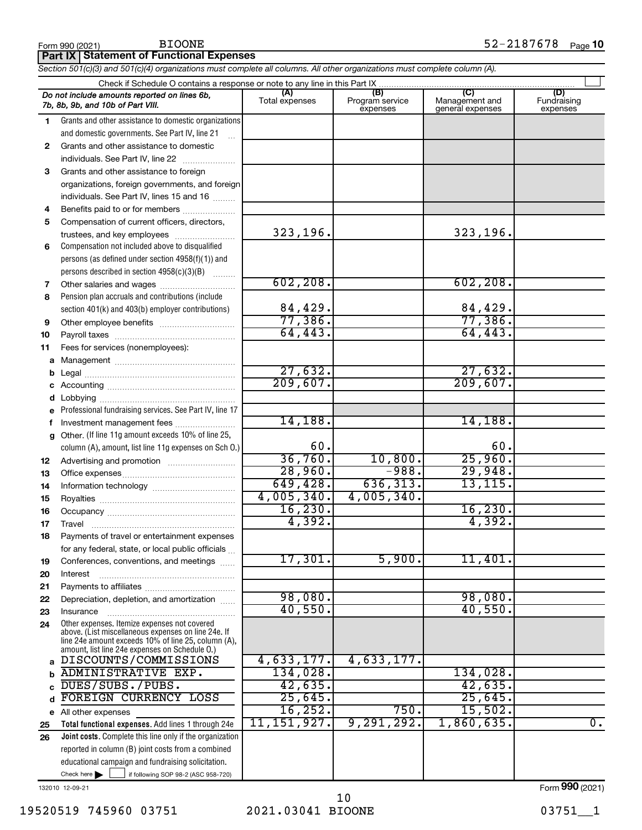|              | Section 50 HCJ(3) and 50 HCJ(4) organizations must complete all columns. All other organizations must complete column (A).                                 |                      |                             |                                    |                         |
|--------------|------------------------------------------------------------------------------------------------------------------------------------------------------------|----------------------|-----------------------------|------------------------------------|-------------------------|
|              |                                                                                                                                                            | (A)                  | (B)                         | (C)                                | (D)                     |
|              | Do not include amounts reported on lines 6b,<br>7b, 8b, 9b, and 10b of Part VIII.                                                                          | Total expenses       | Program service<br>expenses | Management and<br>general expenses | Fundraising<br>expenses |
| 1            | Grants and other assistance to domestic organizations                                                                                                      |                      |                             |                                    |                         |
|              | and domestic governments. See Part IV, line 21<br>$\mathbf{r}$                                                                                             |                      |                             |                                    |                         |
| $\mathbf{2}$ | Grants and other assistance to domestic                                                                                                                    |                      |                             |                                    |                         |
|              | individuals. See Part IV, line 22                                                                                                                          |                      |                             |                                    |                         |
| 3            | Grants and other assistance to foreign                                                                                                                     |                      |                             |                                    |                         |
|              | organizations, foreign governments, and foreign                                                                                                            |                      |                             |                                    |                         |
|              | individuals. See Part IV, lines 15 and 16                                                                                                                  |                      |                             |                                    |                         |
| 4            | Benefits paid to or for members                                                                                                                            |                      |                             |                                    |                         |
| 5            | Compensation of current officers, directors,                                                                                                               | 323,196.             |                             | 323,196.                           |                         |
|              | trustees, and key employees                                                                                                                                |                      |                             |                                    |                         |
| 6            | Compensation not included above to disqualified<br>persons (as defined under section 4958(f)(1)) and                                                       |                      |                             |                                    |                         |
|              | persons described in section 4958(c)(3)(B)                                                                                                                 |                      |                             |                                    |                         |
| 7            |                                                                                                                                                            | 602, 208.            |                             | 602, 208.                          |                         |
| 8            | Pension plan accruals and contributions (include                                                                                                           |                      |                             |                                    |                         |
|              | section 401(k) and 403(b) employer contributions)                                                                                                          | 84,429.              |                             | 84,429.                            |                         |
| 9            |                                                                                                                                                            | 77,386.              |                             | 77,386.                            |                         |
| 10           |                                                                                                                                                            | 64, 443.             |                             | 64,443.                            |                         |
| 11           | Fees for services (nonemployees):                                                                                                                          |                      |                             |                                    |                         |
|              |                                                                                                                                                            |                      |                             |                                    |                         |
| b            |                                                                                                                                                            | 27,632.              |                             | 27,632.                            |                         |
|              |                                                                                                                                                            | 209,607.             |                             | 209,607.                           |                         |
| d            |                                                                                                                                                            |                      |                             |                                    |                         |
|              | e Professional fundraising services. See Part IV, line 17                                                                                                  |                      |                             |                                    |                         |
| f.           | Investment management fees                                                                                                                                 | 14,188.              |                             | 14,188.                            |                         |
| g            | Other. (If line 11g amount exceeds 10% of line 25,                                                                                                         |                      |                             |                                    |                         |
|              | column (A), amount, list line 11g expenses on Sch O.)                                                                                                      | 60.                  |                             | 60.                                |                         |
| 12           |                                                                                                                                                            | 36,760.              | 10,800.<br>$-988.$          | 25,960.                            |                         |
| 13           |                                                                                                                                                            | 28,960.<br>649, 428. | 636, 313.                   | 29,948.<br>13, 115.                |                         |
| 14           |                                                                                                                                                            | 4,005,340.           | 4,005,340.                  |                                    |                         |
| 15           |                                                                                                                                                            | 16, 230.             |                             | 16, 230.                           |                         |
| 16           |                                                                                                                                                            | 4,392.               |                             | 4,392.                             |                         |
| 17           | Payments of travel or entertainment expenses                                                                                                               |                      |                             |                                    |                         |
| 18           | for any federal, state, or local public officials                                                                                                          |                      |                             |                                    |                         |
| 19           | Conferences, conventions, and meetings                                                                                                                     | $17,301$ .           | 5,900.                      | 11,401.                            |                         |
| 20           | Interest                                                                                                                                                   |                      |                             |                                    |                         |
| 21           |                                                                                                                                                            |                      |                             |                                    |                         |
| 22           | Depreciation, depletion, and amortization                                                                                                                  | 98,080.              |                             | 98,080.                            |                         |
| 23           | Insurance                                                                                                                                                  | 40,550.              |                             | 40,550.                            |                         |
| 24           | Other expenses. Itemize expenses not covered<br>above. (List miscellaneous expenses on line 24e. If<br>line 24e amount exceeds 10% of line 25, column (A), |                      |                             |                                    |                         |
|              | amount, list line 24e expenses on Schedule O.)<br>DISCOUNTS/COMMISSIONS                                                                                    | 4,633,177.           | 4,633,177.                  |                                    |                         |
| b            | <b>ADMINISTRATIVE EXP.</b>                                                                                                                                 | 134,028.             |                             | 134,028.                           |                         |
|              | DUES/SUBS./PUBS.                                                                                                                                           | 42,635.              |                             | 42,635.                            |                         |
| d            | FOREIGN CURRENCY LOSS                                                                                                                                      | 25,645.              |                             | 25,645.                            |                         |
|              | e All other expenses                                                                                                                                       | 16, 252.             | 750.                        | 15,502.                            |                         |
| 25           | Total functional expenses. Add lines 1 through 24e                                                                                                         | 11,151,927.          | 9,291,292.                  | 1,860,635.                         | $\overline{0}$ .        |
| 26           | Joint costs. Complete this line only if the organization                                                                                                   |                      |                             |                                    |                         |
|              | reported in column (B) joint costs from a combined                                                                                                         |                      |                             |                                    |                         |
|              | educational campaign and fundraising solicitation.                                                                                                         |                      |                             |                                    |                         |
|              | Check here $\blacktriangleright$<br>if following SOP 98-2 (ASC 958-720)                                                                                    |                      |                             |                                    |                         |

132010 12-09-21

Form (2021) **990**

**Part IX Statement of Functional Expenses**

*Section 501(c)(3) and 501(c)(4) organizations must complete all columns. All other organizations must complete column (A).*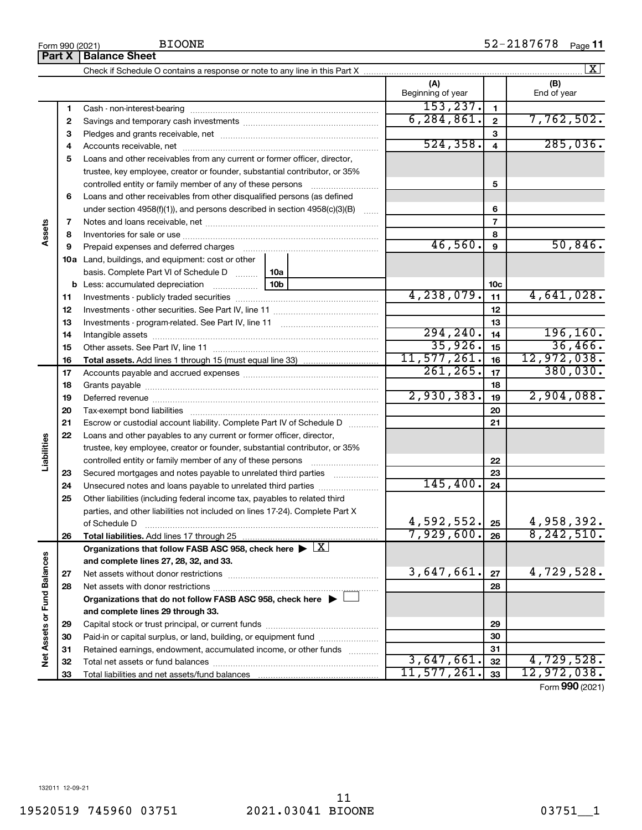**Part X Balance Sheet** 

| e to any line in this Part X |  |  |
|------------------------------|--|--|
|                              |  |  |

 $\boxed{\text{X}}$ 

|                             |    |                                                                                                        |     |              |                          |                         | X                  |
|-----------------------------|----|--------------------------------------------------------------------------------------------------------|-----|--------------|--------------------------|-------------------------|--------------------|
|                             |    |                                                                                                        |     |              | (A)<br>Beginning of year |                         | (B)<br>End of year |
|                             | 1  |                                                                                                        |     |              | 153, 237.                | 1                       |                    |
|                             | 2  |                                                                                                        |     |              | 6, 284, 861.             | $\overline{2}$          | 7,762,502.         |
|                             | з  |                                                                                                        |     |              |                          | 3                       |                    |
|                             | 4  |                                                                                                        |     |              | 524, 358.                | $\overline{\mathbf{4}}$ | 285,036.           |
|                             | 5  | Loans and other receivables from any current or former officer, director,                              |     |              |                          |                         |                    |
|                             |    | trustee, key employee, creator or founder, substantial contributor, or 35%                             |     |              |                          |                         |                    |
|                             |    |                                                                                                        |     |              |                          | 5                       |                    |
|                             | 6  | Loans and other receivables from other disqualified persons (as defined                                |     |              |                          |                         |                    |
|                             |    | under section $4958(f)(1)$ , and persons described in section $4958(c)(3)(B)$                          |     | <b>Salar</b> |                          | 6                       |                    |
|                             | 7  |                                                                                                        |     |              |                          | 7                       |                    |
| Assets                      | 8  |                                                                                                        |     |              |                          | 8                       |                    |
|                             | 9  | Prepaid expenses and deferred charges                                                                  |     |              | 46,560.                  | 9                       | 50,846.            |
|                             |    | 10a Land, buildings, and equipment: cost or other                                                      |     |              |                          |                         |                    |
|                             |    | basis. Complete Part VI of Schedule D    10a                                                           |     |              |                          |                         |                    |
|                             |    | <b>b</b> Less: accumulated depreciation                                                                | 10b |              |                          | 10c                     |                    |
|                             | 11 |                                                                                                        |     |              | 4, 238, 079.             | 11                      | 4,641,028.         |
|                             | 12 |                                                                                                        |     |              |                          | 12                      |                    |
|                             | 13 |                                                                                                        |     |              |                          | 13                      |                    |
|                             | 14 |                                                                                                        |     |              | 294, 240.                | 14                      | 196, 160.          |
|                             | 15 |                                                                                                        |     |              | 35,926.                  | 15                      | 36,466.            |
|                             | 16 |                                                                                                        |     |              | 11,577,261.              | 16                      | 12,972,038.        |
|                             | 17 |                                                                                                        |     |              | 261, 265.                | 17                      | 380,030.           |
|                             | 18 |                                                                                                        |     |              |                          | 18                      |                    |
|                             | 19 |                                                                                                        |     |              | 2,930,383.               | 19                      | 2,904,088.         |
|                             | 20 |                                                                                                        |     |              |                          | 20                      |                    |
|                             | 21 | Escrow or custodial account liability. Complete Part IV of Schedule D                                  |     |              |                          | 21                      |                    |
|                             | 22 | Loans and other payables to any current or former officer, director,                                   |     |              |                          |                         |                    |
| Liabilities                 |    | trustee, key employee, creator or founder, substantial contributor, or 35%                             |     |              |                          |                         |                    |
|                             |    |                                                                                                        |     |              |                          | 22                      |                    |
|                             | 23 | Secured mortgages and notes payable to unrelated third parties                                         |     |              |                          | 23                      |                    |
|                             | 24 | Unsecured notes and loans payable to unrelated third parties                                           |     |              | 145,400.                 | 24                      |                    |
|                             | 25 | Other liabilities (including federal income tax, payables to related third                             |     |              |                          |                         |                    |
|                             |    | parties, and other liabilities not included on lines 17-24). Complete Part X                           |     |              |                          |                         |                    |
|                             |    | of Schedule D <b>www.arenamines.com</b>                                                                |     |              | 4,592,552.               | 25                      | 4,958,392.         |
|                             | 26 | Total liabilities. Add lines 17 through 25                                                             |     |              | 7,929,600.               | 26                      | 8, 242, 510.       |
|                             |    | Organizations that follow FASB ASC 958, check here $\blacktriangleright \lfloor \underline{X} \rfloor$ |     |              |                          |                         |                    |
|                             |    | and complete lines 27, 28, 32, and 33.                                                                 |     |              |                          |                         | 4,729,528.         |
|                             | 27 |                                                                                                        |     |              | 3,647,661.               | 27                      |                    |
|                             | 28 |                                                                                                        |     |              |                          | 28                      |                    |
|                             |    | Organizations that do not follow FASB ASC 958, check here $\blacktriangleright$                        |     |              |                          |                         |                    |
| Net Assets or Fund Balances |    | and complete lines 29 through 33.                                                                      |     |              |                          |                         |                    |
|                             | 29 |                                                                                                        |     |              |                          | 29                      |                    |
|                             | 30 | Paid-in or capital surplus, or land, building, or equipment fund                                       |     |              |                          | 30                      |                    |
|                             | 31 | Retained earnings, endowment, accumulated income, or other funds                                       |     |              | 3,647,661.               | 31                      | 4,729,528.         |
|                             | 32 |                                                                                                        |     |              | 11,577,261.              | 32                      | 12,972,038.        |
|                             | 33 |                                                                                                        |     |              |                          | 33                      |                    |

Form (2021) **990**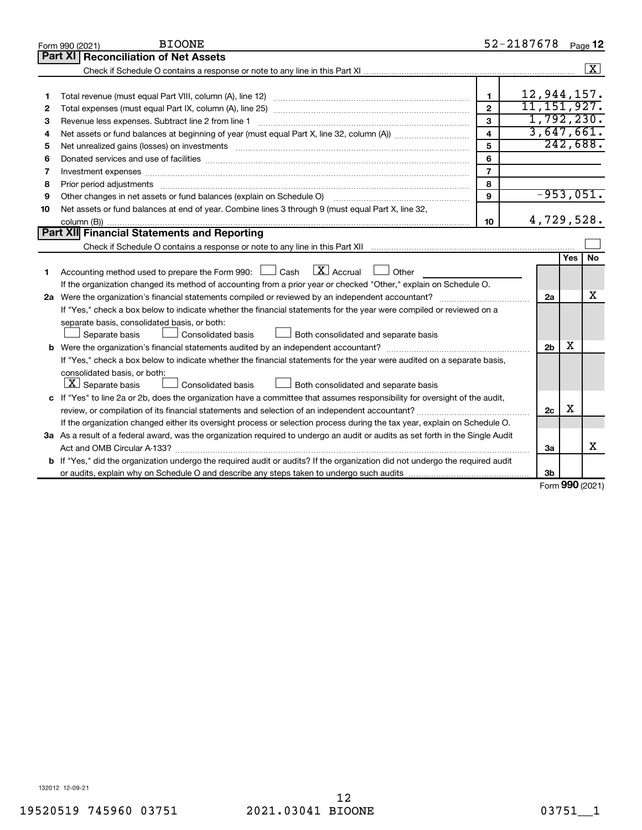|    | <b>BIOONE</b><br>Form 990 (2021)                                                                                                |                         | 52-2187678     |            | Page 12   |
|----|---------------------------------------------------------------------------------------------------------------------------------|-------------------------|----------------|------------|-----------|
|    | <b>Reconciliation of Net Assets</b><br><b>Part XI</b>                                                                           |                         |                |            |           |
|    |                                                                                                                                 |                         |                |            | X         |
|    |                                                                                                                                 |                         |                |            |           |
| 1  |                                                                                                                                 | $\blacksquare$          | 12,944,157.    |            |           |
| 2  |                                                                                                                                 | $\mathfrak{p}$          | 11, 151, 927.  |            |           |
| З  | Revenue less expenses. Subtract line 2 from line 1                                                                              | $\mathbf{3}$            | 1,792,230.     |            |           |
| 4  |                                                                                                                                 | $\overline{\mathbf{4}}$ | 3,647,661.     |            |           |
| 5  |                                                                                                                                 | 5                       |                |            | 242,688.  |
| 6  |                                                                                                                                 | 6                       |                |            |           |
| 7  | Investment expenses www.communication.com/www.communication.com/www.communication.com/www.com                                   | $\overline{7}$          |                |            |           |
| 8  |                                                                                                                                 | 8                       |                |            |           |
| 9  |                                                                                                                                 | $\mathbf{Q}$            | $-953,051.$    |            |           |
| 10 | Net assets or fund balances at end of year. Combine lines 3 through 9 (must equal Part X, line 32,                              |                         |                |            |           |
|    |                                                                                                                                 | 10                      | 4,729,528.     |            |           |
|    | Part XII Financial Statements and Reporting                                                                                     |                         |                |            |           |
|    |                                                                                                                                 |                         |                |            |           |
|    |                                                                                                                                 |                         |                | Yes        | <b>No</b> |
| 1  | Accounting method used to prepare the Form 990: $\Box$ Cash $\Box$ Accrual $\Box$ Other                                         |                         |                |            |           |
|    | If the organization changed its method of accounting from a prior year or checked "Other," explain on Schedule O.               |                         |                |            |           |
|    |                                                                                                                                 |                         | 2a             |            | х         |
|    | If "Yes," check a box below to indicate whether the financial statements for the year were compiled or reviewed on a            |                         |                |            |           |
|    | separate basis, consolidated basis, or both:                                                                                    |                         |                |            |           |
|    | Consolidated basis<br>$\Box$<br>Both consolidated and separate basis<br>Separate basis                                          |                         |                |            |           |
|    | <b>b</b> Were the organization's financial statements audited by an independent accountant?                                     |                         | 2 <sub>b</sub> | х          |           |
|    | If "Yes," check a box below to indicate whether the financial statements for the year were audited on a separate basis,         |                         |                |            |           |
|    | consolidated basis, or both:                                                                                                    |                         |                |            |           |
|    | $ \mathbf{X} $ Separate basis<br><b>Consolidated basis</b><br>Both consolidated and separate basis                              |                         |                |            |           |
|    | c If "Yes" to line 2a or 2b, does the organization have a committee that assumes responsibility for oversight of the audit,     |                         |                |            |           |
|    | review, or compilation of its financial statements and selection of an independent accountant?                                  |                         | 2c             | X          |           |
|    | If the organization changed either its oversight process or selection process during the tax year, explain on Schedule O.       |                         |                |            |           |
|    | 3a As a result of a federal award, was the organization required to undergo an audit or audits as set forth in the Single Audit |                         |                |            |           |
|    |                                                                                                                                 |                         | За             |            | x         |
|    | b If "Yes," did the organization undergo the required audit or audits? If the organization did not undergo the required audit   |                         |                |            |           |
|    |                                                                                                                                 |                         | 3b             | <b>000</b> |           |

Form (2021) **990**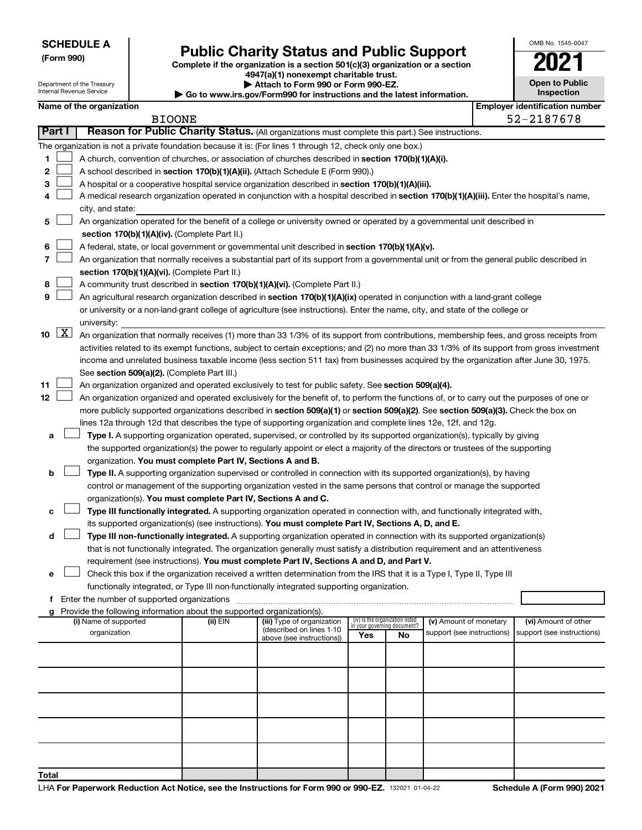Department of the Treasury Internal Revenue Service

# Form 990)<br>
Complete if the organization is a section 501(c)(3) organization or a section<br> **Public Charity Status and Public Support**

**4947(a)(1) nonexempt charitable trust. | Attach to Form 990 or Form 990-EZ.** 

**| Go to www.irs.gov/Form990 for instructions and the latest information.**

| <b>Open to Public</b><br>Inspection |
|-------------------------------------|

OMB No. 1545-0047

|                  |                    | Name of the organization                                                                                                                                                                                                                                                                                                                                                                                                                                                                                                                              |          |                                                        |                                        |                                   |                                                      | <b>Employer identification number</b>              |
|------------------|--------------------|-------------------------------------------------------------------------------------------------------------------------------------------------------------------------------------------------------------------------------------------------------------------------------------------------------------------------------------------------------------------------------------------------------------------------------------------------------------------------------------------------------------------------------------------------------|----------|--------------------------------------------------------|----------------------------------------|-----------------------------------|------------------------------------------------------|----------------------------------------------------|
|                  |                    | <b>BIOONE</b>                                                                                                                                                                                                                                                                                                                                                                                                                                                                                                                                         |          |                                                        |                                        |                                   |                                                      | 52-2187678                                         |
| Part I           |                    | Reason for Public Charity Status. (All organizations must complete this part.) See instructions.                                                                                                                                                                                                                                                                                                                                                                                                                                                      |          |                                                        |                                        |                                   |                                                      |                                                    |
| 1<br>2<br>3<br>4 |                    | The organization is not a private foundation because it is: (For lines 1 through 12, check only one box.)<br>A church, convention of churches, or association of churches described in section 170(b)(1)(A)(i).<br>A school described in section 170(b)(1)(A)(ii). (Attach Schedule E (Form 990).)<br>A hospital or a cooperative hospital service organization described in section 170(b)(1)(A)(iii).<br>A medical research organization operated in conjunction with a hospital described in section 170(b)(1)(A)(iii). Enter the hospital's name, |          |                                                        |                                        |                                   |                                                      |                                                    |
|                  |                    | city, and state:                                                                                                                                                                                                                                                                                                                                                                                                                                                                                                                                      |          |                                                        |                                        |                                   |                                                      |                                                    |
| 5                |                    | An organization operated for the benefit of a college or university owned or operated by a governmental unit described in<br>section 170(b)(1)(A)(iv). (Complete Part II.)                                                                                                                                                                                                                                                                                                                                                                            |          |                                                        |                                        |                                   |                                                      |                                                    |
| 6<br>7           |                    | A federal, state, or local government or governmental unit described in section 170(b)(1)(A)(v).<br>An organization that normally receives a substantial part of its support from a governmental unit or from the general public described in<br>section 170(b)(1)(A)(vi). (Complete Part II.)                                                                                                                                                                                                                                                        |          |                                                        |                                        |                                   |                                                      |                                                    |
| 8<br>9           |                    | A community trust described in section 170(b)(1)(A)(vi). (Complete Part II.)<br>An agricultural research organization described in section 170(b)(1)(A)(ix) operated in conjunction with a land-grant college                                                                                                                                                                                                                                                                                                                                         |          |                                                        |                                        |                                   |                                                      |                                                    |
|                  |                    | or university or a non-land-grant college of agriculture (see instructions). Enter the name, city, and state of the college or<br>university:                                                                                                                                                                                                                                                                                                                                                                                                         |          |                                                        |                                        |                                   |                                                      |                                                    |
| 10               | $\boxed{\text{X}}$ | An organization that normally receives (1) more than 33 1/3% of its support from contributions, membership fees, and gross receipts from<br>activities related to its exempt functions, subject to certain exceptions; and (2) no more than 33 1/3% of its support from gross investment<br>income and unrelated business taxable income (less section 511 tax) from businesses acquired by the organization after June 30, 1975.                                                                                                                     |          |                                                        |                                        |                                   |                                                      |                                                    |
| 11<br>12         |                    | See section 509(a)(2). (Complete Part III.)<br>An organization organized and operated exclusively to test for public safety. See section 509(a)(4).<br>An organization organized and operated exclusively for the benefit of, to perform the functions of, or to carry out the purposes of one or<br>more publicly supported organizations described in section 509(a)(1) or section 509(a)(2). See section 509(a)(3). Check the box on                                                                                                               |          |                                                        |                                        |                                   |                                                      |                                                    |
| а                |                    | lines 12a through 12d that describes the type of supporting organization and complete lines 12e, 12f, and 12g.<br>Type I. A supporting organization operated, supervised, or controlled by its supported organization(s), typically by giving<br>the supported organization(s) the power to regularly appoint or elect a majority of the directors or trustees of the supporting<br>organization. You must complete Part IV, Sections A and B.                                                                                                        |          |                                                        |                                        |                                   |                                                      |                                                    |
| b                |                    | Type II. A supporting organization supervised or controlled in connection with its supported organization(s), by having<br>control or management of the supporting organization vested in the same persons that control or manage the supported<br>organization(s). You must complete Part IV, Sections A and C.                                                                                                                                                                                                                                      |          |                                                        |                                        |                                   |                                                      |                                                    |
| с                |                    | Type III functionally integrated. A supporting organization operated in connection with, and functionally integrated with,<br>its supported organization(s) (see instructions). You must complete Part IV, Sections A, D, and E.                                                                                                                                                                                                                                                                                                                      |          |                                                        |                                        |                                   |                                                      |                                                    |
| d                |                    | Type III non-functionally integrated. A supporting organization operated in connection with its supported organization(s)<br>that is not functionally integrated. The organization generally must satisfy a distribution requirement and an attentiveness<br>requirement (see instructions). You must complete Part IV, Sections A and D, and Part V.                                                                                                                                                                                                 |          |                                                        |                                        |                                   |                                                      |                                                    |
| е                |                    | Check this box if the organization received a written determination from the IRS that it is a Type I, Type II, Type III<br>functionally integrated, or Type III non-functionally integrated supporting organization.                                                                                                                                                                                                                                                                                                                                  |          |                                                        |                                        |                                   |                                                      |                                                    |
| f                |                    | Enter the number of supported organizations                                                                                                                                                                                                                                                                                                                                                                                                                                                                                                           |          |                                                        |                                        |                                   |                                                      |                                                    |
| g                |                    | Provide the following information about the supported organization(s).<br>(i) Name of supported<br>organization                                                                                                                                                                                                                                                                                                                                                                                                                                       | (ii) EIN | (iii) Type of organization<br>(described on lines 1-10 | (iv) Is the organization listed<br>Yes | in your governing document?<br>No | (v) Amount of monetary<br>support (see instructions) | (vi) Amount of other<br>support (see instructions) |
|                  |                    |                                                                                                                                                                                                                                                                                                                                                                                                                                                                                                                                                       |          | above (see instructions))                              |                                        |                                   |                                                      |                                                    |
|                  |                    |                                                                                                                                                                                                                                                                                                                                                                                                                                                                                                                                                       |          |                                                        |                                        |                                   |                                                      |                                                    |
|                  |                    |                                                                                                                                                                                                                                                                                                                                                                                                                                                                                                                                                       |          |                                                        |                                        |                                   |                                                      |                                                    |
|                  |                    |                                                                                                                                                                                                                                                                                                                                                                                                                                                                                                                                                       |          |                                                        |                                        |                                   |                                                      |                                                    |
|                  |                    |                                                                                                                                                                                                                                                                                                                                                                                                                                                                                                                                                       |          |                                                        |                                        |                                   |                                                      |                                                    |
| Total            |                    |                                                                                                                                                                                                                                                                                                                                                                                                                                                                                                                                                       |          |                                                        |                                        |                                   |                                                      |                                                    |

1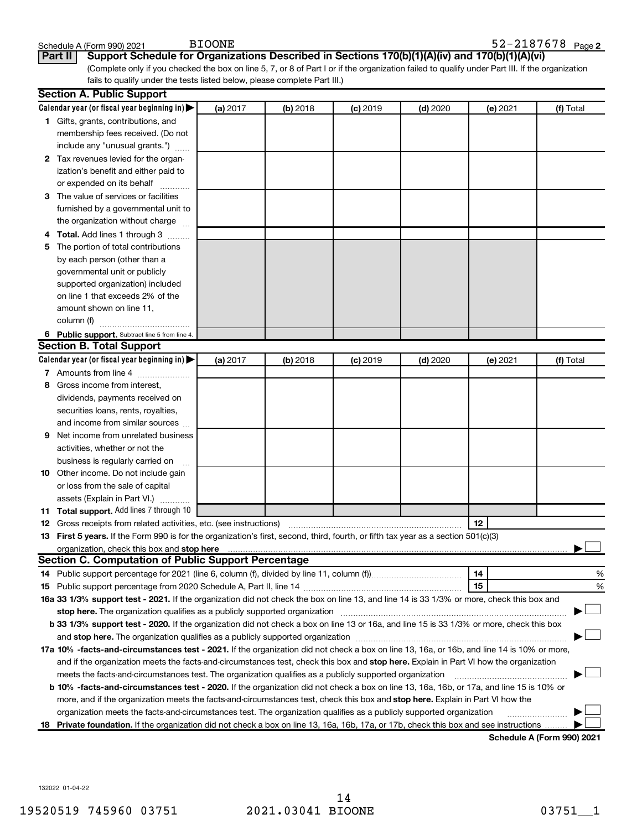| Schedule A (Form 990) 2021 |  |
|----------------------------|--|

(Complete only if you checked the box on line 5, 7, or 8 of Part I or if the organization failed to qualify under Part III. If the organization fails to qualify under the tests listed below, please complete Part III.) **Part II Support Schedule for Organizations Described in Sections 170(b)(1)(A)(iv) and 170(b)(1)(A)(vi)**

|   | <b>Section A. Public Support</b>                                                                                                                                                                                                                              |          |            |            |            |          |           |
|---|---------------------------------------------------------------------------------------------------------------------------------------------------------------------------------------------------------------------------------------------------------------|----------|------------|------------|------------|----------|-----------|
|   | Calendar year (or fiscal year beginning in)                                                                                                                                                                                                                   | (a) 2017 | (b) 2018   | $(c)$ 2019 | $(d)$ 2020 | (e) 2021 | (f) Total |
|   | 1 Gifts, grants, contributions, and                                                                                                                                                                                                                           |          |            |            |            |          |           |
|   | membership fees received. (Do not                                                                                                                                                                                                                             |          |            |            |            |          |           |
|   | include any "unusual grants.")                                                                                                                                                                                                                                |          |            |            |            |          |           |
|   | 2 Tax revenues levied for the organ-                                                                                                                                                                                                                          |          |            |            |            |          |           |
|   | ization's benefit and either paid to                                                                                                                                                                                                                          |          |            |            |            |          |           |
|   | or expended on its behalf                                                                                                                                                                                                                                     |          |            |            |            |          |           |
|   | 3 The value of services or facilities                                                                                                                                                                                                                         |          |            |            |            |          |           |
|   | furnished by a governmental unit to                                                                                                                                                                                                                           |          |            |            |            |          |           |
|   | the organization without charge                                                                                                                                                                                                                               |          |            |            |            |          |           |
|   | 4 Total. Add lines 1 through 3                                                                                                                                                                                                                                |          |            |            |            |          |           |
|   | 5 The portion of total contributions                                                                                                                                                                                                                          |          |            |            |            |          |           |
|   | by each person (other than a                                                                                                                                                                                                                                  |          |            |            |            |          |           |
|   | governmental unit or publicly                                                                                                                                                                                                                                 |          |            |            |            |          |           |
|   | supported organization) included                                                                                                                                                                                                                              |          |            |            |            |          |           |
|   | on line 1 that exceeds 2% of the                                                                                                                                                                                                                              |          |            |            |            |          |           |
|   | amount shown on line 11,                                                                                                                                                                                                                                      |          |            |            |            |          |           |
|   | column (f)                                                                                                                                                                                                                                                    |          |            |            |            |          |           |
|   | 6 Public support. Subtract line 5 from line 4.                                                                                                                                                                                                                |          |            |            |            |          |           |
|   | <b>Section B. Total Support</b>                                                                                                                                                                                                                               |          |            |            |            |          |           |
|   | Calendar year (or fiscal year beginning in)                                                                                                                                                                                                                   | (a) 2017 | $(b)$ 2018 | $(c)$ 2019 | $(d)$ 2020 | (e) 2021 | (f) Total |
|   | 7 Amounts from line 4                                                                                                                                                                                                                                         |          |            |            |            |          |           |
| 8 | Gross income from interest,                                                                                                                                                                                                                                   |          |            |            |            |          |           |
|   | dividends, payments received on                                                                                                                                                                                                                               |          |            |            |            |          |           |
|   | securities loans, rents, royalties,                                                                                                                                                                                                                           |          |            |            |            |          |           |
|   | and income from similar sources                                                                                                                                                                                                                               |          |            |            |            |          |           |
| 9 | Net income from unrelated business                                                                                                                                                                                                                            |          |            |            |            |          |           |
|   | activities, whether or not the                                                                                                                                                                                                                                |          |            |            |            |          |           |
|   | business is regularly carried on                                                                                                                                                                                                                              |          |            |            |            |          |           |
|   | 10 Other income. Do not include gain                                                                                                                                                                                                                          |          |            |            |            |          |           |
|   | or loss from the sale of capital                                                                                                                                                                                                                              |          |            |            |            |          |           |
|   | assets (Explain in Part VI.)                                                                                                                                                                                                                                  |          |            |            |            |          |           |
|   | 11 Total support. Add lines 7 through 10                                                                                                                                                                                                                      |          |            |            |            |          |           |
|   | <b>12</b> Gross receipts from related activities, etc. (see instructions)                                                                                                                                                                                     |          |            |            |            | 12       |           |
|   | 13 First 5 years. If the Form 990 is for the organization's first, second, third, fourth, or fifth tax year as a section 501(c)(3)                                                                                                                            |          |            |            |            |          |           |
|   | organization, check this box and stop here <b>construction and construction</b> control and construction of the construction of the construction of the construction of the construction of the construction of the construction of                           |          |            |            |            |          |           |
|   | <b>Section C. Computation of Public Support Percentage</b>                                                                                                                                                                                                    |          |            |            |            |          |           |
|   |                                                                                                                                                                                                                                                               |          |            |            |            | 14       | %         |
|   |                                                                                                                                                                                                                                                               |          |            |            |            | 15       | %         |
|   | 16a 33 1/3% support test - 2021. If the organization did not check the box on line 13, and line 14 is 33 1/3% or more, check this box and                                                                                                                     |          |            |            |            |          |           |
|   | stop here. The organization qualifies as a publicly supported organization [11] manuscription [11] manuscription [11] manuscription [11] manuscription [11] manuscription [11] manuscription [11] manuscription [11] manuscrip                                |          |            |            |            |          |           |
|   | b 33 1/3% support test - 2020. If the organization did not check a box on line 13 or 16a, and line 15 is 33 1/3% or more, check this box                                                                                                                      |          |            |            |            |          |           |
|   |                                                                                                                                                                                                                                                               |          |            |            |            |          |           |
|   | 17a 10% -facts-and-circumstances test - 2021. If the organization did not check a box on line 13, 16a, or 16b, and line 14 is 10% or more,                                                                                                                    |          |            |            |            |          |           |
|   | and if the organization meets the facts-and-circumstances test, check this box and stop here. Explain in Part VI how the organization                                                                                                                         |          |            |            |            |          |           |
|   | meets the facts-and-circumstances test. The organization qualifies as a publicly supported organization                                                                                                                                                       |          |            |            |            |          |           |
|   | <b>b 10% -facts-and-circumstances test - 2020.</b> If the organization did not check a box on line 13, 16a, 16b, or 17a, and line 15 is 10% or                                                                                                                |          |            |            |            |          |           |
|   | more, and if the organization meets the facts-and-circumstances test, check this box and stop here. Explain in Part VI how the                                                                                                                                |          |            |            |            |          |           |
|   |                                                                                                                                                                                                                                                               |          |            |            |            |          |           |
|   | organization meets the facts-and-circumstances test. The organization qualifies as a publicly supported organization<br>18 Private foundation. If the organization did not check a box on line 13, 16a, 16b, 17a, or 17b, check this box and see instructions |          |            |            |            |          |           |

**Schedule A (Form 990) 2021**

132022 01-04-22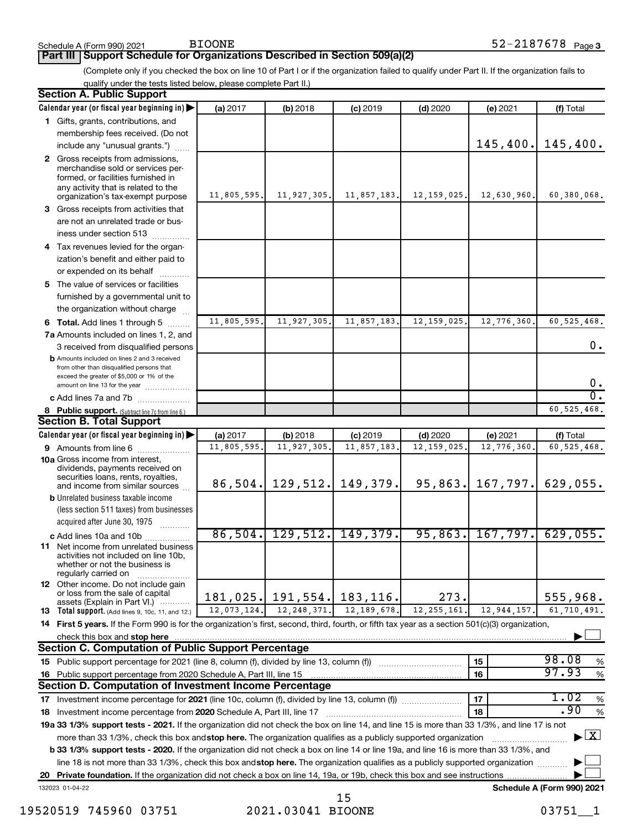#### Schedule A (Form 990) 2021 BIOONE

### **Part III Support Schedule for Organizations Described in Section 509(a)(2)**

(Complete only if you checked the box on line 10 of Part I or if the organization failed to qualify under Part II. If the organization fails to qualify under the tests listed below, please complete Part II.)

| <b>Section A. Public Support</b>                                                                                                                                                         |             |               |               |               |             |                                          |
|------------------------------------------------------------------------------------------------------------------------------------------------------------------------------------------|-------------|---------------|---------------|---------------|-------------|------------------------------------------|
| Calendar year (or fiscal year beginning in)                                                                                                                                              | (a) 2017    | $(b)$ 2018    | $(c)$ 2019    | $(d)$ 2020    | (e) 2021    | (f) Total                                |
| 1 Gifts, grants, contributions, and                                                                                                                                                      |             |               |               |               |             |                                          |
| membership fees received. (Do not                                                                                                                                                        |             |               |               |               |             |                                          |
| include any "unusual grants.")                                                                                                                                                           |             |               |               |               | 145,400.    | 145,400.                                 |
| 2 Gross receipts from admissions,<br>merchandise sold or services per-<br>formed, or facilities furnished in<br>any activity that is related to the<br>organization's tax-exempt purpose | 11,805,595. | 11,927,305.   | 11,857,183.   | 12, 159, 025. | 12,630,960. | 60,380,068.                              |
| 3 Gross receipts from activities that                                                                                                                                                    |             |               |               |               |             |                                          |
| are not an unrelated trade or bus-                                                                                                                                                       |             |               |               |               |             |                                          |
| iness under section 513                                                                                                                                                                  |             |               |               |               |             |                                          |
| 4 Tax revenues levied for the organ-                                                                                                                                                     |             |               |               |               |             |                                          |
| ization's benefit and either paid to<br>or expended on its behalf                                                                                                                        |             |               |               |               |             |                                          |
| 5 The value of services or facilities                                                                                                                                                    |             |               |               |               |             |                                          |
| furnished by a governmental unit to                                                                                                                                                      |             |               |               |               |             |                                          |
| the organization without charge                                                                                                                                                          |             |               |               |               |             |                                          |
| 6 Total. Add lines 1 through 5                                                                                                                                                           | 11,805,595. | 11,927,305    | 11,857,183    | 12, 159, 025. | 12,776,360  | 60, 525, 468.                            |
| 7a Amounts included on lines 1, 2, and                                                                                                                                                   |             |               |               |               |             |                                          |
| 3 received from disqualified persons                                                                                                                                                     |             |               |               |               |             | 0.                                       |
| <b>b</b> Amounts included on lines 2 and 3 received<br>from other than disqualified persons that<br>exceed the greater of \$5,000 or 1% of the<br>amount on line 13 for the year         |             |               |               |               |             | $\mathbf 0$ .                            |
| c Add lines 7a and 7b                                                                                                                                                                    |             |               |               |               |             | σ.                                       |
| 8 Public support. (Subtract line 7c from line 6.)                                                                                                                                        |             |               |               |               |             | 60, 525, 468.                            |
| <b>Section B. Total Support</b>                                                                                                                                                          |             |               |               |               |             |                                          |
| Calendar year (or fiscal year beginning in)                                                                                                                                              | (a) 2017    | $(b)$ 2018    | $(c)$ 2019    | $(d)$ 2020    | (e) 2021    | (f) Total                                |
| <b>9</b> Amounts from line 6                                                                                                                                                             | 11,805,595. | 11,927,305    | 11,857,183    | 12, 159, 025  | 12,776,360  | 60, 525, 468.                            |
| <b>10a</b> Gross income from interest,<br>dividends, payments received on<br>securities loans, rents, royalties,<br>and income from similar sources                                      | 86,504.     | 129,512.      | 149,379.      | 95,863.       | 167,797.    | 629,055.                                 |
| <b>b</b> Unrelated business taxable income                                                                                                                                               |             |               |               |               |             |                                          |
| (less section 511 taxes) from businesses<br>acquired after June 30, 1975                                                                                                                 |             |               |               |               |             |                                          |
| c Add lines 10a and 10b                                                                                                                                                                  | 86,504.     | 129,512.      | 149,379.      | 95,863.       | 167,797.    | 629,055.                                 |
| <b>11</b> Net income from unrelated business<br>activities not included on line 10b,<br>whether or not the business is<br>regularly carried on                                           |             |               |               |               |             |                                          |
| <b>12</b> Other income. Do not include gain                                                                                                                                              |             |               |               |               |             |                                          |
| or loss from the sale of capital<br>assets (Explain in Part VI.)                                                                                                                         | 181,025.    | 191, 554.     | 183, 116.     | 273.          |             | 555,968.                                 |
| <b>13</b> Total support. (Add lines 9, 10c, 11, and 12.)                                                                                                                                 | 12,073,124. | 12, 248, 371. | 12, 189, 678. | 12, 255, 161. | 12,944,157. | 61,710,491.                              |
| 14 First 5 years. If the Form 990 is for the organization's first, second, third, fourth, or fifth tax year as a section 501(c)(3) organization,                                         |             |               |               |               |             |                                          |
| check this box and stop here                                                                                                                                                             |             |               |               |               |             |                                          |
| <b>Section C. Computation of Public Support Percentage</b>                                                                                                                               |             |               |               |               |             |                                          |
| 15 Public support percentage for 2021 (line 8, column (f), divided by line 13, column (f))                                                                                               |             |               |               |               | 15          | 98.08<br>%                               |
| 16 Public support percentage from 2020 Schedule A, Part III, line 15                                                                                                                     |             |               |               |               | 16          | 97.93<br>$\%$                            |
| Section D. Computation of Investment Income Percentage                                                                                                                                   |             |               |               |               |             |                                          |
| 17 Investment income percentage for 2021 (line 10c, column (f), divided by line 13, column (f))                                                                                          |             |               |               |               | 17          | 1.02<br>$\%$                             |
| 18 Investment income percentage from 2020 Schedule A, Part III, line 17                                                                                                                  |             |               |               |               | 18          | .90<br>$\%$                              |
| 19a 33 1/3% support tests - 2021. If the organization did not check the box on line 14, and line 15 is more than 33 1/3%, and line 17 is not                                             |             |               |               |               |             |                                          |
| more than 33 1/3%, check this box and stop here. The organization qualifies as a publicly supported organization                                                                         |             |               |               |               |             | $\blacktriangleright$ $\boxed{\text{X}}$ |
| b 33 1/3% support tests - 2020. If the organization did not check a box on line 14 or line 19a, and line 16 is more than 33 1/3%, and                                                    |             |               |               |               |             |                                          |
| line 18 is not more than 33 1/3%, check this box and stop here. The organization qualifies as a publicly supported organization                                                          |             |               |               |               |             |                                          |
|                                                                                                                                                                                          |             |               |               |               |             |                                          |
| 132023 01-04-22                                                                                                                                                                          |             |               | 1 E           |               |             | Schedule A (Form 990) 2021               |

19520519 745960 03751 2021.03041 BIOONE 03751\_\_1

15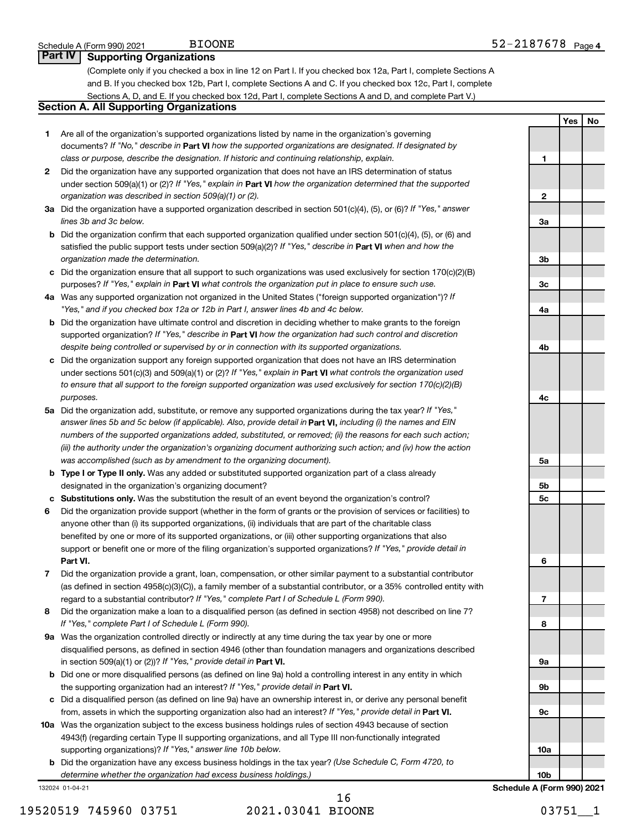**Yes No**

### **Part IV Supporting Organizations**

(Complete only if you checked a box in line 12 on Part I. If you checked box 12a, Part I, complete Sections A and B. If you checked box 12b, Part I, complete Sections A and C. If you checked box 12c, Part I, complete Sections A, D, and E. If you checked box 12d, Part I, complete Sections A and D, and complete Part V.)

### **Section A. All Supporting Organizations**

- **1** Are all of the organization's supported organizations listed by name in the organization's governing documents? If "No," describe in Part VI how the supported organizations are designated. If designated by *class or purpose, describe the designation. If historic and continuing relationship, explain.*
- **2** Did the organization have any supported organization that does not have an IRS determination of status under section 509(a)(1) or (2)? If "Yes," explain in Part **VI** how the organization determined that the supported *organization was described in section 509(a)(1) or (2).*
- **3a** Did the organization have a supported organization described in section 501(c)(4), (5), or (6)? If "Yes," answer *lines 3b and 3c below.*
- **b** Did the organization confirm that each supported organization qualified under section 501(c)(4), (5), or (6) and satisfied the public support tests under section 509(a)(2)? If "Yes," describe in Part VI when and how the *organization made the determination.*
- **c** Did the organization ensure that all support to such organizations was used exclusively for section 170(c)(2)(B) purposes? If "Yes," explain in Part VI what controls the organization put in place to ensure such use.
- **4 a** *If* Was any supported organization not organized in the United States ("foreign supported organization")? *"Yes," and if you checked box 12a or 12b in Part I, answer lines 4b and 4c below.*
- **b** Did the organization have ultimate control and discretion in deciding whether to make grants to the foreign supported organization? If "Yes," describe in Part VI how the organization had such control and discretion *despite being controlled or supervised by or in connection with its supported organizations.*
- **c** Did the organization support any foreign supported organization that does not have an IRS determination under sections 501(c)(3) and 509(a)(1) or (2)? If "Yes," explain in Part VI what controls the organization used *to ensure that all support to the foreign supported organization was used exclusively for section 170(c)(2)(B) purposes.*
- **5a** Did the organization add, substitute, or remove any supported organizations during the tax year? If "Yes," answer lines 5b and 5c below (if applicable). Also, provide detail in **Part VI,** including (i) the names and EIN *numbers of the supported organizations added, substituted, or removed; (ii) the reasons for each such action; (iii) the authority under the organization's organizing document authorizing such action; and (iv) how the action was accomplished (such as by amendment to the organizing document).*
- **b** Type I or Type II only. Was any added or substituted supported organization part of a class already designated in the organization's organizing document?
- **c Substitutions only.**  Was the substitution the result of an event beyond the organization's control?
- **6** Did the organization provide support (whether in the form of grants or the provision of services or facilities) to **Part VI.** support or benefit one or more of the filing organization's supported organizations? If "Yes," provide detail in anyone other than (i) its supported organizations, (ii) individuals that are part of the charitable class benefited by one or more of its supported organizations, or (iii) other supporting organizations that also
- **7** Did the organization provide a grant, loan, compensation, or other similar payment to a substantial contributor regard to a substantial contributor? If "Yes," complete Part I of Schedule L (Form 990). (as defined in section 4958(c)(3)(C)), a family member of a substantial contributor, or a 35% controlled entity with
- **8** Did the organization make a loan to a disqualified person (as defined in section 4958) not described on line 7? *If "Yes," complete Part I of Schedule L (Form 990).*
- **9 a** Was the organization controlled directly or indirectly at any time during the tax year by one or more in section 509(a)(1) or (2))? If "Yes," provide detail in **Part VI.** disqualified persons, as defined in section 4946 (other than foundation managers and organizations described
- **b** Did one or more disqualified persons (as defined on line 9a) hold a controlling interest in any entity in which the supporting organization had an interest? If "Yes," provide detail in Part VI.
- **c** Did a disqualified person (as defined on line 9a) have an ownership interest in, or derive any personal benefit from, assets in which the supporting organization also had an interest? If "Yes," provide detail in Part VI.
- **10 a** Was the organization subject to the excess business holdings rules of section 4943 because of section supporting organizations)? If "Yes," answer line 10b below. 4943(f) (regarding certain Type II supporting organizations, and all Type III non-functionally integrated
	- **b** Did the organization have any excess business holdings in the tax year? (Use Schedule C, Form 4720, to *determine whether the organization had excess business holdings.)*

132024 01-04-21

**1 2 3a 3b 3c 4a 4b 4c 5a 5b 5c 6 7 8 9a 9b 9c 10a 10b Schedule A (Form 990) 2021**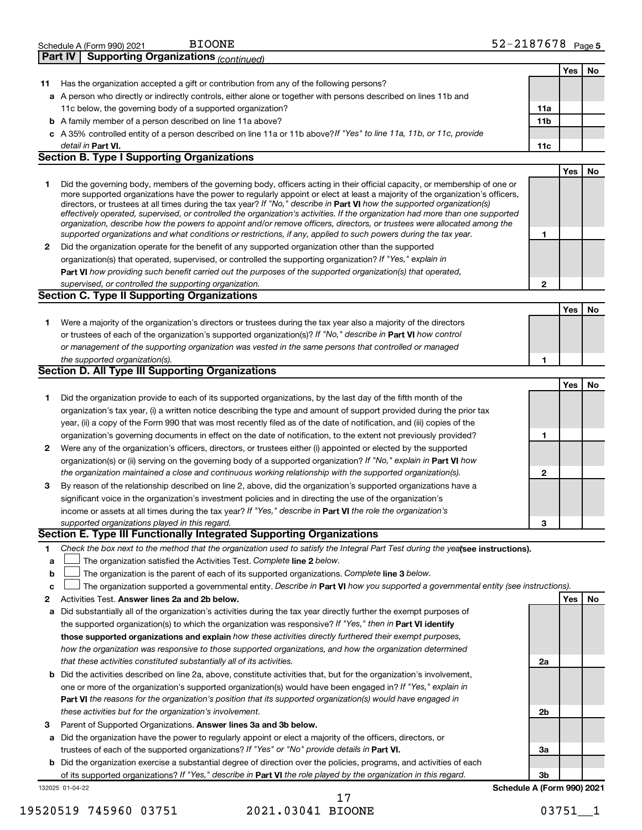|                                                                                                                                                                                                                                                                                                                                                                                                                                                                                                                                                                                                                                                                                                                                                                                                                                                                                                                                                                                                                                                                                                                                                                                                                                                                                                                                                                                                                                                                                                                                                                                                                                                                                                                                                                                                                                                                                                                                                                                                                                                                                                                                                                                                                                                                                                                                                                                                                                                                                                                                                                                                                                                                                                                                                                                                                                                                                                                                                       |                                                                                                                            |              | Yes |  |
|-------------------------------------------------------------------------------------------------------------------------------------------------------------------------------------------------------------------------------------------------------------------------------------------------------------------------------------------------------------------------------------------------------------------------------------------------------------------------------------------------------------------------------------------------------------------------------------------------------------------------------------------------------------------------------------------------------------------------------------------------------------------------------------------------------------------------------------------------------------------------------------------------------------------------------------------------------------------------------------------------------------------------------------------------------------------------------------------------------------------------------------------------------------------------------------------------------------------------------------------------------------------------------------------------------------------------------------------------------------------------------------------------------------------------------------------------------------------------------------------------------------------------------------------------------------------------------------------------------------------------------------------------------------------------------------------------------------------------------------------------------------------------------------------------------------------------------------------------------------------------------------------------------------------------------------------------------------------------------------------------------------------------------------------------------------------------------------------------------------------------------------------------------------------------------------------------------------------------------------------------------------------------------------------------------------------------------------------------------------------------------------------------------------------------------------------------------------------------------------------------------------------------------------------------------------------------------------------------------------------------------------------------------------------------------------------------------------------------------------------------------------------------------------------------------------------------------------------------------------------------------------------------------------------------------------------------------|----------------------------------------------------------------------------------------------------------------------------|--------------|-----|--|
| 11                                                                                                                                                                                                                                                                                                                                                                                                                                                                                                                                                                                                                                                                                                                                                                                                                                                                                                                                                                                                                                                                                                                                                                                                                                                                                                                                                                                                                                                                                                                                                                                                                                                                                                                                                                                                                                                                                                                                                                                                                                                                                                                                                                                                                                                                                                                                                                                                                                                                                                                                                                                                                                                                                                                                                                                                                                                                                                                                                    | Has the organization accepted a gift or contribution from any of the following persons?                                    |              |     |  |
|                                                                                                                                                                                                                                                                                                                                                                                                                                                                                                                                                                                                                                                                                                                                                                                                                                                                                                                                                                                                                                                                                                                                                                                                                                                                                                                                                                                                                                                                                                                                                                                                                                                                                                                                                                                                                                                                                                                                                                                                                                                                                                                                                                                                                                                                                                                                                                                                                                                                                                                                                                                                                                                                                                                                                                                                                                                                                                                                                       | a A person who directly or indirectly controls, either alone or together with persons described on lines 11b and           |              |     |  |
|                                                                                                                                                                                                                                                                                                                                                                                                                                                                                                                                                                                                                                                                                                                                                                                                                                                                                                                                                                                                                                                                                                                                                                                                                                                                                                                                                                                                                                                                                                                                                                                                                                                                                                                                                                                                                                                                                                                                                                                                                                                                                                                                                                                                                                                                                                                                                                                                                                                                                                                                                                                                                                                                                                                                                                                                                                                                                                                                                       | 11c below, the governing body of a supported organization?                                                                 | 11a          |     |  |
|                                                                                                                                                                                                                                                                                                                                                                                                                                                                                                                                                                                                                                                                                                                                                                                                                                                                                                                                                                                                                                                                                                                                                                                                                                                                                                                                                                                                                                                                                                                                                                                                                                                                                                                                                                                                                                                                                                                                                                                                                                                                                                                                                                                                                                                                                                                                                                                                                                                                                                                                                                                                                                                                                                                                                                                                                                                                                                                                                       |                                                                                                                            |              |     |  |
|                                                                                                                                                                                                                                                                                                                                                                                                                                                                                                                                                                                                                                                                                                                                                                                                                                                                                                                                                                                                                                                                                                                                                                                                                                                                                                                                                                                                                                                                                                                                                                                                                                                                                                                                                                                                                                                                                                                                                                                                                                                                                                                                                                                                                                                                                                                                                                                                                                                                                                                                                                                                                                                                                                                                                                                                                                                                                                                                                       |                                                                                                                            |              |     |  |
|                                                                                                                                                                                                                                                                                                                                                                                                                                                                                                                                                                                                                                                                                                                                                                                                                                                                                                                                                                                                                                                                                                                                                                                                                                                                                                                                                                                                                                                                                                                                                                                                                                                                                                                                                                                                                                                                                                                                                                                                                                                                                                                                                                                                                                                                                                                                                                                                                                                                                                                                                                                                                                                                                                                                                                                                                                                                                                                                                       | detail in Part VI.                                                                                                         | 11c          |     |  |
|                                                                                                                                                                                                                                                                                                                                                                                                                                                                                                                                                                                                                                                                                                                                                                                                                                                                                                                                                                                                                                                                                                                                                                                                                                                                                                                                                                                                                                                                                                                                                                                                                                                                                                                                                                                                                                                                                                                                                                                                                                                                                                                                                                                                                                                                                                                                                                                                                                                                                                                                                                                                                                                                                                                                                                                                                                                                                                                                                       |                                                                                                                            |              |     |  |
|                                                                                                                                                                                                                                                                                                                                                                                                                                                                                                                                                                                                                                                                                                                                                                                                                                                                                                                                                                                                                                                                                                                                                                                                                                                                                                                                                                                                                                                                                                                                                                                                                                                                                                                                                                                                                                                                                                                                                                                                                                                                                                                                                                                                                                                                                                                                                                                                                                                                                                                                                                                                                                                                                                                                                                                                                                                                                                                                                       |                                                                                                                            |              | Yes |  |
|                                                                                                                                                                                                                                                                                                                                                                                                                                                                                                                                                                                                                                                                                                                                                                                                                                                                                                                                                                                                                                                                                                                                                                                                                                                                                                                                                                                                                                                                                                                                                                                                                                                                                                                                                                                                                                                                                                                                                                                                                                                                                                                                                                                                                                                                                                                                                                                                                                                                                                                                                                                                                                                                                                                                                                                                                                                                                                                                                       | Did the governing body, members of the governing body, officers acting in their official capacity, or membership of one or |              |     |  |
|                                                                                                                                                                                                                                                                                                                                                                                                                                                                                                                                                                                                                                                                                                                                                                                                                                                                                                                                                                                                                                                                                                                                                                                                                                                                                                                                                                                                                                                                                                                                                                                                                                                                                                                                                                                                                                                                                                                                                                                                                                                                                                                                                                                                                                                                                                                                                                                                                                                                                                                                                                                                                                                                                                                                                                                                                                                                                                                                                       |                                                                                                                            |              |     |  |
|                                                                                                                                                                                                                                                                                                                                                                                                                                                                                                                                                                                                                                                                                                                                                                                                                                                                                                                                                                                                                                                                                                                                                                                                                                                                                                                                                                                                                                                                                                                                                                                                                                                                                                                                                                                                                                                                                                                                                                                                                                                                                                                                                                                                                                                                                                                                                                                                                                                                                                                                                                                                                                                                                                                                                                                                                                                                                                                                                       |                                                                                                                            |              |     |  |
|                                                                                                                                                                                                                                                                                                                                                                                                                                                                                                                                                                                                                                                                                                                                                                                                                                                                                                                                                                                                                                                                                                                                                                                                                                                                                                                                                                                                                                                                                                                                                                                                                                                                                                                                                                                                                                                                                                                                                                                                                                                                                                                                                                                                                                                                                                                                                                                                                                                                                                                                                                                                                                                                                                                                                                                                                                                                                                                                                       | organization, describe how the powers to appoint and/or remove officers, directors, or trustees were allocated among the   |              |     |  |
|                                                                                                                                                                                                                                                                                                                                                                                                                                                                                                                                                                                                                                                                                                                                                                                                                                                                                                                                                                                                                                                                                                                                                                                                                                                                                                                                                                                                                                                                                                                                                                                                                                                                                                                                                                                                                                                                                                                                                                                                                                                                                                                                                                                                                                                                                                                                                                                                                                                                                                                                                                                                                                                                                                                                                                                                                                                                                                                                                       | supported organizations and what conditions or restrictions, if any, applied to such powers during the tax year.           | 1            |     |  |
|                                                                                                                                                                                                                                                                                                                                                                                                                                                                                                                                                                                                                                                                                                                                                                                                                                                                                                                                                                                                                                                                                                                                                                                                                                                                                                                                                                                                                                                                                                                                                                                                                                                                                                                                                                                                                                                                                                                                                                                                                                                                                                                                                                                                                                                                                                                                                                                                                                                                                                                                                                                                                                                                                                                                                                                                                                                                                                                                                       | Did the organization operate for the benefit of any supported organization other than the supported                        |              |     |  |
|                                                                                                                                                                                                                                                                                                                                                                                                                                                                                                                                                                                                                                                                                                                                                                                                                                                                                                                                                                                                                                                                                                                                                                                                                                                                                                                                                                                                                                                                                                                                                                                                                                                                                                                                                                                                                                                                                                                                                                                                                                                                                                                                                                                                                                                                                                                                                                                                                                                                                                                                                                                                                                                                                                                                                                                                                                                                                                                                                       | organization(s) that operated, supervised, or controlled the supporting organization? If "Yes," explain in                 |              |     |  |
|                                                                                                                                                                                                                                                                                                                                                                                                                                                                                                                                                                                                                                                                                                                                                                                                                                                                                                                                                                                                                                                                                                                                                                                                                                                                                                                                                                                                                                                                                                                                                                                                                                                                                                                                                                                                                                                                                                                                                                                                                                                                                                                                                                                                                                                                                                                                                                                                                                                                                                                                                                                                                                                                                                                                                                                                                                                                                                                                                       | Part VI how providing such benefit carried out the purposes of the supported organization(s) that operated,                |              |     |  |
|                                                                                                                                                                                                                                                                                                                                                                                                                                                                                                                                                                                                                                                                                                                                                                                                                                                                                                                                                                                                                                                                                                                                                                                                                                                                                                                                                                                                                                                                                                                                                                                                                                                                                                                                                                                                                                                                                                                                                                                                                                                                                                                                                                                                                                                                                                                                                                                                                                                                                                                                                                                                                                                                                                                                                                                                                                                                                                                                                       | supervised, or controlled the supporting organization.                                                                     | $\mathbf{2}$ |     |  |
|                                                                                                                                                                                                                                                                                                                                                                                                                                                                                                                                                                                                                                                                                                                                                                                                                                                                                                                                                                                                                                                                                                                                                                                                                                                                                                                                                                                                                                                                                                                                                                                                                                                                                                                                                                                                                                                                                                                                                                                                                                                                                                                                                                                                                                                                                                                                                                                                                                                                                                                                                                                                                                                                                                                                                                                                                                                                                                                                                       |                                                                                                                            |              |     |  |
|                                                                                                                                                                                                                                                                                                                                                                                                                                                                                                                                                                                                                                                                                                                                                                                                                                                                                                                                                                                                                                                                                                                                                                                                                                                                                                                                                                                                                                                                                                                                                                                                                                                                                                                                                                                                                                                                                                                                                                                                                                                                                                                                                                                                                                                                                                                                                                                                                                                                                                                                                                                                                                                                                                                                                                                                                                                                                                                                                       |                                                                                                                            |              | Yes |  |
|                                                                                                                                                                                                                                                                                                                                                                                                                                                                                                                                                                                                                                                                                                                                                                                                                                                                                                                                                                                                                                                                                                                                                                                                                                                                                                                                                                                                                                                                                                                                                                                                                                                                                                                                                                                                                                                                                                                                                                                                                                                                                                                                                                                                                                                                                                                                                                                                                                                                                                                                                                                                                                                                                                                                                                                                                                                                                                                                                       | Were a majority of the organization's directors or trustees during the tax year also a majority of the directors           |              |     |  |
|                                                                                                                                                                                                                                                                                                                                                                                                                                                                                                                                                                                                                                                                                                                                                                                                                                                                                                                                                                                                                                                                                                                                                                                                                                                                                                                                                                                                                                                                                                                                                                                                                                                                                                                                                                                                                                                                                                                                                                                                                                                                                                                                                                                                                                                                                                                                                                                                                                                                                                                                                                                                                                                                                                                                                                                                                                                                                                                                                       | or trustees of each of the organization's supported organization(s)? If "No," describe in Part VI how control              |              |     |  |
|                                                                                                                                                                                                                                                                                                                                                                                                                                                                                                                                                                                                                                                                                                                                                                                                                                                                                                                                                                                                                                                                                                                                                                                                                                                                                                                                                                                                                                                                                                                                                                                                                                                                                                                                                                                                                                                                                                                                                                                                                                                                                                                                                                                                                                                                                                                                                                                                                                                                                                                                                                                                                                                                                                                                                                                                                                                                                                                                                       | or management of the supporting organization was vested in the same persons that controlled or managed                     |              |     |  |
|                                                                                                                                                                                                                                                                                                                                                                                                                                                                                                                                                                                                                                                                                                                                                                                                                                                                                                                                                                                                                                                                                                                                                                                                                                                                                                                                                                                                                                                                                                                                                                                                                                                                                                                                                                                                                                                                                                                                                                                                                                                                                                                                                                                                                                                                                                                                                                                                                                                                                                                                                                                                                                                                                                                                                                                                                                                                                                                                                       | the supported organization(s).                                                                                             | 1            |     |  |
|                                                                                                                                                                                                                                                                                                                                                                                                                                                                                                                                                                                                                                                                                                                                                                                                                                                                                                                                                                                                                                                                                                                                                                                                                                                                                                                                                                                                                                                                                                                                                                                                                                                                                                                                                                                                                                                                                                                                                                                                                                                                                                                                                                                                                                                                                                                                                                                                                                                                                                                                                                                                                                                                                                                                                                                                                                                                                                                                                       |                                                                                                                            |              |     |  |
|                                                                                                                                                                                                                                                                                                                                                                                                                                                                                                                                                                                                                                                                                                                                                                                                                                                                                                                                                                                                                                                                                                                                                                                                                                                                                                                                                                                                                                                                                                                                                                                                                                                                                                                                                                                                                                                                                                                                                                                                                                                                                                                                                                                                                                                                                                                                                                                                                                                                                                                                                                                                                                                                                                                                                                                                                                                                                                                                                       |                                                                                                                            |              | Yes |  |
|                                                                                                                                                                                                                                                                                                                                                                                                                                                                                                                                                                                                                                                                                                                                                                                                                                                                                                                                                                                                                                                                                                                                                                                                                                                                                                                                                                                                                                                                                                                                                                                                                                                                                                                                                                                                                                                                                                                                                                                                                                                                                                                                                                                                                                                                                                                                                                                                                                                                                                                                                                                                                                                                                                                                                                                                                                                                                                                                                       |                                                                                                                            |              |     |  |
|                                                                                                                                                                                                                                                                                                                                                                                                                                                                                                                                                                                                                                                                                                                                                                                                                                                                                                                                                                                                                                                                                                                                                                                                                                                                                                                                                                                                                                                                                                                                                                                                                                                                                                                                                                                                                                                                                                                                                                                                                                                                                                                                                                                                                                                                                                                                                                                                                                                                                                                                                                                                                                                                                                                                                                                                                                                                                                                                                       |                                                                                                                            |              |     |  |
|                                                                                                                                                                                                                                                                                                                                                                                                                                                                                                                                                                                                                                                                                                                                                                                                                                                                                                                                                                                                                                                                                                                                                                                                                                                                                                                                                                                                                                                                                                                                                                                                                                                                                                                                                                                                                                                                                                                                                                                                                                                                                                                                                                                                                                                                                                                                                                                                                                                                                                                                                                                                                                                                                                                                                                                                                                                                                                                                                       |                                                                                                                            |              |     |  |
|                                                                                                                                                                                                                                                                                                                                                                                                                                                                                                                                                                                                                                                                                                                                                                                                                                                                                                                                                                                                                                                                                                                                                                                                                                                                                                                                                                                                                                                                                                                                                                                                                                                                                                                                                                                                                                                                                                                                                                                                                                                                                                                                                                                                                                                                                                                                                                                                                                                                                                                                                                                                                                                                                                                                                                                                                                                                                                                                                       |                                                                                                                            | 1            |     |  |
|                                                                                                                                                                                                                                                                                                                                                                                                                                                                                                                                                                                                                                                                                                                                                                                                                                                                                                                                                                                                                                                                                                                                                                                                                                                                                                                                                                                                                                                                                                                                                                                                                                                                                                                                                                                                                                                                                                                                                                                                                                                                                                                                                                                                                                                                                                                                                                                                                                                                                                                                                                                                                                                                                                                                                                                                                                                                                                                                                       |                                                                                                                            |              |     |  |
|                                                                                                                                                                                                                                                                                                                                                                                                                                                                                                                                                                                                                                                                                                                                                                                                                                                                                                                                                                                                                                                                                                                                                                                                                                                                                                                                                                                                                                                                                                                                                                                                                                                                                                                                                                                                                                                                                                                                                                                                                                                                                                                                                                                                                                                                                                                                                                                                                                                                                                                                                                                                                                                                                                                                                                                                                                                                                                                                                       | organization(s) or (ii) serving on the governing body of a supported organization? If "No," explain in Part VI how         |              |     |  |
|                                                                                                                                                                                                                                                                                                                                                                                                                                                                                                                                                                                                                                                                                                                                                                                                                                                                                                                                                                                                                                                                                                                                                                                                                                                                                                                                                                                                                                                                                                                                                                                                                                                                                                                                                                                                                                                                                                                                                                                                                                                                                                                                                                                                                                                                                                                                                                                                                                                                                                                                                                                                                                                                                                                                                                                                                                                                                                                                                       | the organization maintained a close and continuous working relationship with the supported organization(s).                | $\mathbf{2}$ |     |  |
|                                                                                                                                                                                                                                                                                                                                                                                                                                                                                                                                                                                                                                                                                                                                                                                                                                                                                                                                                                                                                                                                                                                                                                                                                                                                                                                                                                                                                                                                                                                                                                                                                                                                                                                                                                                                                                                                                                                                                                                                                                                                                                                                                                                                                                                                                                                                                                                                                                                                                                                                                                                                                                                                                                                                                                                                                                                                                                                                                       | By reason of the relationship described on line 2, above, did the organization's supported organizations have a            |              |     |  |
|                                                                                                                                                                                                                                                                                                                                                                                                                                                                                                                                                                                                                                                                                                                                                                                                                                                                                                                                                                                                                                                                                                                                                                                                                                                                                                                                                                                                                                                                                                                                                                                                                                                                                                                                                                                                                                                                                                                                                                                                                                                                                                                                                                                                                                                                                                                                                                                                                                                                                                                                                                                                                                                                                                                                                                                                                                                                                                                                                       | significant voice in the organization's investment policies and in directing the use of the organization's                 |              |     |  |
|                                                                                                                                                                                                                                                                                                                                                                                                                                                                                                                                                                                                                                                                                                                                                                                                                                                                                                                                                                                                                                                                                                                                                                                                                                                                                                                                                                                                                                                                                                                                                                                                                                                                                                                                                                                                                                                                                                                                                                                                                                                                                                                                                                                                                                                                                                                                                                                                                                                                                                                                                                                                                                                                                                                                                                                                                                                                                                                                                       | income or assets at all times during the tax year? If "Yes," describe in Part VI the role the organization's               |              |     |  |
|                                                                                                                                                                                                                                                                                                                                                                                                                                                                                                                                                                                                                                                                                                                                                                                                                                                                                                                                                                                                                                                                                                                                                                                                                                                                                                                                                                                                                                                                                                                                                                                                                                                                                                                                                                                                                                                                                                                                                                                                                                                                                                                                                                                                                                                                                                                                                                                                                                                                                                                                                                                                                                                                                                                                                                                                                                                                                                                                                       | supported organizations played in this regard.                                                                             | 3            |     |  |
|                                                                                                                                                                                                                                                                                                                                                                                                                                                                                                                                                                                                                                                                                                                                                                                                                                                                                                                                                                                                                                                                                                                                                                                                                                                                                                                                                                                                                                                                                                                                                                                                                                                                                                                                                                                                                                                                                                                                                                                                                                                                                                                                                                                                                                                                                                                                                                                                                                                                                                                                                                                                                                                                                                                                                                                                                                                                                                                                                       |                                                                                                                            |              |     |  |
|                                                                                                                                                                                                                                                                                                                                                                                                                                                                                                                                                                                                                                                                                                                                                                                                                                                                                                                                                                                                                                                                                                                                                                                                                                                                                                                                                                                                                                                                                                                                                                                                                                                                                                                                                                                                                                                                                                                                                                                                                                                                                                                                                                                                                                                                                                                                                                                                                                                                                                                                                                                                                                                                                                                                                                                                                                                                                                                                                       |                                                                                                                            |              |     |  |
| a                                                                                                                                                                                                                                                                                                                                                                                                                                                                                                                                                                                                                                                                                                                                                                                                                                                                                                                                                                                                                                                                                                                                                                                                                                                                                                                                                                                                                                                                                                                                                                                                                                                                                                                                                                                                                                                                                                                                                                                                                                                                                                                                                                                                                                                                                                                                                                                                                                                                                                                                                                                                                                                                                                                                                                                                                                                                                                                                                     |                                                                                                                            |              |     |  |
|                                                                                                                                                                                                                                                                                                                                                                                                                                                                                                                                                                                                                                                                                                                                                                                                                                                                                                                                                                                                                                                                                                                                                                                                                                                                                                                                                                                                                                                                                                                                                                                                                                                                                                                                                                                                                                                                                                                                                                                                                                                                                                                                                                                                                                                                                                                                                                                                                                                                                                                                                                                                                                                                                                                                                                                                                                                                                                                                                       |                                                                                                                            |              |     |  |
| c                                                                                                                                                                                                                                                                                                                                                                                                                                                                                                                                                                                                                                                                                                                                                                                                                                                                                                                                                                                                                                                                                                                                                                                                                                                                                                                                                                                                                                                                                                                                                                                                                                                                                                                                                                                                                                                                                                                                                                                                                                                                                                                                                                                                                                                                                                                                                                                                                                                                                                                                                                                                                                                                                                                                                                                                                                                                                                                                                     |                                                                                                                            |              |     |  |
|                                                                                                                                                                                                                                                                                                                                                                                                                                                                                                                                                                                                                                                                                                                                                                                                                                                                                                                                                                                                                                                                                                                                                                                                                                                                                                                                                                                                                                                                                                                                                                                                                                                                                                                                                                                                                                                                                                                                                                                                                                                                                                                                                                                                                                                                                                                                                                                                                                                                                                                                                                                                                                                                                                                                                                                                                                                                                                                                                       |                                                                                                                            |              |     |  |
| а                                                                                                                                                                                                                                                                                                                                                                                                                                                                                                                                                                                                                                                                                                                                                                                                                                                                                                                                                                                                                                                                                                                                                                                                                                                                                                                                                                                                                                                                                                                                                                                                                                                                                                                                                                                                                                                                                                                                                                                                                                                                                                                                                                                                                                                                                                                                                                                                                                                                                                                                                                                                                                                                                                                                                                                                                                                                                                                                                     |                                                                                                                            |              |     |  |
|                                                                                                                                                                                                                                                                                                                                                                                                                                                                                                                                                                                                                                                                                                                                                                                                                                                                                                                                                                                                                                                                                                                                                                                                                                                                                                                                                                                                                                                                                                                                                                                                                                                                                                                                                                                                                                                                                                                                                                                                                                                                                                                                                                                                                                                                                                                                                                                                                                                                                                                                                                                                                                                                                                                                                                                                                                                                                                                                                       |                                                                                                                            |              |     |  |
|                                                                                                                                                                                                                                                                                                                                                                                                                                                                                                                                                                                                                                                                                                                                                                                                                                                                                                                                                                                                                                                                                                                                                                                                                                                                                                                                                                                                                                                                                                                                                                                                                                                                                                                                                                                                                                                                                                                                                                                                                                                                                                                                                                                                                                                                                                                                                                                                                                                                                                                                                                                                                                                                                                                                                                                                                                                                                                                                                       |                                                                                                                            |              |     |  |
|                                                                                                                                                                                                                                                                                                                                                                                                                                                                                                                                                                                                                                                                                                                                                                                                                                                                                                                                                                                                                                                                                                                                                                                                                                                                                                                                                                                                                                                                                                                                                                                                                                                                                                                                                                                                                                                                                                                                                                                                                                                                                                                                                                                                                                                                                                                                                                                                                                                                                                                                                                                                                                                                                                                                                                                                                                                                                                                                                       |                                                                                                                            |              |     |  |
|                                                                                                                                                                                                                                                                                                                                                                                                                                                                                                                                                                                                                                                                                                                                                                                                                                                                                                                                                                                                                                                                                                                                                                                                                                                                                                                                                                                                                                                                                                                                                                                                                                                                                                                                                                                                                                                                                                                                                                                                                                                                                                                                                                                                                                                                                                                                                                                                                                                                                                                                                                                                                                                                                                                                                                                                                                                                                                                                                       |                                                                                                                            | 2a           |     |  |
| b                                                                                                                                                                                                                                                                                                                                                                                                                                                                                                                                                                                                                                                                                                                                                                                                                                                                                                                                                                                                                                                                                                                                                                                                                                                                                                                                                                                                                                                                                                                                                                                                                                                                                                                                                                                                                                                                                                                                                                                                                                                                                                                                                                                                                                                                                                                                                                                                                                                                                                                                                                                                                                                                                                                                                                                                                                                                                                                                                     |                                                                                                                            |              |     |  |
|                                                                                                                                                                                                                                                                                                                                                                                                                                                                                                                                                                                                                                                                                                                                                                                                                                                                                                                                                                                                                                                                                                                                                                                                                                                                                                                                                                                                                                                                                                                                                                                                                                                                                                                                                                                                                                                                                                                                                                                                                                                                                                                                                                                                                                                                                                                                                                                                                                                                                                                                                                                                                                                                                                                                                                                                                                                                                                                                                       | one or more of the organization's supported organization(s) would have been engaged in? If "Yes," explain in               |              |     |  |
|                                                                                                                                                                                                                                                                                                                                                                                                                                                                                                                                                                                                                                                                                                                                                                                                                                                                                                                                                                                                                                                                                                                                                                                                                                                                                                                                                                                                                                                                                                                                                                                                                                                                                                                                                                                                                                                                                                                                                                                                                                                                                                                                                                                                                                                                                                                                                                                                                                                                                                                                                                                                                                                                                                                                                                                                                                                                                                                                                       | Part VI the reasons for the organization's position that its supported organization(s) would have engaged in               |              |     |  |
|                                                                                                                                                                                                                                                                                                                                                                                                                                                                                                                                                                                                                                                                                                                                                                                                                                                                                                                                                                                                                                                                                                                                                                                                                                                                                                                                                                                                                                                                                                                                                                                                                                                                                                                                                                                                                                                                                                                                                                                                                                                                                                                                                                                                                                                                                                                                                                                                                                                                                                                                                                                                                                                                                                                                                                                                                                                                                                                                                       | these activities but for the organization's involvement.                                                                   | 2b           |     |  |
|                                                                                                                                                                                                                                                                                                                                                                                                                                                                                                                                                                                                                                                                                                                                                                                                                                                                                                                                                                                                                                                                                                                                                                                                                                                                                                                                                                                                                                                                                                                                                                                                                                                                                                                                                                                                                                                                                                                                                                                                                                                                                                                                                                                                                                                                                                                                                                                                                                                                                                                                                                                                                                                                                                                                                                                                                                                                                                                                                       | Parent of Supported Organizations. Answer lines 3a and 3b below.                                                           |              |     |  |
| a                                                                                                                                                                                                                                                                                                                                                                                                                                                                                                                                                                                                                                                                                                                                                                                                                                                                                                                                                                                                                                                                                                                                                                                                                                                                                                                                                                                                                                                                                                                                                                                                                                                                                                                                                                                                                                                                                                                                                                                                                                                                                                                                                                                                                                                                                                                                                                                                                                                                                                                                                                                                                                                                                                                                                                                                                                                                                                                                                     | Did the organization have the power to regularly appoint or elect a majority of the officers, directors, or                |              |     |  |
|                                                                                                                                                                                                                                                                                                                                                                                                                                                                                                                                                                                                                                                                                                                                                                                                                                                                                                                                                                                                                                                                                                                                                                                                                                                                                                                                                                                                                                                                                                                                                                                                                                                                                                                                                                                                                                                                                                                                                                                                                                                                                                                                                                                                                                                                                                                                                                                                                                                                                                                                                                                                                                                                                                                                                                                                                                                                                                                                                       | trustees of each of the supported organizations? If "Yes" or "No" provide details in Part VI.                              | За           |     |  |
|                                                                                                                                                                                                                                                                                                                                                                                                                                                                                                                                                                                                                                                                                                                                                                                                                                                                                                                                                                                                                                                                                                                                                                                                                                                                                                                                                                                                                                                                                                                                                                                                                                                                                                                                                                                                                                                                                                                                                                                                                                                                                                                                                                                                                                                                                                                                                                                                                                                                                                                                                                                                                                                                                                                                                                                                                                                                                                                                                       |                                                                                                                            |              |     |  |
|                                                                                                                                                                                                                                                                                                                                                                                                                                                                                                                                                                                                                                                                                                                                                                                                                                                                                                                                                                                                                                                                                                                                                                                                                                                                                                                                                                                                                                                                                                                                                                                                                                                                                                                                                                                                                                                                                                                                                                                                                                                                                                                                                                                                                                                                                                                                                                                                                                                                                                                                                                                                                                                                                                                                                                                                                                                                                                                                                       | of its supported organizations? If "Yes," describe in Part VI the role played by the organization in this regard.          | Зb           |     |  |
|                                                                                                                                                                                                                                                                                                                                                                                                                                                                                                                                                                                                                                                                                                                                                                                                                                                                                                                                                                                                                                                                                                                                                                                                                                                                                                                                                                                                                                                                                                                                                                                                                                                                                                                                                                                                                                                                                                                                                                                                                                                                                                                                                                                                                                                                                                                                                                                                                                                                                                                                                                                                                                                                                                                                                                                                                                                                                                                                                       |                                                                                                                            |              |     |  |
|                                                                                                                                                                                                                                                                                                                                                                                                                                                                                                                                                                                                                                                                                                                                                                                                                                                                                                                                                                                                                                                                                                                                                                                                                                                                                                                                                                                                                                                                                                                                                                                                                                                                                                                                                                                                                                                                                                                                                                                                                                                                                                                                                                                                                                                                                                                                                                                                                                                                                                                                                                                                                                                                                                                                                                                                                                                                                                                                                       | 17                                                                                                                         |              |     |  |
| 11 <sub>b</sub><br><b>b</b> A family member of a person described on line 11a above?<br>c A 35% controlled entity of a person described on line 11a or 11b above?If "Yes" to line 11a, 11b, or 11c, provide<br><b>Section B. Type I Supporting Organizations</b><br>1<br>more supported organizations have the power to regularly appoint or elect at least a majority of the organization's officers,<br>directors, or trustees at all times during the tax year? If "No," describe in Part VI how the supported organization(s)<br>effectively operated, supervised, or controlled the organization's activities. If the organization had more than one supported<br>2<br><b>Section C. Type II Supporting Organizations</b><br>1<br><b>Section D. All Type III Supporting Organizations</b><br>1<br>Did the organization provide to each of its supported organizations, by the last day of the fifth month of the<br>organization's tax year, (i) a written notice describing the type and amount of support provided during the prior tax<br>year, (ii) a copy of the Form 990 that was most recently filed as of the date of notification, and (iii) copies of the<br>organization's governing documents in effect on the date of notification, to the extent not previously provided?<br>Were any of the organization's officers, directors, or trustees either (i) appointed or elected by the supported<br>2<br>З<br>Section E. Type III Functionally Integrated Supporting Organizations<br>Check the box next to the method that the organization used to satisfy the Integral Part Test during the yealsee instructions).<br>1<br>The organization satisfied the Activities Test. Complete line 2 below.<br>The organization is the parent of each of its supported organizations. Complete line 3 below.<br>b<br>The organization supported a governmental entity. Describe in Part VI how you supported a governmental entity (see instructions).<br>Activities Test. Answer lines 2a and 2b below.<br>No<br>2<br>Yes<br>Did substantially all of the organization's activities during the tax year directly further the exempt purposes of<br>the supported organization(s) to which the organization was responsive? If "Yes," then in <b>Part VI identify</b><br>those supported organizations and explain how these activities directly furthered their exempt purposes,<br>how the organization was responsive to those supported organizations, and how the organization determined<br>that these activities constituted substantially all of its activities.<br>Did the activities described on line 2a, above, constitute activities that, but for the organization's involvement,<br>З<br><b>b</b> Did the organization exercise a substantial degree of direction over the policies, programs, and activities of each<br>Schedule A (Form 990) 2021<br>132025 01-04-22<br>19520519 745960 03751<br>2021.03041 BIOONE<br>03751 |                                                                                                                            |              |     |  |

**5** BIOONE 52-2187678

Schedule A (Form 990) 2021 BIOONE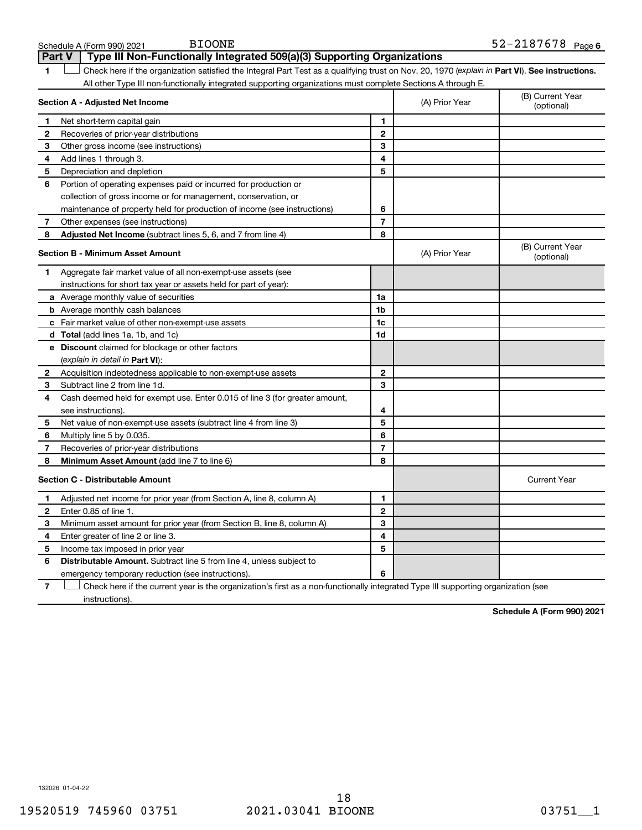|                | Type III Non-Functionally Integrated 509(a)(3) Supporting Organizations<br><b>Part V</b>                                                       |                          |                |                                |  |  |  |  |
|----------------|------------------------------------------------------------------------------------------------------------------------------------------------|--------------------------|----------------|--------------------------------|--|--|--|--|
|                | Check here if the organization satisfied the Integral Part Test as a qualifying trust on Nov. 20, 1970 (explain in Part VI). See instructions. |                          |                |                                |  |  |  |  |
|                | All other Type III non-functionally integrated supporting organizations must complete Sections A through E.                                    |                          |                |                                |  |  |  |  |
|                | Section A - Adjusted Net Income                                                                                                                |                          | (A) Prior Year | (B) Current Year<br>(optional) |  |  |  |  |
| 1              | Net short-term capital gain                                                                                                                    | 1                        |                |                                |  |  |  |  |
| 2              | Recoveries of prior-year distributions                                                                                                         | $\mathbf{2}$             |                |                                |  |  |  |  |
| 3              | Other gross income (see instructions)                                                                                                          | 3                        |                |                                |  |  |  |  |
| 4              | Add lines 1 through 3.                                                                                                                         | $\overline{\mathbf{4}}$  |                |                                |  |  |  |  |
| 5              | Depreciation and depletion                                                                                                                     | 5                        |                |                                |  |  |  |  |
| 6              | Portion of operating expenses paid or incurred for production or                                                                               |                          |                |                                |  |  |  |  |
|                | collection of gross income or for management, conservation, or                                                                                 |                          |                |                                |  |  |  |  |
|                | maintenance of property held for production of income (see instructions)                                                                       | 6                        |                |                                |  |  |  |  |
| 7              | Other expenses (see instructions)                                                                                                              | $\overline{\phantom{a}}$ |                |                                |  |  |  |  |
| 8              | Adjusted Net Income (subtract lines 5, 6, and 7 from line 4)                                                                                   | 8                        |                |                                |  |  |  |  |
|                | <b>Section B - Minimum Asset Amount</b>                                                                                                        |                          | (A) Prior Year | (B) Current Year<br>(optional) |  |  |  |  |
| 1              | Aggregate fair market value of all non-exempt-use assets (see                                                                                  |                          |                |                                |  |  |  |  |
|                | instructions for short tax year or assets held for part of year):                                                                              |                          |                |                                |  |  |  |  |
|                | <b>a</b> Average monthly value of securities                                                                                                   | 1a                       |                |                                |  |  |  |  |
|                | <b>b</b> Average monthly cash balances                                                                                                         | 1 <sub>b</sub>           |                |                                |  |  |  |  |
|                | c Fair market value of other non-exempt-use assets                                                                                             | 1c                       |                |                                |  |  |  |  |
|                | <b>d</b> Total (add lines 1a, 1b, and 1c)                                                                                                      | 1d                       |                |                                |  |  |  |  |
|                | e Discount claimed for blockage or other factors                                                                                               |                          |                |                                |  |  |  |  |
|                | (explain in detail in Part VI):                                                                                                                |                          |                |                                |  |  |  |  |
| $\mathbf{2}$   | Acquisition indebtedness applicable to non-exempt-use assets                                                                                   | 2                        |                |                                |  |  |  |  |
| 3              | Subtract line 2 from line 1d.                                                                                                                  | 3                        |                |                                |  |  |  |  |
| 4              | Cash deemed held for exempt use. Enter 0.015 of line 3 (for greater amount,                                                                    |                          |                |                                |  |  |  |  |
|                | see instructions).                                                                                                                             | 4                        |                |                                |  |  |  |  |
| 5              | Net value of non-exempt-use assets (subtract line 4 from line 3)                                                                               | 5                        |                |                                |  |  |  |  |
| 6              | Multiply line 5 by 0.035.                                                                                                                      | 6                        |                |                                |  |  |  |  |
| 7              | Recoveries of prior-year distributions                                                                                                         | $\overline{7}$           |                |                                |  |  |  |  |
| 8              | Minimum Asset Amount (add line 7 to line 6)                                                                                                    | 8                        |                |                                |  |  |  |  |
|                | <b>Section C - Distributable Amount</b>                                                                                                        |                          |                | <b>Current Year</b>            |  |  |  |  |
| 1              | Adjusted net income for prior year (from Section A, line 8, column A)                                                                          | 1                        |                |                                |  |  |  |  |
| 2              | Enter 0.85 of line 1.                                                                                                                          | $\mathbf{2}$             |                |                                |  |  |  |  |
| 3              | Minimum asset amount for prior year (from Section B, line 8, column A)                                                                         | 3                        |                |                                |  |  |  |  |
| 4              | Enter greater of line 2 or line 3.                                                                                                             | 4                        |                |                                |  |  |  |  |
| 5              | Income tax imposed in prior year                                                                                                               | 5                        |                |                                |  |  |  |  |
| 6              | <b>Distributable Amount.</b> Subtract line 5 from line 4, unless subject to                                                                    |                          |                |                                |  |  |  |  |
|                | emergency temporary reduction (see instructions).                                                                                              | 6                        |                |                                |  |  |  |  |
| $\overline{7}$ | Check here if the current year is the organization's first as a non-functionally integrated Type III supporting organization (see              |                          |                |                                |  |  |  |  |

instructions).

**Schedule A (Form 990) 2021**

132026 01-04-22

19520519 745960 03751 2021.03041 BIOONE 03751\_\_1

Schedule A (Form 990) 2021 BIOONE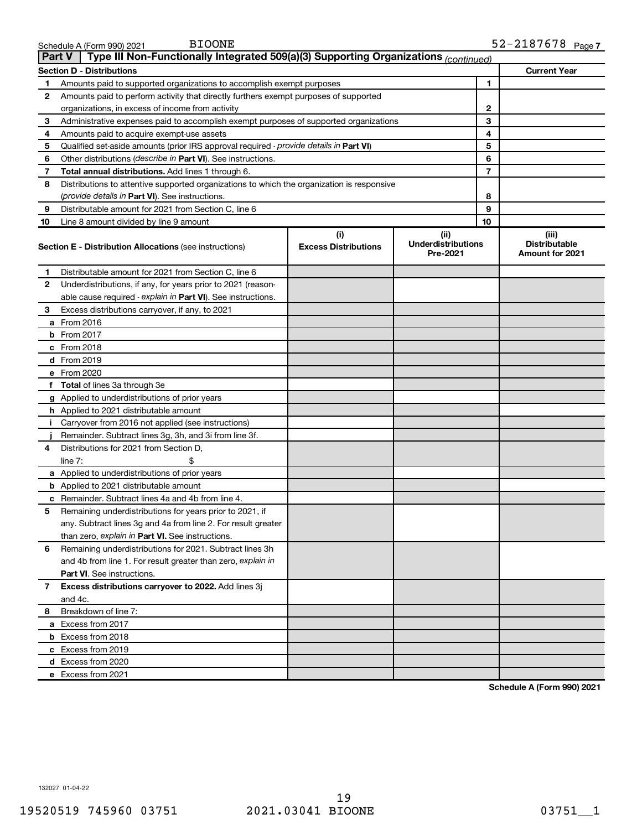| 8            | Distributions to attentive supported organizations to which the organization is responsive |                                    |                                               |  |                                                  |  |
|--------------|--------------------------------------------------------------------------------------------|------------------------------------|-----------------------------------------------|--|--------------------------------------------------|--|
|              | (provide details in Part VI). See instructions.                                            | 8                                  |                                               |  |                                                  |  |
| 9            | Distributable amount for 2021 from Section C, line 6                                       |                                    |                                               |  |                                                  |  |
| 10           | Line 8 amount divided by line 9 amount                                                     | 10                                 |                                               |  |                                                  |  |
|              | <b>Section E - Distribution Allocations (see instructions)</b>                             | (i)<br><b>Excess Distributions</b> | (ii)<br><b>Underdistributions</b><br>Pre-2021 |  | (iii)<br><b>Distributable</b><br>Amount for 2021 |  |
| 1            | Distributable amount for 2021 from Section C, line 6                                       |                                    |                                               |  |                                                  |  |
| $\mathbf{2}$ | Underdistributions, if any, for years prior to 2021 (reason-                               |                                    |                                               |  |                                                  |  |
|              | able cause required - explain in Part VI). See instructions.                               |                                    |                                               |  |                                                  |  |
| 3            | Excess distributions carryover, if any, to 2021                                            |                                    |                                               |  |                                                  |  |
|              | <b>a</b> From 2016                                                                         |                                    |                                               |  |                                                  |  |
|              | <b>b</b> From 2017                                                                         |                                    |                                               |  |                                                  |  |
|              | $c$ From 2018                                                                              |                                    |                                               |  |                                                  |  |
|              | d From 2019                                                                                |                                    |                                               |  |                                                  |  |
|              | e From 2020                                                                                |                                    |                                               |  |                                                  |  |
|              | f Total of lines 3a through 3e                                                             |                                    |                                               |  |                                                  |  |
|              | g Applied to underdistributions of prior years                                             |                                    |                                               |  |                                                  |  |
|              | h Applied to 2021 distributable amount                                                     |                                    |                                               |  |                                                  |  |
|              | i Carryover from 2016 not applied (see instructions)                                       |                                    |                                               |  |                                                  |  |
|              | Remainder. Subtract lines 3g, 3h, and 3i from line 3f.                                     |                                    |                                               |  |                                                  |  |
| 4            | Distributions for 2021 from Section D,                                                     |                                    |                                               |  |                                                  |  |
|              | line 7:                                                                                    |                                    |                                               |  |                                                  |  |
|              | <b>a</b> Applied to underdistributions of prior years                                      |                                    |                                               |  |                                                  |  |
|              | <b>b</b> Applied to 2021 distributable amount                                              |                                    |                                               |  |                                                  |  |
|              | <b>c</b> Remainder. Subtract lines 4a and 4b from line 4.                                  |                                    |                                               |  |                                                  |  |
| 5            | Remaining underdistributions for years prior to 2021, if                                   |                                    |                                               |  |                                                  |  |
|              | any. Subtract lines 3g and 4a from line 2. For result greater                              |                                    |                                               |  |                                                  |  |
|              | than zero, explain in Part VI. See instructions.                                           |                                    |                                               |  |                                                  |  |
| 6            | Remaining underdistributions for 2021. Subtract lines 3h                                   |                                    |                                               |  |                                                  |  |
|              | and 4b from line 1. For result greater than zero, explain in                               |                                    |                                               |  |                                                  |  |
|              | <b>Part VI.</b> See instructions.                                                          |                                    |                                               |  |                                                  |  |
| 7            | <b>Excess distributions carryover to 2022.</b> Add lines 3j                                |                                    |                                               |  |                                                  |  |
|              | and 4c.                                                                                    |                                    |                                               |  |                                                  |  |
| 8            | Breakdown of line 7:                                                                       |                                    |                                               |  |                                                  |  |
|              | a Excess from 2017                                                                         |                                    |                                               |  |                                                  |  |
|              | <b>b</b> Excess from 2018                                                                  |                                    |                                               |  |                                                  |  |
|              | c Excess from 2019                                                                         |                                    |                                               |  |                                                  |  |
|              | d Excess from 2020                                                                         |                                    |                                               |  |                                                  |  |
|              | e Excess from 2021                                                                         |                                    |                                               |  |                                                  |  |
|              |                                                                                            |                                    |                                               |  | Schedule A (Form 990) 2021                       |  |

**Section D - Distributions Current Year**

Amounts paid to supported organizations to accomplish exempt purposes

Qualified set-aside amounts (prior IRS approval required - provide details in Part VI)

Amounts paid to perform activity that directly furthers exempt purposes of supported

Administrative expenses paid to accomplish exempt purposes of supported organizations

Other distributions (describe in Part VI). See instructions. **Total annual distributions.** Add lines 1 through 6.

organizations, in excess of income from activity

Amounts paid to acquire exempt-use assets

**1 2**

**1**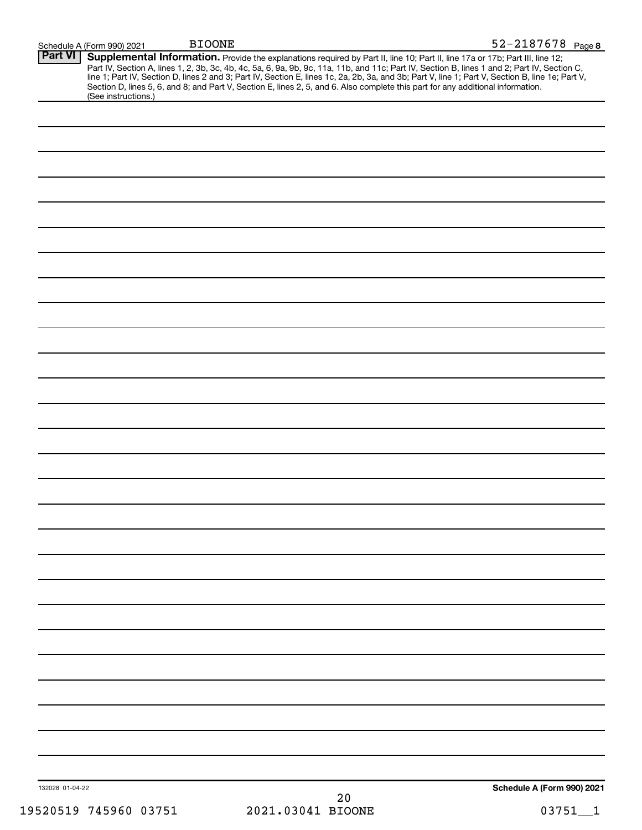|                 | Schedule A (Form 990) 2021 | <b>BIOONE</b> |                                                                                                                                 | 52-2187678 Page 8                                                                                                                                                                                                                                                                                                                                                                                                                 |
|-----------------|----------------------------|---------------|---------------------------------------------------------------------------------------------------------------------------------|-----------------------------------------------------------------------------------------------------------------------------------------------------------------------------------------------------------------------------------------------------------------------------------------------------------------------------------------------------------------------------------------------------------------------------------|
| <b>Part VI</b>  |                            |               | Section D, lines 5, 6, and 8; and Part V, Section E, lines 2, 5, and 6. Also complete this part for any additional information. | Supplemental Information. Provide the explanations required by Part II, line 10; Part II, line 17a or 17b; Part III, line 12;<br>Part IV, Section A, lines 1, 2, 3b, 3c, 4b, 4c, 5a, 6, 9a, 9b, 9c, 11a, 11b, and 11c; Part IV, Section B, lines 1 and 2; Part IV, Section C,<br>line 1; Part IV, Section D, lines 2 and 3; Part IV, Section E, lines 1c, 2a, 2b, 3a, and 3b; Part V, line 1; Part V, Section B, line 1e; Part V, |
|                 | (See instructions.)        |               |                                                                                                                                 |                                                                                                                                                                                                                                                                                                                                                                                                                                   |
|                 |                            |               |                                                                                                                                 |                                                                                                                                                                                                                                                                                                                                                                                                                                   |
|                 |                            |               |                                                                                                                                 |                                                                                                                                                                                                                                                                                                                                                                                                                                   |
|                 |                            |               |                                                                                                                                 |                                                                                                                                                                                                                                                                                                                                                                                                                                   |
|                 |                            |               |                                                                                                                                 |                                                                                                                                                                                                                                                                                                                                                                                                                                   |
|                 |                            |               |                                                                                                                                 |                                                                                                                                                                                                                                                                                                                                                                                                                                   |
|                 |                            |               |                                                                                                                                 |                                                                                                                                                                                                                                                                                                                                                                                                                                   |
|                 |                            |               |                                                                                                                                 |                                                                                                                                                                                                                                                                                                                                                                                                                                   |
|                 |                            |               |                                                                                                                                 |                                                                                                                                                                                                                                                                                                                                                                                                                                   |
|                 |                            |               |                                                                                                                                 |                                                                                                                                                                                                                                                                                                                                                                                                                                   |
|                 |                            |               |                                                                                                                                 |                                                                                                                                                                                                                                                                                                                                                                                                                                   |
|                 |                            |               |                                                                                                                                 |                                                                                                                                                                                                                                                                                                                                                                                                                                   |
|                 |                            |               |                                                                                                                                 |                                                                                                                                                                                                                                                                                                                                                                                                                                   |
|                 |                            |               |                                                                                                                                 |                                                                                                                                                                                                                                                                                                                                                                                                                                   |
|                 |                            |               |                                                                                                                                 |                                                                                                                                                                                                                                                                                                                                                                                                                                   |
|                 |                            |               |                                                                                                                                 |                                                                                                                                                                                                                                                                                                                                                                                                                                   |
|                 |                            |               |                                                                                                                                 |                                                                                                                                                                                                                                                                                                                                                                                                                                   |
|                 |                            |               |                                                                                                                                 |                                                                                                                                                                                                                                                                                                                                                                                                                                   |
|                 |                            |               |                                                                                                                                 |                                                                                                                                                                                                                                                                                                                                                                                                                                   |
|                 |                            |               |                                                                                                                                 |                                                                                                                                                                                                                                                                                                                                                                                                                                   |
|                 |                            |               |                                                                                                                                 |                                                                                                                                                                                                                                                                                                                                                                                                                                   |
|                 |                            |               |                                                                                                                                 |                                                                                                                                                                                                                                                                                                                                                                                                                                   |
|                 |                            |               |                                                                                                                                 |                                                                                                                                                                                                                                                                                                                                                                                                                                   |
|                 |                            |               |                                                                                                                                 |                                                                                                                                                                                                                                                                                                                                                                                                                                   |
|                 |                            |               |                                                                                                                                 |                                                                                                                                                                                                                                                                                                                                                                                                                                   |
|                 |                            |               |                                                                                                                                 |                                                                                                                                                                                                                                                                                                                                                                                                                                   |
|                 |                            |               |                                                                                                                                 |                                                                                                                                                                                                                                                                                                                                                                                                                                   |
| 132028 01-04-22 |                            |               | 2.0                                                                                                                             | Schedule A (Form 990) 2021                                                                                                                                                                                                                                                                                                                                                                                                        |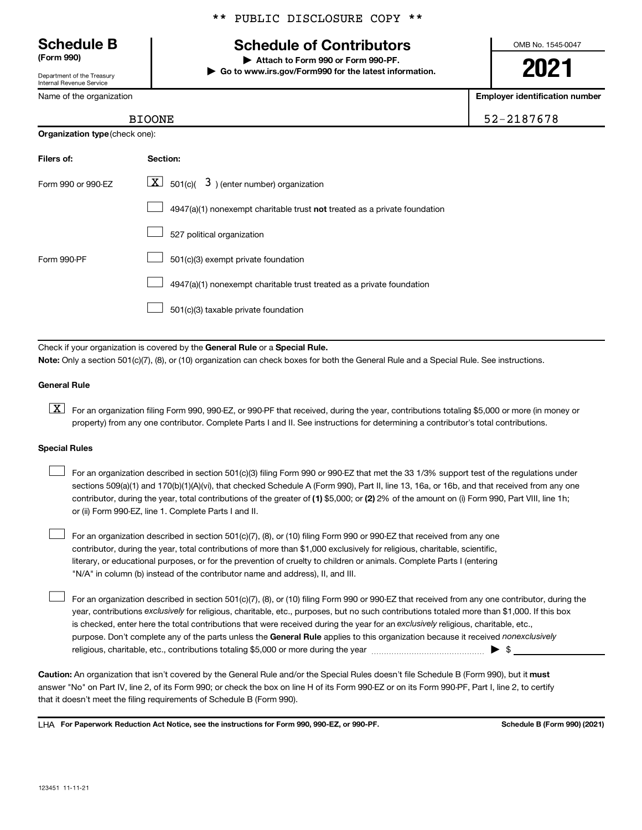#### \*\* PUBLIC DISCLOSURE COPY \*\*

# **Schedule B Schedule of Contributors**

**(Form 990) | Attach to Form 990 or Form 990-PF. | Go to www.irs.gov/Form990 for the latest information.** OMB No. 1545-0047

**2021**

**Employer identification number**

| (Form 990)                                             |     |
|--------------------------------------------------------|-----|
| Department of the Treasury<br>Internal Revenue Service | ► G |

Name of the organization

**Organization type** (check one):

BIOONE 52-2187678

| Filers of:         | Section:                                                                  |
|--------------------|---------------------------------------------------------------------------|
| Form 990 or 990-EZ | $\boxed{\mathbf{X}}$ 501(c)( 3) (enter number) organization               |
|                    | 4947(a)(1) nonexempt charitable trust not treated as a private foundation |
|                    | 527 political organization                                                |
| Form 990-PF        | 501(c)(3) exempt private foundation                                       |
|                    | 4947(a)(1) nonexempt charitable trust treated as a private foundation     |
|                    | 501(c)(3) taxable private foundation                                      |

Check if your organization is covered by the General Rule or a Special Rule.

**Note:**  Only a section 501(c)(7), (8), or (10) organization can check boxes for both the General Rule and a Special Rule. See instructions.

#### **General Rule**

**K** For an organization filing Form 990, 990-EZ, or 990-PF that received, during the year, contributions totaling \$5,000 or more (in money or property) from any one contributor. Complete Parts I and II. See instructions for determining a contributor's total contributions.

#### **Special Rules**

 $\Box$ 

contributor, during the year, total contributions of the greater of (1) \$5,000; or (2) 2% of the amount on (i) Form 990, Part VIII, line 1h; For an organization described in section 501(c)(3) filing Form 990 or 990-EZ that met the 33 1/3% support test of the regulations under sections 509(a)(1) and 170(b)(1)(A)(vi), that checked Schedule A (Form 990), Part II, line 13, 16a, or 16b, and that received from any one or (ii) Form 990-EZ, line 1. Complete Parts I and II.  $\Box$ 

For an organization described in section 501(c)(7), (8), or (10) filing Form 990 or 990-EZ that received from any one contributor, during the year, total contributions of more than \$1,000 exclusively for religious, charitable, scientific, literary, or educational purposes, or for the prevention of cruelty to children or animals. Complete Parts I (entering "N/A" in column (b) instead of the contributor name and address), II, and III.  $\Box$ 

purpose. Don't complete any of the parts unless the General Rule applies to this organization because it received nonexclusively year, contributions exclusively for religious, charitable, etc., purposes, but no such contributions totaled more than \$1,000. If this box is checked, enter here the total contributions that were received during the year for an exclusively religious, charitable, etc., For an organization described in section 501(c)(7), (8), or (10) filing Form 990 or 990-EZ that received from any one contributor, during the religious, charitable, etc., contributions totaling \$5,000 or more during the year  $\ldots$  $\ldots$  $\ldots$  $\ldots$  $\ldots$  $\ldots$ 

Caution: An organization that isn't covered by the General Rule and/or the Special Rules doesn't file Schedule B (Form 990), but it must answer "No" on Part IV, line 2, of its Form 990; or check the box on line H of its Form 990-EZ or on its Form 990-PF, Part I, line 2, to certify that it doesn't meet the filing requirements of Schedule B (Form 990).

LHA For Paperwork Reduction Act Notice, see the instructions for Form 990, 990-EZ, or 990-PF. **Schell B (Form 990)** (2021)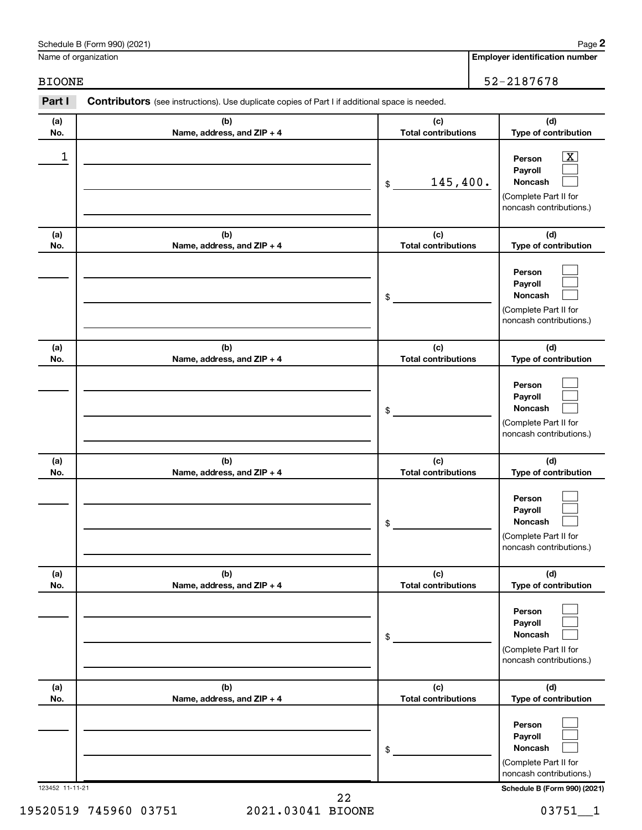|                 | Schedule B (Form 990) (2021)                                                                   |                                   | Page 2                                                                                                   |
|-----------------|------------------------------------------------------------------------------------------------|-----------------------------------|----------------------------------------------------------------------------------------------------------|
|                 | Name of organization                                                                           |                                   | <b>Employer identification number</b>                                                                    |
| <b>BIOONE</b>   |                                                                                                |                                   | 52-2187678                                                                                               |
| Part I          | Contributors (see instructions). Use duplicate copies of Part I if additional space is needed. |                                   |                                                                                                          |
| (a)<br>No.      | (b)<br>Name, address, and ZIP + 4                                                              | (c)<br><b>Total contributions</b> | (d)<br>Type of contribution                                                                              |
| 1               |                                                                                                | 145,400.<br>\$                    | $\mathbf{X}$<br>Person<br>Payroll<br>Noncash<br>(Complete Part II for<br>noncash contributions.)         |
| (a)<br>No.      | (b)<br>Name, address, and ZIP + 4                                                              | (c)<br><b>Total contributions</b> | (d)<br>Type of contribution                                                                              |
|                 |                                                                                                | \$                                | Person<br>Payroll<br>Noncash<br>(Complete Part II for<br>noncash contributions.)                         |
| (a)             | (b)                                                                                            | (c)                               | (d)                                                                                                      |
| No.             | Name, address, and ZIP + 4                                                                     | <b>Total contributions</b><br>\$  | Type of contribution<br>Person<br>Payroll<br>Noncash<br>(Complete Part II for<br>noncash contributions.) |
| (a)<br>No.      | (b)<br>Name, address, and ZIP + 4                                                              | (c)<br><b>Total contributions</b> | (d)<br>Type of contribution                                                                              |
|                 |                                                                                                | \$                                | Person<br>Payroll<br>Noncash<br>(Complete Part II for<br>noncash contributions.)                         |
| (a)<br>No.      | (b)<br>Name, address, and ZIP + 4                                                              | (c)<br><b>Total contributions</b> | (d)<br>Type of contribution                                                                              |
|                 |                                                                                                | \$                                | Person<br>Payroll<br>Noncash<br>(Complete Part II for<br>noncash contributions.)                         |
| (a)<br>No.      | (b)<br>Name, address, and ZIP + 4                                                              | (c)<br><b>Total contributions</b> | (d)<br>Type of contribution                                                                              |
|                 |                                                                                                | \$                                | Person<br>Payroll<br>Noncash<br>(Complete Part II for<br>noncash contributions.)                         |
| 123452 11-11-21 |                                                                                                |                                   | Schedule B (Form 990) (2021)                                                                             |

22

19520519 745960 03751 2021.03041 BIOONE 03751\_\_1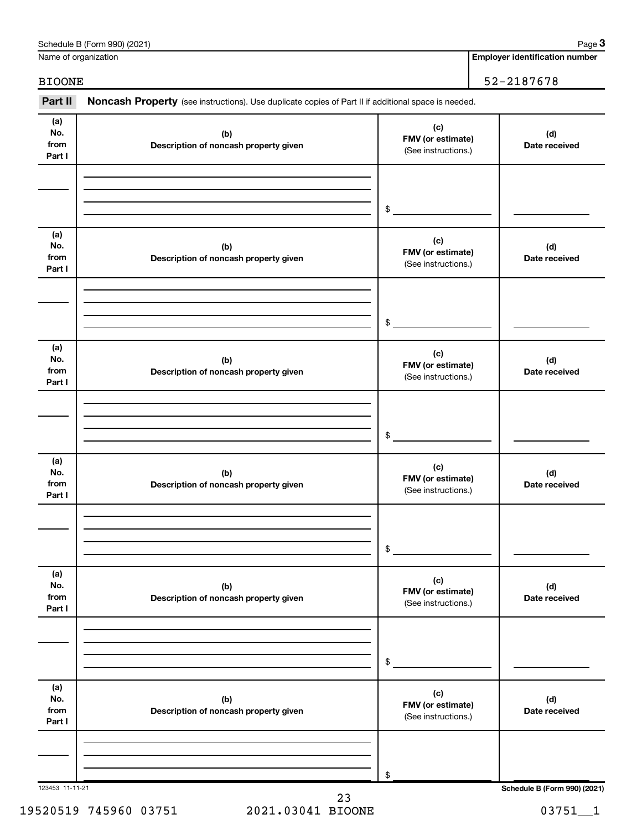|                              | Schedule B (Form 990) (2021)                                                                        |                                                 | Page 3                                |
|------------------------------|-----------------------------------------------------------------------------------------------------|-------------------------------------------------|---------------------------------------|
|                              | Name of organization                                                                                |                                                 | <b>Employer identification number</b> |
| <b>BIOONE</b>                |                                                                                                     |                                                 | 52-2187678                            |
| Part II                      | Noncash Property (see instructions). Use duplicate copies of Part II if additional space is needed. |                                                 |                                       |
| (a)<br>No.<br>from<br>Part I | (b)<br>Description of noncash property given                                                        | (c)<br>FMV (or estimate)<br>(See instructions.) | (d)<br>Date received                  |
|                              |                                                                                                     | \$                                              |                                       |
| (a)<br>No.<br>from<br>Part I | (b)<br>Description of noncash property given                                                        | (c)<br>FMV (or estimate)<br>(See instructions.) | (d)<br>Date received                  |
|                              |                                                                                                     | \$                                              |                                       |
| (a)<br>No.<br>from<br>Part I | (b)<br>Description of noncash property given                                                        | (c)<br>FMV (or estimate)<br>(See instructions.) | (d)<br>Date received                  |
|                              |                                                                                                     | \$                                              |                                       |
| (a)<br>No.<br>from<br>Part I | (b)<br>Description of noncash property given                                                        | (c)<br>FMV (or estimate)<br>(See instructions.) | (d)<br>Date received                  |
|                              |                                                                                                     | \$                                              |                                       |
| (a)<br>No.<br>from<br>Part I | (b)<br>Description of noncash property given                                                        | (c)<br>FMV (or estimate)<br>(See instructions.) | (d)<br>Date received                  |
|                              |                                                                                                     | \$                                              |                                       |
| (a)<br>No.<br>from<br>Part I | (b)<br>Description of noncash property given                                                        | (c)<br>FMV (or estimate)<br>(See instructions.) | (d)<br>Date received                  |
|                              |                                                                                                     | \$                                              |                                       |
| 123453 11-11-21              |                                                                                                     |                                                 | Schedule B (Form 990) (2021)          |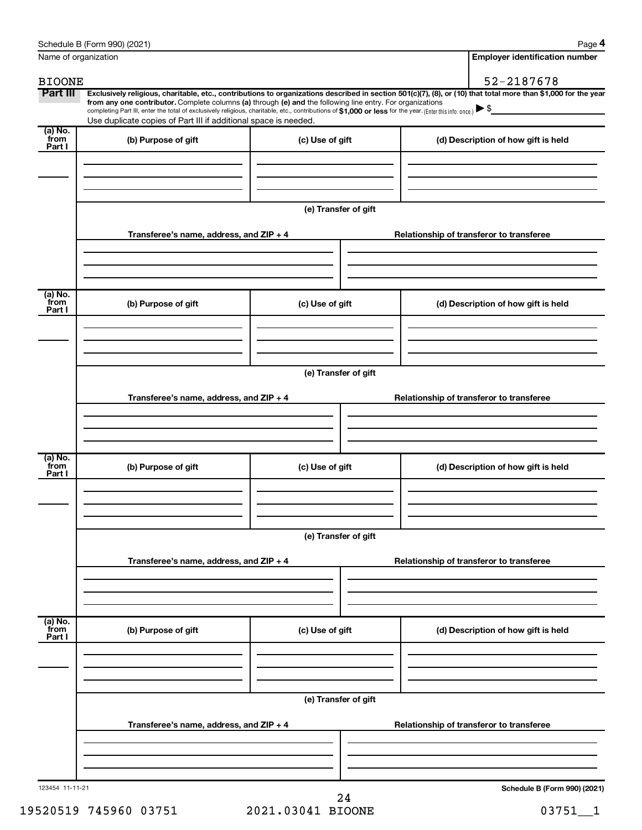|                           | Schedule B (Form 990) (2021)                                                                                                                                                  |                      | Page 4                                                                                                                                                                                                                                                                                                                          |  |  |  |  |
|---------------------------|-------------------------------------------------------------------------------------------------------------------------------------------------------------------------------|----------------------|---------------------------------------------------------------------------------------------------------------------------------------------------------------------------------------------------------------------------------------------------------------------------------------------------------------------------------|--|--|--|--|
|                           | Name of organization                                                                                                                                                          |                      | <b>Employer identification number</b>                                                                                                                                                                                                                                                                                           |  |  |  |  |
| <b>BIOONE</b>             |                                                                                                                                                                               |                      | 52-2187678                                                                                                                                                                                                                                                                                                                      |  |  |  |  |
| Part III                  | from any one contributor. Complete columns (a) through (e) and the following line entry. For organizations<br>Use duplicate copies of Part III if additional space is needed. |                      | Exclusively religious, charitable, etc., contributions to organizations described in section 501(c)(7), (8), or (10) that total more than \$1,000 for the year<br>completing Part III, enter the total of exclusively religious, charitable, etc., contributions of \$1,000 or less for the year. (Enter this info. once.) > \$ |  |  |  |  |
| (a) No.<br>from<br>Part I | (b) Purpose of gift                                                                                                                                                           | (c) Use of gift      | (d) Description of how gift is held                                                                                                                                                                                                                                                                                             |  |  |  |  |
|                           |                                                                                                                                                                               |                      |                                                                                                                                                                                                                                                                                                                                 |  |  |  |  |
|                           |                                                                                                                                                                               | (e) Transfer of gift |                                                                                                                                                                                                                                                                                                                                 |  |  |  |  |
|                           | Transferee's name, address, and ZIP + 4                                                                                                                                       |                      | Relationship of transferor to transferee                                                                                                                                                                                                                                                                                        |  |  |  |  |
|                           |                                                                                                                                                                               |                      |                                                                                                                                                                                                                                                                                                                                 |  |  |  |  |
| (a) No.<br>from<br>Part I | (b) Purpose of gift                                                                                                                                                           | (c) Use of gift      | (d) Description of how gift is held                                                                                                                                                                                                                                                                                             |  |  |  |  |
|                           |                                                                                                                                                                               |                      |                                                                                                                                                                                                                                                                                                                                 |  |  |  |  |
|                           | (e) Transfer of gift                                                                                                                                                          |                      |                                                                                                                                                                                                                                                                                                                                 |  |  |  |  |
|                           | Transferee's name, address, and ZIP + 4                                                                                                                                       |                      | Relationship of transferor to transferee                                                                                                                                                                                                                                                                                        |  |  |  |  |
| (a) No.                   |                                                                                                                                                                               |                      |                                                                                                                                                                                                                                                                                                                                 |  |  |  |  |
| from<br>Part I            | (b) Purpose of gift                                                                                                                                                           | (c) Use of gift      | (d) Description of how gift is held                                                                                                                                                                                                                                                                                             |  |  |  |  |
|                           |                                                                                                                                                                               |                      |                                                                                                                                                                                                                                                                                                                                 |  |  |  |  |
|                           |                                                                                                                                                                               | (e) Transfer of gift |                                                                                                                                                                                                                                                                                                                                 |  |  |  |  |
|                           | Transferee's name, address, and ZIP + 4                                                                                                                                       |                      | Relationship of transferor to transferee                                                                                                                                                                                                                                                                                        |  |  |  |  |
| (a) No.<br>from           |                                                                                                                                                                               |                      |                                                                                                                                                                                                                                                                                                                                 |  |  |  |  |
| Part I                    | (b) Purpose of gift                                                                                                                                                           | (c) Use of gift      | (d) Description of how gift is held                                                                                                                                                                                                                                                                                             |  |  |  |  |
|                           |                                                                                                                                                                               |                      |                                                                                                                                                                                                                                                                                                                                 |  |  |  |  |
|                           | Transferee's name, address, and ZIP + 4                                                                                                                                       | (e) Transfer of gift | Relationship of transferor to transferee                                                                                                                                                                                                                                                                                        |  |  |  |  |
|                           |                                                                                                                                                                               |                      |                                                                                                                                                                                                                                                                                                                                 |  |  |  |  |
|                           |                                                                                                                                                                               |                      |                                                                                                                                                                                                                                                                                                                                 |  |  |  |  |

19520519 745960 03751 2021.03041 BIOONE 03751\_\_1 24

**Schedule B (Form 990) (2021)**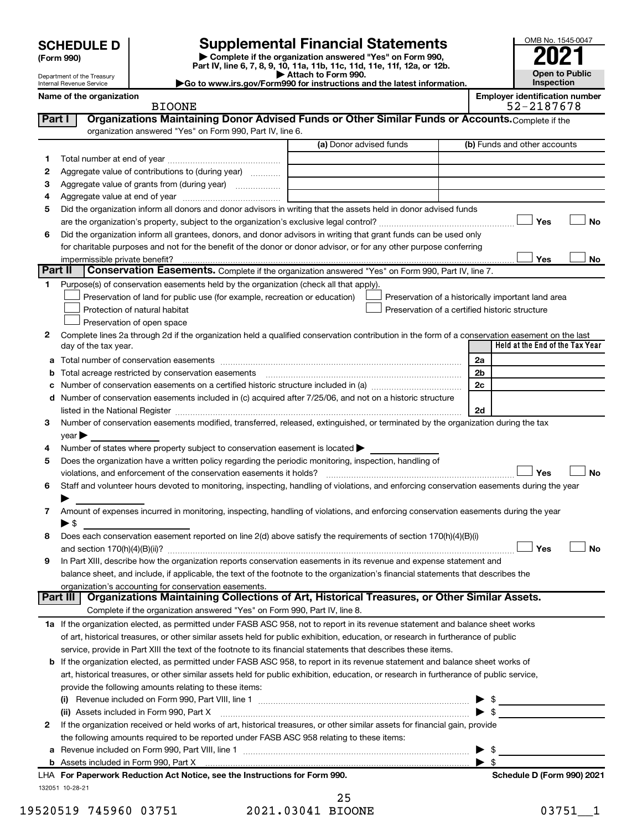Department of the Treasury Internal Revenue Service

**(Form 990)**

**| Complete if the organization answered "Yes" on Form 990, Part IV, line 6, 7, 8, 9, 10, 11a, 11b, 11c, 11d, 11e, 11f, 12a, or 12b. SCHEDULE D Supplemental Financial Statements**<br> **Form 990 Example 5 2021**<br>
Part IV. line 6, 7, 8, 9, 10, 11a, 11b, 11c, 11d, 11e, 11f, 12a, or 12b.

**| Attach to Form 990. |Go to www.irs.gov/Form990 for instructions and the latest information.**

| OMB No. 1545-0047     |
|-----------------------|
|                       |
| $\sqrt{0}$            |
|                       |
| <b>Open to Public</b> |
| Inspection            |

**Name of the organization Employer identification number** BIOONE 52-2187678

| (a) Donor advised funds<br>(b) Funds and other accounts<br>1.<br>Aggregate value of contributions to (during year)<br>2<br>Aggregate value of grants from (during year)<br>з<br>4<br>Did the organization inform all donors and donor advisors in writing that the assets held in donor advised funds<br>5<br>Yes<br>No<br>Did the organization inform all grantees, donors, and donor advisors in writing that grant funds can be used only<br>6<br>for charitable purposes and not for the benefit of the donor or donor advisor, or for any other purpose conferring<br>Yes<br>No<br>Part II<br>Conservation Easements. Complete if the organization answered "Yes" on Form 990, Part IV, line 7.<br>Purpose(s) of conservation easements held by the organization (check all that apply).<br>1<br>Preservation of land for public use (for example, recreation or education)<br>Preservation of a historically important land area<br>Protection of natural habitat<br>Preservation of a certified historic structure<br>Preservation of open space<br>Complete lines 2a through 2d if the organization held a qualified conservation contribution in the form of a conservation easement on the last<br>2<br>Held at the End of the Tax Year<br>day of the tax year.<br>2a<br>a<br>2b<br>b<br>2c<br>с<br>Number of conservation easements included in (c) acquired after 7/25/06, and not on a historic structure<br>d<br>2d<br>listed in the National Register [111] Marshall Register [11] Marshall Register [11] Marshall Register [11] Marshall Register [11] Marshall Register [11] Marshall Register [11] Marshall Register [11] Marshall Register [11]<br>Number of conservation easements modified, transferred, released, extinguished, or terminated by the organization during the tax<br>3<br>year<br>Number of states where property subject to conservation easement is located ><br>4<br>Does the organization have a written policy regarding the periodic monitoring, inspection, handling of<br>5<br>Yes<br><b>No</b><br>violations, and enforcement of the conservation easements it holds?<br>Staff and volunteer hours devoted to monitoring, inspecting, handling of violations, and enforcing conservation easements during the year<br>6<br>Amount of expenses incurred in monitoring, inspecting, handling of violations, and enforcing conservation easements during the year<br>7<br>$\blacktriangleright$ s<br>Does each conservation easement reported on line 2(d) above satisfy the requirements of section 170(h)(4)(B)(i)<br>8<br>Yes<br><b>No</b><br>In Part XIII, describe how the organization reports conservation easements in its revenue and expense statement and<br>9<br>balance sheet, and include, if applicable, the text of the footnote to the organization's financial statements that describes the<br>organization's accounting for conservation easements.<br>Organizations Maintaining Collections of Art, Historical Treasures, or Other Similar Assets.<br>Part III<br>Complete if the organization answered "Yes" on Form 990, Part IV, line 8.<br>1a If the organization elected, as permitted under FASB ASC 958, not to report in its revenue statement and balance sheet works<br>of art, historical treasures, or other similar assets held for public exhibition, education, or research in furtherance of public<br>service, provide in Part XIII the text of the footnote to its financial statements that describes these items.<br>If the organization elected, as permitted under FASB ASC 958, to report in its revenue statement and balance sheet works of<br>b<br>art, historical treasures, or other similar assets held for public exhibition, education, or research in furtherance of public service,<br>provide the following amounts relating to these items:<br>$\blacktriangleright$ \$<br>(ii) Assets included in Form 990, Part X<br>If the organization received or held works of art, historical treasures, or other similar assets for financial gain, provide<br>2<br>the following amounts required to be reported under FASB ASC 958 relating to these items:<br>\$<br>а<br>$\blacktriangleright$ s<br>b Assets included in Form 990, Part X [11, 120] Marten and March 2016 March 2016 March 2016 March 2016 March 20<br>LHA For Paperwork Reduction Act Notice, see the Instructions for Form 990.<br>Schedule D (Form 990) 2021<br>132051 10-28-21 | Part I | Organizations Maintaining Donor Advised Funds or Other Similar Funds or Accounts. Complete if the<br>organization answered "Yes" on Form 990, Part IV, line 6. |  |
|--------------------------------------------------------------------------------------------------------------------------------------------------------------------------------------------------------------------------------------------------------------------------------------------------------------------------------------------------------------------------------------------------------------------------------------------------------------------------------------------------------------------------------------------------------------------------------------------------------------------------------------------------------------------------------------------------------------------------------------------------------------------------------------------------------------------------------------------------------------------------------------------------------------------------------------------------------------------------------------------------------------------------------------------------------------------------------------------------------------------------------------------------------------------------------------------------------------------------------------------------------------------------------------------------------------------------------------------------------------------------------------------------------------------------------------------------------------------------------------------------------------------------------------------------------------------------------------------------------------------------------------------------------------------------------------------------------------------------------------------------------------------------------------------------------------------------------------------------------------------------------------------------------------------------------------------------------------------------------------------------------------------------------------------------------------------------------------------------------------------------------------------------------------------------------------------------------------------------------------------------------------------------------------------------------------------------------------------------------------------------------------------------------------------------------------------------------------------------------------------------------------------------------------------------------------------------------------------------------------------------------------------------------------------------------------------------------------------------------------------------------------------------------------------------------------------------------------------------------------------------------------------------------------------------------------------------------------------------------------------------------------------------------------------------------------------------------------------------------------------------------------------------------------------------------------------------------------------------------------------------------------------------------------------------------------------------------------------------------------------------------------------------------------------------------------------------------------------------------------------------------------------------------------------------------------------------------------------------------------------------------------------------------------------------------------------------------------------------------------------------------------------------------------------------------------------------------------------------------------------------------------------------------------------------------------------------------------------------------------------------------------------------------------------------------------------------------------------------------------------------------------------------------------------------------------------------------------------------------------------------------------------------------------------------------------------------------------------------------------------------------------------------------------------------------------------------|--------|----------------------------------------------------------------------------------------------------------------------------------------------------------------|--|
|                                                                                                                                                                                                                                                                                                                                                                                                                                                                                                                                                                                                                                                                                                                                                                                                                                                                                                                                                                                                                                                                                                                                                                                                                                                                                                                                                                                                                                                                                                                                                                                                                                                                                                                                                                                                                                                                                                                                                                                                                                                                                                                                                                                                                                                                                                                                                                                                                                                                                                                                                                                                                                                                                                                                                                                                                                                                                                                                                                                                                                                                                                                                                                                                                                                                                                                                                                                                                                                                                                                                                                                                                                                                                                                                                                                                                                                                                                                                                                                                                                                                                                                                                                                                                                                                                                                                                                                                                                                  |        |                                                                                                                                                                |  |
|                                                                                                                                                                                                                                                                                                                                                                                                                                                                                                                                                                                                                                                                                                                                                                                                                                                                                                                                                                                                                                                                                                                                                                                                                                                                                                                                                                                                                                                                                                                                                                                                                                                                                                                                                                                                                                                                                                                                                                                                                                                                                                                                                                                                                                                                                                                                                                                                                                                                                                                                                                                                                                                                                                                                                                                                                                                                                                                                                                                                                                                                                                                                                                                                                                                                                                                                                                                                                                                                                                                                                                                                                                                                                                                                                                                                                                                                                                                                                                                                                                                                                                                                                                                                                                                                                                                                                                                                                                                  |        |                                                                                                                                                                |  |
|                                                                                                                                                                                                                                                                                                                                                                                                                                                                                                                                                                                                                                                                                                                                                                                                                                                                                                                                                                                                                                                                                                                                                                                                                                                                                                                                                                                                                                                                                                                                                                                                                                                                                                                                                                                                                                                                                                                                                                                                                                                                                                                                                                                                                                                                                                                                                                                                                                                                                                                                                                                                                                                                                                                                                                                                                                                                                                                                                                                                                                                                                                                                                                                                                                                                                                                                                                                                                                                                                                                                                                                                                                                                                                                                                                                                                                                                                                                                                                                                                                                                                                                                                                                                                                                                                                                                                                                                                                                  |        |                                                                                                                                                                |  |
|                                                                                                                                                                                                                                                                                                                                                                                                                                                                                                                                                                                                                                                                                                                                                                                                                                                                                                                                                                                                                                                                                                                                                                                                                                                                                                                                                                                                                                                                                                                                                                                                                                                                                                                                                                                                                                                                                                                                                                                                                                                                                                                                                                                                                                                                                                                                                                                                                                                                                                                                                                                                                                                                                                                                                                                                                                                                                                                                                                                                                                                                                                                                                                                                                                                                                                                                                                                                                                                                                                                                                                                                                                                                                                                                                                                                                                                                                                                                                                                                                                                                                                                                                                                                                                                                                                                                                                                                                                                  |        |                                                                                                                                                                |  |
|                                                                                                                                                                                                                                                                                                                                                                                                                                                                                                                                                                                                                                                                                                                                                                                                                                                                                                                                                                                                                                                                                                                                                                                                                                                                                                                                                                                                                                                                                                                                                                                                                                                                                                                                                                                                                                                                                                                                                                                                                                                                                                                                                                                                                                                                                                                                                                                                                                                                                                                                                                                                                                                                                                                                                                                                                                                                                                                                                                                                                                                                                                                                                                                                                                                                                                                                                                                                                                                                                                                                                                                                                                                                                                                                                                                                                                                                                                                                                                                                                                                                                                                                                                                                                                                                                                                                                                                                                                                  |        |                                                                                                                                                                |  |
|                                                                                                                                                                                                                                                                                                                                                                                                                                                                                                                                                                                                                                                                                                                                                                                                                                                                                                                                                                                                                                                                                                                                                                                                                                                                                                                                                                                                                                                                                                                                                                                                                                                                                                                                                                                                                                                                                                                                                                                                                                                                                                                                                                                                                                                                                                                                                                                                                                                                                                                                                                                                                                                                                                                                                                                                                                                                                                                                                                                                                                                                                                                                                                                                                                                                                                                                                                                                                                                                                                                                                                                                                                                                                                                                                                                                                                                                                                                                                                                                                                                                                                                                                                                                                                                                                                                                                                                                                                                  |        |                                                                                                                                                                |  |
|                                                                                                                                                                                                                                                                                                                                                                                                                                                                                                                                                                                                                                                                                                                                                                                                                                                                                                                                                                                                                                                                                                                                                                                                                                                                                                                                                                                                                                                                                                                                                                                                                                                                                                                                                                                                                                                                                                                                                                                                                                                                                                                                                                                                                                                                                                                                                                                                                                                                                                                                                                                                                                                                                                                                                                                                                                                                                                                                                                                                                                                                                                                                                                                                                                                                                                                                                                                                                                                                                                                                                                                                                                                                                                                                                                                                                                                                                                                                                                                                                                                                                                                                                                                                                                                                                                                                                                                                                                                  |        |                                                                                                                                                                |  |
|                                                                                                                                                                                                                                                                                                                                                                                                                                                                                                                                                                                                                                                                                                                                                                                                                                                                                                                                                                                                                                                                                                                                                                                                                                                                                                                                                                                                                                                                                                                                                                                                                                                                                                                                                                                                                                                                                                                                                                                                                                                                                                                                                                                                                                                                                                                                                                                                                                                                                                                                                                                                                                                                                                                                                                                                                                                                                                                                                                                                                                                                                                                                                                                                                                                                                                                                                                                                                                                                                                                                                                                                                                                                                                                                                                                                                                                                                                                                                                                                                                                                                                                                                                                                                                                                                                                                                                                                                                                  |        |                                                                                                                                                                |  |
|                                                                                                                                                                                                                                                                                                                                                                                                                                                                                                                                                                                                                                                                                                                                                                                                                                                                                                                                                                                                                                                                                                                                                                                                                                                                                                                                                                                                                                                                                                                                                                                                                                                                                                                                                                                                                                                                                                                                                                                                                                                                                                                                                                                                                                                                                                                                                                                                                                                                                                                                                                                                                                                                                                                                                                                                                                                                                                                                                                                                                                                                                                                                                                                                                                                                                                                                                                                                                                                                                                                                                                                                                                                                                                                                                                                                                                                                                                                                                                                                                                                                                                                                                                                                                                                                                                                                                                                                                                                  |        |                                                                                                                                                                |  |
|                                                                                                                                                                                                                                                                                                                                                                                                                                                                                                                                                                                                                                                                                                                                                                                                                                                                                                                                                                                                                                                                                                                                                                                                                                                                                                                                                                                                                                                                                                                                                                                                                                                                                                                                                                                                                                                                                                                                                                                                                                                                                                                                                                                                                                                                                                                                                                                                                                                                                                                                                                                                                                                                                                                                                                                                                                                                                                                                                                                                                                                                                                                                                                                                                                                                                                                                                                                                                                                                                                                                                                                                                                                                                                                                                                                                                                                                                                                                                                                                                                                                                                                                                                                                                                                                                                                                                                                                                                                  |        |                                                                                                                                                                |  |
|                                                                                                                                                                                                                                                                                                                                                                                                                                                                                                                                                                                                                                                                                                                                                                                                                                                                                                                                                                                                                                                                                                                                                                                                                                                                                                                                                                                                                                                                                                                                                                                                                                                                                                                                                                                                                                                                                                                                                                                                                                                                                                                                                                                                                                                                                                                                                                                                                                                                                                                                                                                                                                                                                                                                                                                                                                                                                                                                                                                                                                                                                                                                                                                                                                                                                                                                                                                                                                                                                                                                                                                                                                                                                                                                                                                                                                                                                                                                                                                                                                                                                                                                                                                                                                                                                                                                                                                                                                                  |        |                                                                                                                                                                |  |
|                                                                                                                                                                                                                                                                                                                                                                                                                                                                                                                                                                                                                                                                                                                                                                                                                                                                                                                                                                                                                                                                                                                                                                                                                                                                                                                                                                                                                                                                                                                                                                                                                                                                                                                                                                                                                                                                                                                                                                                                                                                                                                                                                                                                                                                                                                                                                                                                                                                                                                                                                                                                                                                                                                                                                                                                                                                                                                                                                                                                                                                                                                                                                                                                                                                                                                                                                                                                                                                                                                                                                                                                                                                                                                                                                                                                                                                                                                                                                                                                                                                                                                                                                                                                                                                                                                                                                                                                                                                  |        |                                                                                                                                                                |  |
|                                                                                                                                                                                                                                                                                                                                                                                                                                                                                                                                                                                                                                                                                                                                                                                                                                                                                                                                                                                                                                                                                                                                                                                                                                                                                                                                                                                                                                                                                                                                                                                                                                                                                                                                                                                                                                                                                                                                                                                                                                                                                                                                                                                                                                                                                                                                                                                                                                                                                                                                                                                                                                                                                                                                                                                                                                                                                                                                                                                                                                                                                                                                                                                                                                                                                                                                                                                                                                                                                                                                                                                                                                                                                                                                                                                                                                                                                                                                                                                                                                                                                                                                                                                                                                                                                                                                                                                                                                                  |        |                                                                                                                                                                |  |
|                                                                                                                                                                                                                                                                                                                                                                                                                                                                                                                                                                                                                                                                                                                                                                                                                                                                                                                                                                                                                                                                                                                                                                                                                                                                                                                                                                                                                                                                                                                                                                                                                                                                                                                                                                                                                                                                                                                                                                                                                                                                                                                                                                                                                                                                                                                                                                                                                                                                                                                                                                                                                                                                                                                                                                                                                                                                                                                                                                                                                                                                                                                                                                                                                                                                                                                                                                                                                                                                                                                                                                                                                                                                                                                                                                                                                                                                                                                                                                                                                                                                                                                                                                                                                                                                                                                                                                                                                                                  |        |                                                                                                                                                                |  |
|                                                                                                                                                                                                                                                                                                                                                                                                                                                                                                                                                                                                                                                                                                                                                                                                                                                                                                                                                                                                                                                                                                                                                                                                                                                                                                                                                                                                                                                                                                                                                                                                                                                                                                                                                                                                                                                                                                                                                                                                                                                                                                                                                                                                                                                                                                                                                                                                                                                                                                                                                                                                                                                                                                                                                                                                                                                                                                                                                                                                                                                                                                                                                                                                                                                                                                                                                                                                                                                                                                                                                                                                                                                                                                                                                                                                                                                                                                                                                                                                                                                                                                                                                                                                                                                                                                                                                                                                                                                  |        |                                                                                                                                                                |  |
|                                                                                                                                                                                                                                                                                                                                                                                                                                                                                                                                                                                                                                                                                                                                                                                                                                                                                                                                                                                                                                                                                                                                                                                                                                                                                                                                                                                                                                                                                                                                                                                                                                                                                                                                                                                                                                                                                                                                                                                                                                                                                                                                                                                                                                                                                                                                                                                                                                                                                                                                                                                                                                                                                                                                                                                                                                                                                                                                                                                                                                                                                                                                                                                                                                                                                                                                                                                                                                                                                                                                                                                                                                                                                                                                                                                                                                                                                                                                                                                                                                                                                                                                                                                                                                                                                                                                                                                                                                                  |        |                                                                                                                                                                |  |
|                                                                                                                                                                                                                                                                                                                                                                                                                                                                                                                                                                                                                                                                                                                                                                                                                                                                                                                                                                                                                                                                                                                                                                                                                                                                                                                                                                                                                                                                                                                                                                                                                                                                                                                                                                                                                                                                                                                                                                                                                                                                                                                                                                                                                                                                                                                                                                                                                                                                                                                                                                                                                                                                                                                                                                                                                                                                                                                                                                                                                                                                                                                                                                                                                                                                                                                                                                                                                                                                                                                                                                                                                                                                                                                                                                                                                                                                                                                                                                                                                                                                                                                                                                                                                                                                                                                                                                                                                                                  |        |                                                                                                                                                                |  |
|                                                                                                                                                                                                                                                                                                                                                                                                                                                                                                                                                                                                                                                                                                                                                                                                                                                                                                                                                                                                                                                                                                                                                                                                                                                                                                                                                                                                                                                                                                                                                                                                                                                                                                                                                                                                                                                                                                                                                                                                                                                                                                                                                                                                                                                                                                                                                                                                                                                                                                                                                                                                                                                                                                                                                                                                                                                                                                                                                                                                                                                                                                                                                                                                                                                                                                                                                                                                                                                                                                                                                                                                                                                                                                                                                                                                                                                                                                                                                                                                                                                                                                                                                                                                                                                                                                                                                                                                                                                  |        |                                                                                                                                                                |  |
|                                                                                                                                                                                                                                                                                                                                                                                                                                                                                                                                                                                                                                                                                                                                                                                                                                                                                                                                                                                                                                                                                                                                                                                                                                                                                                                                                                                                                                                                                                                                                                                                                                                                                                                                                                                                                                                                                                                                                                                                                                                                                                                                                                                                                                                                                                                                                                                                                                                                                                                                                                                                                                                                                                                                                                                                                                                                                                                                                                                                                                                                                                                                                                                                                                                                                                                                                                                                                                                                                                                                                                                                                                                                                                                                                                                                                                                                                                                                                                                                                                                                                                                                                                                                                                                                                                                                                                                                                                                  |        |                                                                                                                                                                |  |
|                                                                                                                                                                                                                                                                                                                                                                                                                                                                                                                                                                                                                                                                                                                                                                                                                                                                                                                                                                                                                                                                                                                                                                                                                                                                                                                                                                                                                                                                                                                                                                                                                                                                                                                                                                                                                                                                                                                                                                                                                                                                                                                                                                                                                                                                                                                                                                                                                                                                                                                                                                                                                                                                                                                                                                                                                                                                                                                                                                                                                                                                                                                                                                                                                                                                                                                                                                                                                                                                                                                                                                                                                                                                                                                                                                                                                                                                                                                                                                                                                                                                                                                                                                                                                                                                                                                                                                                                                                                  |        |                                                                                                                                                                |  |
|                                                                                                                                                                                                                                                                                                                                                                                                                                                                                                                                                                                                                                                                                                                                                                                                                                                                                                                                                                                                                                                                                                                                                                                                                                                                                                                                                                                                                                                                                                                                                                                                                                                                                                                                                                                                                                                                                                                                                                                                                                                                                                                                                                                                                                                                                                                                                                                                                                                                                                                                                                                                                                                                                                                                                                                                                                                                                                                                                                                                                                                                                                                                                                                                                                                                                                                                                                                                                                                                                                                                                                                                                                                                                                                                                                                                                                                                                                                                                                                                                                                                                                                                                                                                                                                                                                                                                                                                                                                  |        |                                                                                                                                                                |  |
|                                                                                                                                                                                                                                                                                                                                                                                                                                                                                                                                                                                                                                                                                                                                                                                                                                                                                                                                                                                                                                                                                                                                                                                                                                                                                                                                                                                                                                                                                                                                                                                                                                                                                                                                                                                                                                                                                                                                                                                                                                                                                                                                                                                                                                                                                                                                                                                                                                                                                                                                                                                                                                                                                                                                                                                                                                                                                                                                                                                                                                                                                                                                                                                                                                                                                                                                                                                                                                                                                                                                                                                                                                                                                                                                                                                                                                                                                                                                                                                                                                                                                                                                                                                                                                                                                                                                                                                                                                                  |        |                                                                                                                                                                |  |
|                                                                                                                                                                                                                                                                                                                                                                                                                                                                                                                                                                                                                                                                                                                                                                                                                                                                                                                                                                                                                                                                                                                                                                                                                                                                                                                                                                                                                                                                                                                                                                                                                                                                                                                                                                                                                                                                                                                                                                                                                                                                                                                                                                                                                                                                                                                                                                                                                                                                                                                                                                                                                                                                                                                                                                                                                                                                                                                                                                                                                                                                                                                                                                                                                                                                                                                                                                                                                                                                                                                                                                                                                                                                                                                                                                                                                                                                                                                                                                                                                                                                                                                                                                                                                                                                                                                                                                                                                                                  |        |                                                                                                                                                                |  |
|                                                                                                                                                                                                                                                                                                                                                                                                                                                                                                                                                                                                                                                                                                                                                                                                                                                                                                                                                                                                                                                                                                                                                                                                                                                                                                                                                                                                                                                                                                                                                                                                                                                                                                                                                                                                                                                                                                                                                                                                                                                                                                                                                                                                                                                                                                                                                                                                                                                                                                                                                                                                                                                                                                                                                                                                                                                                                                                                                                                                                                                                                                                                                                                                                                                                                                                                                                                                                                                                                                                                                                                                                                                                                                                                                                                                                                                                                                                                                                                                                                                                                                                                                                                                                                                                                                                                                                                                                                                  |        |                                                                                                                                                                |  |
|                                                                                                                                                                                                                                                                                                                                                                                                                                                                                                                                                                                                                                                                                                                                                                                                                                                                                                                                                                                                                                                                                                                                                                                                                                                                                                                                                                                                                                                                                                                                                                                                                                                                                                                                                                                                                                                                                                                                                                                                                                                                                                                                                                                                                                                                                                                                                                                                                                                                                                                                                                                                                                                                                                                                                                                                                                                                                                                                                                                                                                                                                                                                                                                                                                                                                                                                                                                                                                                                                                                                                                                                                                                                                                                                                                                                                                                                                                                                                                                                                                                                                                                                                                                                                                                                                                                                                                                                                                                  |        |                                                                                                                                                                |  |
|                                                                                                                                                                                                                                                                                                                                                                                                                                                                                                                                                                                                                                                                                                                                                                                                                                                                                                                                                                                                                                                                                                                                                                                                                                                                                                                                                                                                                                                                                                                                                                                                                                                                                                                                                                                                                                                                                                                                                                                                                                                                                                                                                                                                                                                                                                                                                                                                                                                                                                                                                                                                                                                                                                                                                                                                                                                                                                                                                                                                                                                                                                                                                                                                                                                                                                                                                                                                                                                                                                                                                                                                                                                                                                                                                                                                                                                                                                                                                                                                                                                                                                                                                                                                                                                                                                                                                                                                                                                  |        |                                                                                                                                                                |  |
|                                                                                                                                                                                                                                                                                                                                                                                                                                                                                                                                                                                                                                                                                                                                                                                                                                                                                                                                                                                                                                                                                                                                                                                                                                                                                                                                                                                                                                                                                                                                                                                                                                                                                                                                                                                                                                                                                                                                                                                                                                                                                                                                                                                                                                                                                                                                                                                                                                                                                                                                                                                                                                                                                                                                                                                                                                                                                                                                                                                                                                                                                                                                                                                                                                                                                                                                                                                                                                                                                                                                                                                                                                                                                                                                                                                                                                                                                                                                                                                                                                                                                                                                                                                                                                                                                                                                                                                                                                                  |        |                                                                                                                                                                |  |
|                                                                                                                                                                                                                                                                                                                                                                                                                                                                                                                                                                                                                                                                                                                                                                                                                                                                                                                                                                                                                                                                                                                                                                                                                                                                                                                                                                                                                                                                                                                                                                                                                                                                                                                                                                                                                                                                                                                                                                                                                                                                                                                                                                                                                                                                                                                                                                                                                                                                                                                                                                                                                                                                                                                                                                                                                                                                                                                                                                                                                                                                                                                                                                                                                                                                                                                                                                                                                                                                                                                                                                                                                                                                                                                                                                                                                                                                                                                                                                                                                                                                                                                                                                                                                                                                                                                                                                                                                                                  |        |                                                                                                                                                                |  |
|                                                                                                                                                                                                                                                                                                                                                                                                                                                                                                                                                                                                                                                                                                                                                                                                                                                                                                                                                                                                                                                                                                                                                                                                                                                                                                                                                                                                                                                                                                                                                                                                                                                                                                                                                                                                                                                                                                                                                                                                                                                                                                                                                                                                                                                                                                                                                                                                                                                                                                                                                                                                                                                                                                                                                                                                                                                                                                                                                                                                                                                                                                                                                                                                                                                                                                                                                                                                                                                                                                                                                                                                                                                                                                                                                                                                                                                                                                                                                                                                                                                                                                                                                                                                                                                                                                                                                                                                                                                  |        |                                                                                                                                                                |  |
|                                                                                                                                                                                                                                                                                                                                                                                                                                                                                                                                                                                                                                                                                                                                                                                                                                                                                                                                                                                                                                                                                                                                                                                                                                                                                                                                                                                                                                                                                                                                                                                                                                                                                                                                                                                                                                                                                                                                                                                                                                                                                                                                                                                                                                                                                                                                                                                                                                                                                                                                                                                                                                                                                                                                                                                                                                                                                                                                                                                                                                                                                                                                                                                                                                                                                                                                                                                                                                                                                                                                                                                                                                                                                                                                                                                                                                                                                                                                                                                                                                                                                                                                                                                                                                                                                                                                                                                                                                                  |        |                                                                                                                                                                |  |
|                                                                                                                                                                                                                                                                                                                                                                                                                                                                                                                                                                                                                                                                                                                                                                                                                                                                                                                                                                                                                                                                                                                                                                                                                                                                                                                                                                                                                                                                                                                                                                                                                                                                                                                                                                                                                                                                                                                                                                                                                                                                                                                                                                                                                                                                                                                                                                                                                                                                                                                                                                                                                                                                                                                                                                                                                                                                                                                                                                                                                                                                                                                                                                                                                                                                                                                                                                                                                                                                                                                                                                                                                                                                                                                                                                                                                                                                                                                                                                                                                                                                                                                                                                                                                                                                                                                                                                                                                                                  |        |                                                                                                                                                                |  |
|                                                                                                                                                                                                                                                                                                                                                                                                                                                                                                                                                                                                                                                                                                                                                                                                                                                                                                                                                                                                                                                                                                                                                                                                                                                                                                                                                                                                                                                                                                                                                                                                                                                                                                                                                                                                                                                                                                                                                                                                                                                                                                                                                                                                                                                                                                                                                                                                                                                                                                                                                                                                                                                                                                                                                                                                                                                                                                                                                                                                                                                                                                                                                                                                                                                                                                                                                                                                                                                                                                                                                                                                                                                                                                                                                                                                                                                                                                                                                                                                                                                                                                                                                                                                                                                                                                                                                                                                                                                  |        |                                                                                                                                                                |  |
|                                                                                                                                                                                                                                                                                                                                                                                                                                                                                                                                                                                                                                                                                                                                                                                                                                                                                                                                                                                                                                                                                                                                                                                                                                                                                                                                                                                                                                                                                                                                                                                                                                                                                                                                                                                                                                                                                                                                                                                                                                                                                                                                                                                                                                                                                                                                                                                                                                                                                                                                                                                                                                                                                                                                                                                                                                                                                                                                                                                                                                                                                                                                                                                                                                                                                                                                                                                                                                                                                                                                                                                                                                                                                                                                                                                                                                                                                                                                                                                                                                                                                                                                                                                                                                                                                                                                                                                                                                                  |        |                                                                                                                                                                |  |
|                                                                                                                                                                                                                                                                                                                                                                                                                                                                                                                                                                                                                                                                                                                                                                                                                                                                                                                                                                                                                                                                                                                                                                                                                                                                                                                                                                                                                                                                                                                                                                                                                                                                                                                                                                                                                                                                                                                                                                                                                                                                                                                                                                                                                                                                                                                                                                                                                                                                                                                                                                                                                                                                                                                                                                                                                                                                                                                                                                                                                                                                                                                                                                                                                                                                                                                                                                                                                                                                                                                                                                                                                                                                                                                                                                                                                                                                                                                                                                                                                                                                                                                                                                                                                                                                                                                                                                                                                                                  |        |                                                                                                                                                                |  |
|                                                                                                                                                                                                                                                                                                                                                                                                                                                                                                                                                                                                                                                                                                                                                                                                                                                                                                                                                                                                                                                                                                                                                                                                                                                                                                                                                                                                                                                                                                                                                                                                                                                                                                                                                                                                                                                                                                                                                                                                                                                                                                                                                                                                                                                                                                                                                                                                                                                                                                                                                                                                                                                                                                                                                                                                                                                                                                                                                                                                                                                                                                                                                                                                                                                                                                                                                                                                                                                                                                                                                                                                                                                                                                                                                                                                                                                                                                                                                                                                                                                                                                                                                                                                                                                                                                                                                                                                                                                  |        |                                                                                                                                                                |  |
|                                                                                                                                                                                                                                                                                                                                                                                                                                                                                                                                                                                                                                                                                                                                                                                                                                                                                                                                                                                                                                                                                                                                                                                                                                                                                                                                                                                                                                                                                                                                                                                                                                                                                                                                                                                                                                                                                                                                                                                                                                                                                                                                                                                                                                                                                                                                                                                                                                                                                                                                                                                                                                                                                                                                                                                                                                                                                                                                                                                                                                                                                                                                                                                                                                                                                                                                                                                                                                                                                                                                                                                                                                                                                                                                                                                                                                                                                                                                                                                                                                                                                                                                                                                                                                                                                                                                                                                                                                                  |        |                                                                                                                                                                |  |
|                                                                                                                                                                                                                                                                                                                                                                                                                                                                                                                                                                                                                                                                                                                                                                                                                                                                                                                                                                                                                                                                                                                                                                                                                                                                                                                                                                                                                                                                                                                                                                                                                                                                                                                                                                                                                                                                                                                                                                                                                                                                                                                                                                                                                                                                                                                                                                                                                                                                                                                                                                                                                                                                                                                                                                                                                                                                                                                                                                                                                                                                                                                                                                                                                                                                                                                                                                                                                                                                                                                                                                                                                                                                                                                                                                                                                                                                                                                                                                                                                                                                                                                                                                                                                                                                                                                                                                                                                                                  |        |                                                                                                                                                                |  |
|                                                                                                                                                                                                                                                                                                                                                                                                                                                                                                                                                                                                                                                                                                                                                                                                                                                                                                                                                                                                                                                                                                                                                                                                                                                                                                                                                                                                                                                                                                                                                                                                                                                                                                                                                                                                                                                                                                                                                                                                                                                                                                                                                                                                                                                                                                                                                                                                                                                                                                                                                                                                                                                                                                                                                                                                                                                                                                                                                                                                                                                                                                                                                                                                                                                                                                                                                                                                                                                                                                                                                                                                                                                                                                                                                                                                                                                                                                                                                                                                                                                                                                                                                                                                                                                                                                                                                                                                                                                  |        |                                                                                                                                                                |  |
|                                                                                                                                                                                                                                                                                                                                                                                                                                                                                                                                                                                                                                                                                                                                                                                                                                                                                                                                                                                                                                                                                                                                                                                                                                                                                                                                                                                                                                                                                                                                                                                                                                                                                                                                                                                                                                                                                                                                                                                                                                                                                                                                                                                                                                                                                                                                                                                                                                                                                                                                                                                                                                                                                                                                                                                                                                                                                                                                                                                                                                                                                                                                                                                                                                                                                                                                                                                                                                                                                                                                                                                                                                                                                                                                                                                                                                                                                                                                                                                                                                                                                                                                                                                                                                                                                                                                                                                                                                                  |        |                                                                                                                                                                |  |
|                                                                                                                                                                                                                                                                                                                                                                                                                                                                                                                                                                                                                                                                                                                                                                                                                                                                                                                                                                                                                                                                                                                                                                                                                                                                                                                                                                                                                                                                                                                                                                                                                                                                                                                                                                                                                                                                                                                                                                                                                                                                                                                                                                                                                                                                                                                                                                                                                                                                                                                                                                                                                                                                                                                                                                                                                                                                                                                                                                                                                                                                                                                                                                                                                                                                                                                                                                                                                                                                                                                                                                                                                                                                                                                                                                                                                                                                                                                                                                                                                                                                                                                                                                                                                                                                                                                                                                                                                                                  |        |                                                                                                                                                                |  |
|                                                                                                                                                                                                                                                                                                                                                                                                                                                                                                                                                                                                                                                                                                                                                                                                                                                                                                                                                                                                                                                                                                                                                                                                                                                                                                                                                                                                                                                                                                                                                                                                                                                                                                                                                                                                                                                                                                                                                                                                                                                                                                                                                                                                                                                                                                                                                                                                                                                                                                                                                                                                                                                                                                                                                                                                                                                                                                                                                                                                                                                                                                                                                                                                                                                                                                                                                                                                                                                                                                                                                                                                                                                                                                                                                                                                                                                                                                                                                                                                                                                                                                                                                                                                                                                                                                                                                                                                                                                  |        |                                                                                                                                                                |  |
|                                                                                                                                                                                                                                                                                                                                                                                                                                                                                                                                                                                                                                                                                                                                                                                                                                                                                                                                                                                                                                                                                                                                                                                                                                                                                                                                                                                                                                                                                                                                                                                                                                                                                                                                                                                                                                                                                                                                                                                                                                                                                                                                                                                                                                                                                                                                                                                                                                                                                                                                                                                                                                                                                                                                                                                                                                                                                                                                                                                                                                                                                                                                                                                                                                                                                                                                                                                                                                                                                                                                                                                                                                                                                                                                                                                                                                                                                                                                                                                                                                                                                                                                                                                                                                                                                                                                                                                                                                                  |        |                                                                                                                                                                |  |
|                                                                                                                                                                                                                                                                                                                                                                                                                                                                                                                                                                                                                                                                                                                                                                                                                                                                                                                                                                                                                                                                                                                                                                                                                                                                                                                                                                                                                                                                                                                                                                                                                                                                                                                                                                                                                                                                                                                                                                                                                                                                                                                                                                                                                                                                                                                                                                                                                                                                                                                                                                                                                                                                                                                                                                                                                                                                                                                                                                                                                                                                                                                                                                                                                                                                                                                                                                                                                                                                                                                                                                                                                                                                                                                                                                                                                                                                                                                                                                                                                                                                                                                                                                                                                                                                                                                                                                                                                                                  |        |                                                                                                                                                                |  |
|                                                                                                                                                                                                                                                                                                                                                                                                                                                                                                                                                                                                                                                                                                                                                                                                                                                                                                                                                                                                                                                                                                                                                                                                                                                                                                                                                                                                                                                                                                                                                                                                                                                                                                                                                                                                                                                                                                                                                                                                                                                                                                                                                                                                                                                                                                                                                                                                                                                                                                                                                                                                                                                                                                                                                                                                                                                                                                                                                                                                                                                                                                                                                                                                                                                                                                                                                                                                                                                                                                                                                                                                                                                                                                                                                                                                                                                                                                                                                                                                                                                                                                                                                                                                                                                                                                                                                                                                                                                  |        |                                                                                                                                                                |  |
|                                                                                                                                                                                                                                                                                                                                                                                                                                                                                                                                                                                                                                                                                                                                                                                                                                                                                                                                                                                                                                                                                                                                                                                                                                                                                                                                                                                                                                                                                                                                                                                                                                                                                                                                                                                                                                                                                                                                                                                                                                                                                                                                                                                                                                                                                                                                                                                                                                                                                                                                                                                                                                                                                                                                                                                                                                                                                                                                                                                                                                                                                                                                                                                                                                                                                                                                                                                                                                                                                                                                                                                                                                                                                                                                                                                                                                                                                                                                                                                                                                                                                                                                                                                                                                                                                                                                                                                                                                                  |        |                                                                                                                                                                |  |
|                                                                                                                                                                                                                                                                                                                                                                                                                                                                                                                                                                                                                                                                                                                                                                                                                                                                                                                                                                                                                                                                                                                                                                                                                                                                                                                                                                                                                                                                                                                                                                                                                                                                                                                                                                                                                                                                                                                                                                                                                                                                                                                                                                                                                                                                                                                                                                                                                                                                                                                                                                                                                                                                                                                                                                                                                                                                                                                                                                                                                                                                                                                                                                                                                                                                                                                                                                                                                                                                                                                                                                                                                                                                                                                                                                                                                                                                                                                                                                                                                                                                                                                                                                                                                                                                                                                                                                                                                                                  |        |                                                                                                                                                                |  |
|                                                                                                                                                                                                                                                                                                                                                                                                                                                                                                                                                                                                                                                                                                                                                                                                                                                                                                                                                                                                                                                                                                                                                                                                                                                                                                                                                                                                                                                                                                                                                                                                                                                                                                                                                                                                                                                                                                                                                                                                                                                                                                                                                                                                                                                                                                                                                                                                                                                                                                                                                                                                                                                                                                                                                                                                                                                                                                                                                                                                                                                                                                                                                                                                                                                                                                                                                                                                                                                                                                                                                                                                                                                                                                                                                                                                                                                                                                                                                                                                                                                                                                                                                                                                                                                                                                                                                                                                                                                  |        |                                                                                                                                                                |  |
|                                                                                                                                                                                                                                                                                                                                                                                                                                                                                                                                                                                                                                                                                                                                                                                                                                                                                                                                                                                                                                                                                                                                                                                                                                                                                                                                                                                                                                                                                                                                                                                                                                                                                                                                                                                                                                                                                                                                                                                                                                                                                                                                                                                                                                                                                                                                                                                                                                                                                                                                                                                                                                                                                                                                                                                                                                                                                                                                                                                                                                                                                                                                                                                                                                                                                                                                                                                                                                                                                                                                                                                                                                                                                                                                                                                                                                                                                                                                                                                                                                                                                                                                                                                                                                                                                                                                                                                                                                                  |        |                                                                                                                                                                |  |
|                                                                                                                                                                                                                                                                                                                                                                                                                                                                                                                                                                                                                                                                                                                                                                                                                                                                                                                                                                                                                                                                                                                                                                                                                                                                                                                                                                                                                                                                                                                                                                                                                                                                                                                                                                                                                                                                                                                                                                                                                                                                                                                                                                                                                                                                                                                                                                                                                                                                                                                                                                                                                                                                                                                                                                                                                                                                                                                                                                                                                                                                                                                                                                                                                                                                                                                                                                                                                                                                                                                                                                                                                                                                                                                                                                                                                                                                                                                                                                                                                                                                                                                                                                                                                                                                                                                                                                                                                                                  |        |                                                                                                                                                                |  |
|                                                                                                                                                                                                                                                                                                                                                                                                                                                                                                                                                                                                                                                                                                                                                                                                                                                                                                                                                                                                                                                                                                                                                                                                                                                                                                                                                                                                                                                                                                                                                                                                                                                                                                                                                                                                                                                                                                                                                                                                                                                                                                                                                                                                                                                                                                                                                                                                                                                                                                                                                                                                                                                                                                                                                                                                                                                                                                                                                                                                                                                                                                                                                                                                                                                                                                                                                                                                                                                                                                                                                                                                                                                                                                                                                                                                                                                                                                                                                                                                                                                                                                                                                                                                                                                                                                                                                                                                                                                  |        |                                                                                                                                                                |  |
|                                                                                                                                                                                                                                                                                                                                                                                                                                                                                                                                                                                                                                                                                                                                                                                                                                                                                                                                                                                                                                                                                                                                                                                                                                                                                                                                                                                                                                                                                                                                                                                                                                                                                                                                                                                                                                                                                                                                                                                                                                                                                                                                                                                                                                                                                                                                                                                                                                                                                                                                                                                                                                                                                                                                                                                                                                                                                                                                                                                                                                                                                                                                                                                                                                                                                                                                                                                                                                                                                                                                                                                                                                                                                                                                                                                                                                                                                                                                                                                                                                                                                                                                                                                                                                                                                                                                                                                                                                                  |        |                                                                                                                                                                |  |
|                                                                                                                                                                                                                                                                                                                                                                                                                                                                                                                                                                                                                                                                                                                                                                                                                                                                                                                                                                                                                                                                                                                                                                                                                                                                                                                                                                                                                                                                                                                                                                                                                                                                                                                                                                                                                                                                                                                                                                                                                                                                                                                                                                                                                                                                                                                                                                                                                                                                                                                                                                                                                                                                                                                                                                                                                                                                                                                                                                                                                                                                                                                                                                                                                                                                                                                                                                                                                                                                                                                                                                                                                                                                                                                                                                                                                                                                                                                                                                                                                                                                                                                                                                                                                                                                                                                                                                                                                                                  |        |                                                                                                                                                                |  |

|                   | 25 |
|-------------------|----|
| 2021.03041 BIOONE |    |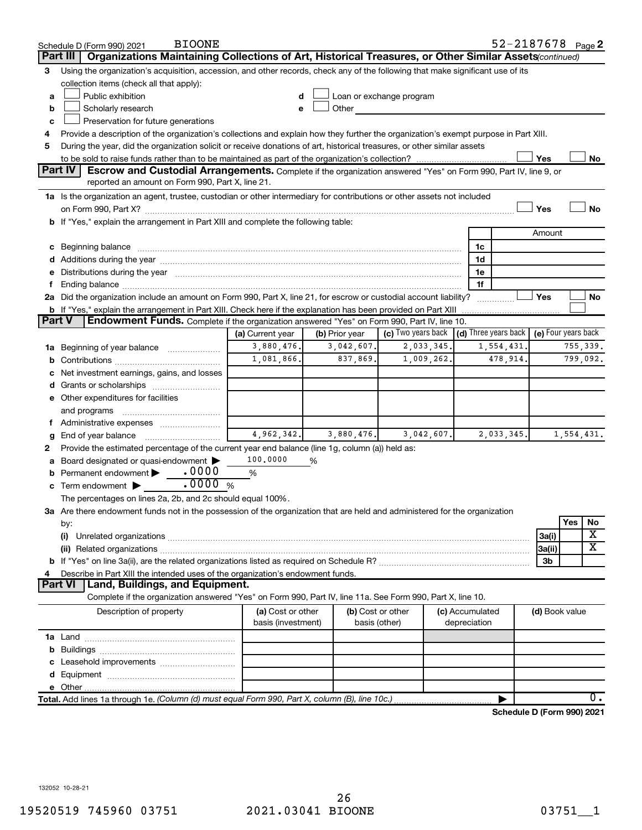|               | <b>BIOONE</b><br>Schedule D (Form 990) 2021                                                                                                                                                                                   |                    |                |                                                                             |                 | 52-2187678 Page 2          |                |            |                              |
|---------------|-------------------------------------------------------------------------------------------------------------------------------------------------------------------------------------------------------------------------------|--------------------|----------------|-----------------------------------------------------------------------------|-----------------|----------------------------|----------------|------------|------------------------------|
|               | Organizations Maintaining Collections of Art, Historical Treasures, or Other Similar Assets (continued)<br>Part III                                                                                                           |                    |                |                                                                             |                 |                            |                |            |                              |
| 3             | Using the organization's acquisition, accession, and other records, check any of the following that make significant use of its                                                                                               |                    |                |                                                                             |                 |                            |                |            |                              |
|               | collection items (check all that apply):                                                                                                                                                                                      |                    |                |                                                                             |                 |                            |                |            |                              |
| a             | Public exhibition                                                                                                                                                                                                             | d                  |                | Loan or exchange program                                                    |                 |                            |                |            |                              |
| b             | Scholarly research                                                                                                                                                                                                            | e                  | Other          |                                                                             |                 |                            |                |            |                              |
| c             | Preservation for future generations                                                                                                                                                                                           |                    |                |                                                                             |                 |                            |                |            |                              |
| 4             | Provide a description of the organization's collections and explain how they further the organization's exempt purpose in Part XIII.                                                                                          |                    |                |                                                                             |                 |                            |                |            |                              |
| 5             | During the year, did the organization solicit or receive donations of art, historical treasures, or other similar assets                                                                                                      |                    |                |                                                                             |                 |                            |                |            |                              |
|               |                                                                                                                                                                                                                               |                    |                |                                                                             |                 |                            | Yes            |            | No                           |
|               | <b>Part IV</b><br><b>Escrow and Custodial Arrangements.</b> Complete if the organization answered "Yes" on Form 990, Part IV, line 9, or                                                                                      |                    |                |                                                                             |                 |                            |                |            |                              |
|               | reported an amount on Form 990, Part X, line 21.                                                                                                                                                                              |                    |                |                                                                             |                 |                            |                |            |                              |
|               | 1a Is the organization an agent, trustee, custodian or other intermediary for contributions or other assets not included                                                                                                      |                    |                |                                                                             |                 |                            |                |            |                              |
|               | b If "Yes," explain the arrangement in Part XIII and complete the following table:                                                                                                                                            |                    |                |                                                                             |                 |                            | Yes            |            | <b>No</b>                    |
|               |                                                                                                                                                                                                                               |                    |                |                                                                             |                 |                            | Amount         |            |                              |
|               |                                                                                                                                                                                                                               |                    |                |                                                                             | 1c              |                            |                |            |                              |
|               |                                                                                                                                                                                                                               |                    |                |                                                                             | 1d              |                            |                |            |                              |
|               | e Distributions during the year manufactured and continuum control of the control of the control of the state of the control of the control of the control of the control of the control of the control of the control of the |                    |                |                                                                             | 1e              |                            |                |            |                              |
| f.            |                                                                                                                                                                                                                               |                    |                |                                                                             | 1f              |                            |                |            |                              |
|               | 2a Did the organization include an amount on Form 990, Part X, line 21, for escrow or custodial account liability?                                                                                                            |                    |                |                                                                             |                 |                            | Yes            |            | No                           |
|               | <b>b</b> If "Yes," explain the arrangement in Part XIII. Check here if the explanation has been provided on Part XIII                                                                                                         |                    |                |                                                                             |                 | . <u>.</u> .               |                |            |                              |
| <b>Part V</b> | Endowment Funds. Complete if the organization answered "Yes" on Form 990, Part IV, line 10.                                                                                                                                   |                    |                |                                                                             |                 |                            |                |            |                              |
|               |                                                                                                                                                                                                                               | (a) Current year   | (b) Prior year | (c) Two years back $\vert$ (d) Three years back $\vert$ (e) Four years back |                 |                            |                |            |                              |
|               | 1a Beginning of year balance                                                                                                                                                                                                  | 3,880,476.         | 3,042,607.     | 2,033,345.                                                                  |                 | 1,554,431.                 |                | 755,339.   |                              |
|               |                                                                                                                                                                                                                               | 1,081,866.         | 837,869.       | 1,009,262.                                                                  |                 | 478,914.                   |                | 799,092.   |                              |
|               | c Net investment earnings, gains, and losses                                                                                                                                                                                  |                    |                |                                                                             |                 |                            |                |            |                              |
|               |                                                                                                                                                                                                                               |                    |                |                                                                             |                 |                            |                |            |                              |
|               | e Other expenditures for facilities                                                                                                                                                                                           |                    |                |                                                                             |                 |                            |                |            |                              |
|               | and programs                                                                                                                                                                                                                  |                    |                |                                                                             |                 |                            |                |            |                              |
|               | f Administrative expenses                                                                                                                                                                                                     |                    |                |                                                                             |                 |                            |                |            |                              |
| g             |                                                                                                                                                                                                                               | 4,962,342.         | 3,880,476.     | 3,042,607.                                                                  |                 | 2,033,345.                 |                | 1,554,431. |                              |
| 2             | Provide the estimated percentage of the current year end balance (line 1g, column (a)) held as:                                                                                                                               |                    |                |                                                                             |                 |                            |                |            |                              |
| а             | Board designated or quasi-endowment                                                                                                                                                                                           | 100,0000           | %              |                                                                             |                 |                            |                |            |                              |
|               | <b>b</b> Permanent endowment $\blacktriangleright$ . 0000                                                                                                                                                                     | %                  |                |                                                                             |                 |                            |                |            |                              |
|               | .0000%<br>c Term endowment $\blacktriangleright$                                                                                                                                                                              |                    |                |                                                                             |                 |                            |                |            |                              |
|               | The percentages on lines 2a, 2b, and 2c should equal 100%.                                                                                                                                                                    |                    |                |                                                                             |                 |                            |                |            |                              |
|               | 3a Are there endowment funds not in the possession of the organization that are held and administered for the organization                                                                                                    |                    |                |                                                                             |                 |                            |                |            |                              |
|               | by:                                                                                                                                                                                                                           |                    |                |                                                                             |                 |                            |                | Yes        | No                           |
|               | (i)                                                                                                                                                                                                                           |                    |                |                                                                             |                 |                            | 3a(i)          |            | х<br>$\overline{\textbf{x}}$ |
|               |                                                                                                                                                                                                                               |                    |                |                                                                             |                 |                            | 3a(ii)         |            |                              |
|               |                                                                                                                                                                                                                               |                    |                |                                                                             |                 |                            | 3b             |            |                              |
| 4             | Describe in Part XIII the intended uses of the organization's endowment funds.<br>Land, Buildings, and Equipment.<br>Part VI                                                                                                  |                    |                |                                                                             |                 |                            |                |            |                              |
|               | Complete if the organization answered "Yes" on Form 990, Part IV, line 11a. See Form 990, Part X, line 10.                                                                                                                    |                    |                |                                                                             |                 |                            |                |            |                              |
|               | Description of property                                                                                                                                                                                                       | (a) Cost or other  |                | (b) Cost or other                                                           | (c) Accumulated |                            | (d) Book value |            |                              |
|               |                                                                                                                                                                                                                               | basis (investment) |                | basis (other)                                                               | depreciation    |                            |                |            |                              |
|               |                                                                                                                                                                                                                               |                    |                |                                                                             |                 |                            |                |            |                              |
|               |                                                                                                                                                                                                                               |                    |                |                                                                             |                 |                            |                |            |                              |
|               |                                                                                                                                                                                                                               |                    |                |                                                                             |                 |                            |                |            |                              |
|               |                                                                                                                                                                                                                               |                    |                |                                                                             |                 |                            |                |            |                              |
|               |                                                                                                                                                                                                                               |                    |                |                                                                             |                 |                            |                |            |                              |
|               | Total. Add lines 1a through 1e. (Column (d) must equal Form 990, Part X, column (B), line 10c.)                                                                                                                               |                    |                |                                                                             |                 |                            |                |            | 0.                           |
|               |                                                                                                                                                                                                                               |                    |                |                                                                             |                 | Schedule D (Form 990) 2021 |                |            |                              |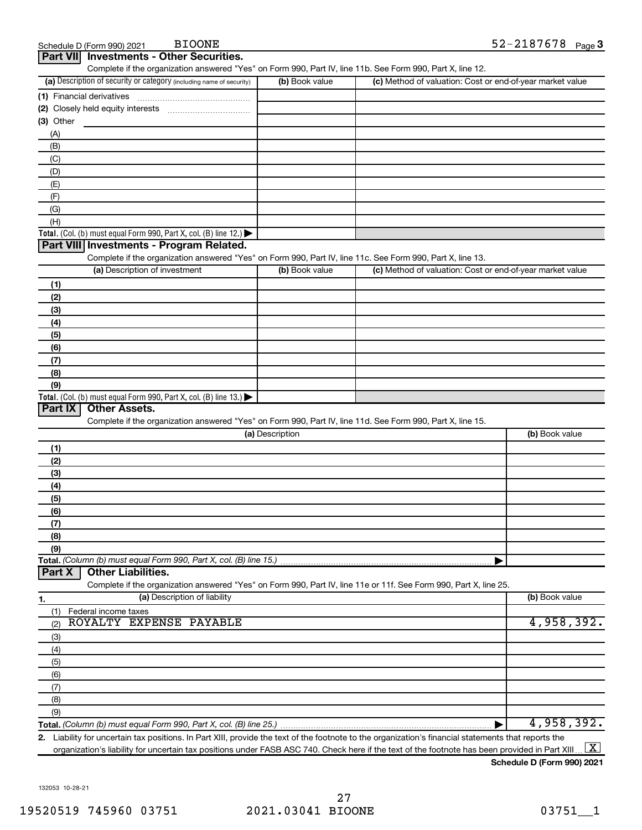| (a) Description of security or category (including name of security)                                              | (b) Book value  | (c) Method of valuation: Cost or end-of-year market value |                |
|-------------------------------------------------------------------------------------------------------------------|-----------------|-----------------------------------------------------------|----------------|
| (1) Financial derivatives                                                                                         |                 |                                                           |                |
|                                                                                                                   |                 |                                                           |                |
| (3) Other                                                                                                         |                 |                                                           |                |
| (A)                                                                                                               |                 |                                                           |                |
| (B)                                                                                                               |                 |                                                           |                |
| (C)                                                                                                               |                 |                                                           |                |
| (D)                                                                                                               |                 |                                                           |                |
| (E)                                                                                                               |                 |                                                           |                |
| (F)                                                                                                               |                 |                                                           |                |
| (G)                                                                                                               |                 |                                                           |                |
| (H)                                                                                                               |                 |                                                           |                |
| Total. (Col. (b) must equal Form 990, Part X, col. (B) line 12.)                                                  |                 |                                                           |                |
| Part VIII Investments - Program Related.                                                                          |                 |                                                           |                |
| Complete if the organization answered "Yes" on Form 990, Part IV, line 11c. See Form 990, Part X, line 13.        |                 |                                                           |                |
| (a) Description of investment                                                                                     | (b) Book value  | (c) Method of valuation: Cost or end-of-year market value |                |
| (1)                                                                                                               |                 |                                                           |                |
| (2)                                                                                                               |                 |                                                           |                |
| (3)                                                                                                               |                 |                                                           |                |
| (4)                                                                                                               |                 |                                                           |                |
|                                                                                                                   |                 |                                                           |                |
| (5)                                                                                                               |                 |                                                           |                |
| (6)                                                                                                               |                 |                                                           |                |
| (7)                                                                                                               |                 |                                                           |                |
| (8)                                                                                                               |                 |                                                           |                |
| (9)<br>Total. (Col. (b) must equal Form 990, Part X, col. (B) line 13.)                                           |                 |                                                           |                |
| Part IX<br><b>Other Assets.</b>                                                                                   |                 |                                                           |                |
| Complete if the organization answered "Yes" on Form 990, Part IV, line 11d. See Form 990, Part X, line 15.        |                 |                                                           |                |
|                                                                                                                   | (a) Description |                                                           | (b) Book value |
|                                                                                                                   |                 |                                                           |                |
| (1)                                                                                                               |                 |                                                           |                |
| (2)                                                                                                               |                 |                                                           |                |
| (3)                                                                                                               |                 |                                                           |                |
| (4)                                                                                                               |                 |                                                           |                |
| (5)                                                                                                               |                 |                                                           |                |
| (6)                                                                                                               |                 |                                                           |                |
| (7)                                                                                                               |                 |                                                           |                |
| (8)                                                                                                               |                 |                                                           |                |
| (9)                                                                                                               |                 |                                                           |                |
| Total. (Column (b) must equal Form 990, Part X, col. (B) line 15.)                                                |                 |                                                           |                |
| <b>Other Liabilities.</b><br>Part X                                                                               |                 |                                                           |                |
| Complete if the organization answered "Yes" on Form 990, Part IV, line 11e or 11f. See Form 990, Part X, line 25. |                 |                                                           |                |
| (a) Description of liability<br>1.                                                                                |                 |                                                           | (b) Book value |
| (1)<br>Federal income taxes                                                                                       |                 |                                                           |                |
| ROYALTY EXPENSE PAYABLE<br>(2)                                                                                    |                 |                                                           | 4,958,392.     |
| (3)                                                                                                               |                 |                                                           |                |
| (4)                                                                                                               |                 |                                                           |                |
| (5)                                                                                                               |                 |                                                           |                |
| (6)                                                                                                               |                 |                                                           |                |
| (7)                                                                                                               |                 |                                                           |                |
| (8)                                                                                                               |                 |                                                           |                |
| (9)                                                                                                               |                 |                                                           |                |
|                                                                                                                   |                 |                                                           | 4,958,392.     |

**2.** Liability for uncertain tax positions. In Part XIII, provide the text of the footnote to the organization's financial statements that reports the organization's liability for uncertain tax positions under FASB ASC 740. Check here if the text of the footnote has been provided in Part XIII ...  $\fbox{\bf X}$ 

Schedule D (Form 990) 2021 BIOONE

**Part VII Investments - Other Securities.**

Complete if the organization answered "Yes" on Form 990, Part IV, line 11b. See Form 990, Part X, line 12.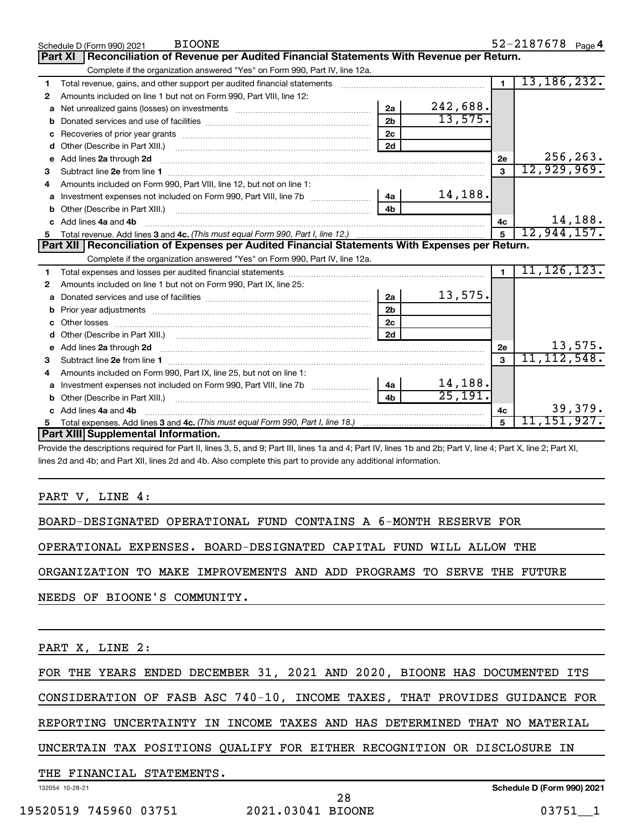|    | <b>BIOONE</b><br>Schedule D (Form 990) 2021                                                                                                                                                                                              |                |             |                | $52 - 2187678$ Page 4 |
|----|------------------------------------------------------------------------------------------------------------------------------------------------------------------------------------------------------------------------------------------|----------------|-------------|----------------|-----------------------|
|    | Reconciliation of Revenue per Audited Financial Statements With Revenue per Return.<br>Part XI                                                                                                                                           |                |             |                |                       |
|    | Complete if the organization answered "Yes" on Form 990, Part IV, line 12a.                                                                                                                                                              |                |             |                |                       |
| 1  | Total revenue, gains, and other support per audited financial statements                                                                                                                                                                 |                |             | $\blacksquare$ | 13, 186, 232.         |
| 2  | Amounts included on line 1 but not on Form 990, Part VIII, line 12:                                                                                                                                                                      |                |             |                |                       |
| a  |                                                                                                                                                                                                                                          | 2a             | 242,688.    |                |                       |
| b  |                                                                                                                                                                                                                                          | 2 <sub>b</sub> | 13,575.     |                |                       |
| с  |                                                                                                                                                                                                                                          | 2 <sub>c</sub> |             |                |                       |
| d  |                                                                                                                                                                                                                                          | 2d             |             |                |                       |
| е  | Add lines 2a through 2d                                                                                                                                                                                                                  |                |             | 2e             | 256, 263.             |
| З  |                                                                                                                                                                                                                                          |                |             | $\mathbf{3}$   | 12,929,969.           |
| 4  | Amounts included on Form 990, Part VIII, line 12, but not on line 1:                                                                                                                                                                     |                |             |                |                       |
|    |                                                                                                                                                                                                                                          |                | 14,188.     |                |                       |
| b  |                                                                                                                                                                                                                                          | 4 <sub>b</sub> |             |                |                       |
| c. | Add lines 4a and 4b                                                                                                                                                                                                                      |                | 4c          | 14,188.        |                       |
|    |                                                                                                                                                                                                                                          | $\overline{5}$ | 12,944,157. |                |                       |
| 5  |                                                                                                                                                                                                                                          |                |             |                |                       |
|    | Part XII   Reconciliation of Expenses per Audited Financial Statements With Expenses per Return.                                                                                                                                         |                |             |                |                       |
|    | Complete if the organization answered "Yes" on Form 990, Part IV, line 12a.                                                                                                                                                              |                |             |                |                       |
| 1  |                                                                                                                                                                                                                                          |                |             | $\blacksquare$ | 11, 126, 123.         |
| 2  | Amounts included on line 1 but not on Form 990, Part IX, line 25:                                                                                                                                                                        |                |             |                |                       |
| a  |                                                                                                                                                                                                                                          | 2a             | 13,575.     |                |                       |
| b  |                                                                                                                                                                                                                                          | 2 <sub>b</sub> |             |                |                       |
| c  |                                                                                                                                                                                                                                          | 2 <sub>c</sub> |             |                |                       |
| d  |                                                                                                                                                                                                                                          | 2d             |             |                |                       |
|    | e Add lines 2a through 2d <b>[10]</b> [10] <b>All and Property Contract 20 and 20</b> and 20 and 20 and 20 and 20 and 20 and 20 and 20 and 20 and 20 and 20 and 20 and 20 and 20 and 20 and 20 and 20 and 20 and 20 and 20 and 20 and 20 |                |             | 2e             | 13,575.               |
| З  |                                                                                                                                                                                                                                          |                |             |                | 11, 112, 548.         |
| 4  | Amounts included on Form 990, Part IX, line 25, but not on line 1:                                                                                                                                                                       |                |             |                |                       |
|    |                                                                                                                                                                                                                                          |                | 14,188.     |                |                       |
| b  |                                                                                                                                                                                                                                          | 4 <sub>h</sub> | 25, 191.    |                |                       |
|    | Add lines 4a and 4b                                                                                                                                                                                                                      |                |             | 4с             | 39,379.               |
|    | Part XIII Supplemental Information.                                                                                                                                                                                                      |                |             | 5              | 11,151,927.           |

Provide the descriptions required for Part II, lines 3, 5, and 9; Part III, lines 1a and 4; Part IV, lines 1b and 2b; Part V, line 4; Part X, line 2; Part XI, lines 2d and 4b; and Part XII, lines 2d and 4b. Also complete this part to provide any additional information.

PART V, LINE 4:

BOARD-DESIGNATED OPERATIONAL FUND CONTAINS A 6-MONTH RESERVE FOR

OPERATIONAL EXPENSES. BOARD-DESIGNATED CAPITAL FUND WILL ALLOW THE

ORGANIZATION TO MAKE IMPROVEMENTS AND ADD PROGRAMS TO SERVE THE FUTURE

NEEDS OF BIOONE'S COMMUNITY.

PART X, LINE 2:

FOR THE YEARS ENDED DECEMBER 31, 2021 AND 2020, BIOONE HAS DOCUMENTED ITS

CONSIDERATION OF FASB ASC 740-10, INCOME TAXES, THAT PROVIDES GUIDANCE FOR

REPORTING UNCERTAINTY IN INCOME TAXES AND HAS DETERMINED THAT NO MATERIAL

UNCERTAIN TAX POSITIONS QUALIFY FOR EITHER RECOGNITION OR DISCLOSURE IN

THE FINANCIAL STATEMENTS.

132054 10-28-21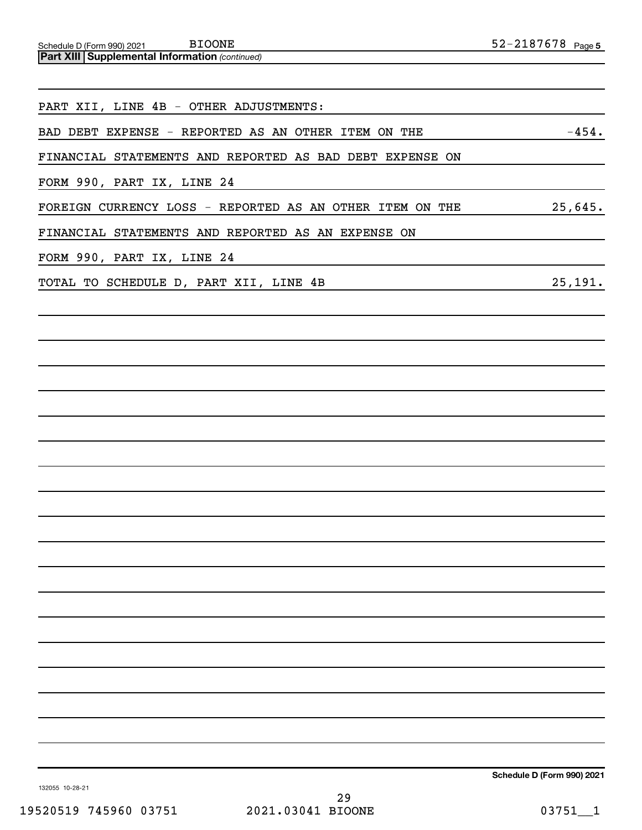| PART XII, LINE 4B - OTHER ADJUSTMENTS:                   |                            |
|----------------------------------------------------------|----------------------------|
| BAD DEBT EXPENSE - REPORTED AS AN OTHER ITEM ON THE      | $-454.$                    |
| FINANCIAL STATEMENTS AND REPORTED AS BAD DEBT EXPENSE ON |                            |
| FORM 990, PART IX, LINE 24                               |                            |
| FOREIGN CURRENCY LOSS - REPORTED AS AN OTHER ITEM ON THE | 25,645.                    |
| FINANCIAL STATEMENTS AND REPORTED AS AN EXPENSE ON       |                            |
| FORM 990, PART IX, LINE 24                               |                            |
| TOTAL TO SCHEDULE D, PART XII, LINE 4B                   | 25,191.                    |
|                                                          |                            |
|                                                          |                            |
|                                                          |                            |
|                                                          |                            |
|                                                          |                            |
|                                                          |                            |
|                                                          |                            |
|                                                          |                            |
|                                                          |                            |
|                                                          |                            |
|                                                          |                            |
|                                                          |                            |
|                                                          |                            |
|                                                          |                            |
|                                                          |                            |
|                                                          |                            |
|                                                          |                            |
|                                                          |                            |
|                                                          |                            |
|                                                          | Schedule D (Form 990) 2021 |

132055 10-28-21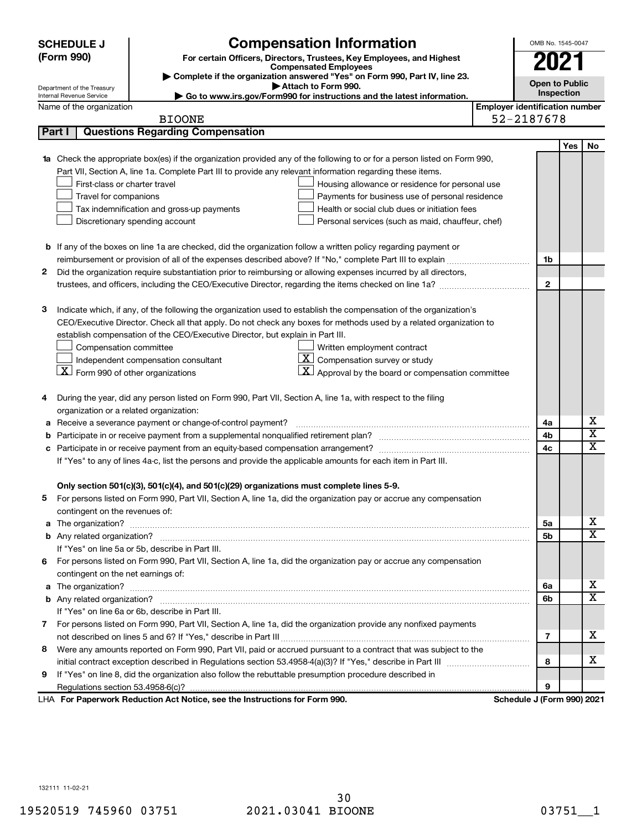|   | <b>SCHEDULE J</b>                                                                                          | <b>Compensation Information</b>                                                                                        |                                       | OMB No. 1545-0047          |      |                         |
|---|------------------------------------------------------------------------------------------------------------|------------------------------------------------------------------------------------------------------------------------|---------------------------------------|----------------------------|------|-------------------------|
|   | (Form 990)<br>For certain Officers, Directors, Trustees, Key Employees, and Highest                        |                                                                                                                        |                                       |                            |      |                         |
|   | <b>Compensated Employees</b><br>Complete if the organization answered "Yes" on Form 990, Part IV, line 23. |                                                                                                                        |                                       |                            | 2021 |                         |
|   |                                                                                                            |                                                                                                                        | <b>Open to Public</b>                 |                            |      |                         |
|   | Department of the Treasury<br>Internal Revenue Service                                                     |                                                                                                                        | Inspection                            |                            |      |                         |
|   | Name of the organization                                                                                   |                                                                                                                        | <b>Employer identification number</b> |                            |      |                         |
|   |                                                                                                            | <b>BIOONE</b>                                                                                                          |                                       | 52-2187678                 |      |                         |
|   | Part I                                                                                                     | <b>Questions Regarding Compensation</b>                                                                                |                                       |                            |      |                         |
|   |                                                                                                            |                                                                                                                        |                                       |                            | Yes  | No                      |
|   |                                                                                                            | Check the appropriate box(es) if the organization provided any of the following to or for a person listed on Form 990, |                                       |                            |      |                         |
|   |                                                                                                            | Part VII, Section A, line 1a. Complete Part III to provide any relevant information regarding these items.             |                                       |                            |      |                         |
|   | First-class or charter travel                                                                              | Housing allowance or residence for personal use                                                                        |                                       |                            |      |                         |
|   | Travel for companions                                                                                      | Payments for business use of personal residence                                                                        |                                       |                            |      |                         |
|   |                                                                                                            | Health or social club dues or initiation fees<br>Tax indemnification and gross-up payments                             |                                       |                            |      |                         |
|   |                                                                                                            | Discretionary spending account<br>Personal services (such as maid, chauffeur, chef)                                    |                                       |                            |      |                         |
|   |                                                                                                            |                                                                                                                        |                                       |                            |      |                         |
| b |                                                                                                            | If any of the boxes on line 1a are checked, did the organization follow a written policy regarding payment or          |                                       |                            |      |                         |
|   |                                                                                                            | reimbursement or provision of all of the expenses described above? If "No," complete Part III to explain               |                                       | 1b                         |      |                         |
| 2 |                                                                                                            | Did the organization require substantiation prior to reimbursing or allowing expenses incurred by all directors,       |                                       |                            |      |                         |
|   |                                                                                                            |                                                                                                                        |                                       | $\mathbf{2}$               |      |                         |
|   |                                                                                                            |                                                                                                                        |                                       |                            |      |                         |
| з |                                                                                                            | Indicate which, if any, of the following the organization used to establish the compensation of the organization's     |                                       |                            |      |                         |
|   |                                                                                                            | CEO/Executive Director. Check all that apply. Do not check any boxes for methods used by a related organization to     |                                       |                            |      |                         |
|   |                                                                                                            | establish compensation of the CEO/Executive Director, but explain in Part III.                                         |                                       |                            |      |                         |
|   | Compensation committee                                                                                     | Written employment contract<br>$\overline{X}$ Compensation survey or study                                             |                                       |                            |      |                         |
|   | $\boxed{\text{X}}$ Form 990 of other organizations                                                         | Independent compensation consultant<br>Approval by the board or compensation committee                                 |                                       |                            |      |                         |
|   |                                                                                                            |                                                                                                                        |                                       |                            |      |                         |
| 4 |                                                                                                            | During the year, did any person listed on Form 990, Part VII, Section A, line 1a, with respect to the filing           |                                       |                            |      |                         |
|   | organization or a related organization:                                                                    |                                                                                                                        |                                       |                            |      |                         |
| а |                                                                                                            | Receive a severance payment or change-of-control payment?                                                              |                                       | 4a                         |      | х                       |
| b |                                                                                                            |                                                                                                                        |                                       | 4b                         |      | $\overline{\textbf{x}}$ |
| с |                                                                                                            | Participate in or receive payment from an equity-based compensation arrangement?                                       |                                       | 4c                         |      | $\overline{\text{x}}$   |
|   |                                                                                                            | If "Yes" to any of lines 4a-c, list the persons and provide the applicable amounts for each item in Part III.          |                                       |                            |      |                         |
|   |                                                                                                            |                                                                                                                        |                                       |                            |      |                         |
|   |                                                                                                            | Only section 501(c)(3), 501(c)(4), and 501(c)(29) organizations must complete lines 5-9.                               |                                       |                            |      |                         |
|   |                                                                                                            | For persons listed on Form 990, Part VII, Section A, line 1a, did the organization pay or accrue any compensation      |                                       |                            |      |                         |
|   | contingent on the revenues of:                                                                             |                                                                                                                        |                                       |                            |      |                         |
| a |                                                                                                            |                                                                                                                        |                                       | 5a                         |      | х                       |
|   |                                                                                                            |                                                                                                                        |                                       | 5b                         |      | $\overline{\texttt{x}}$ |
|   |                                                                                                            | If "Yes" on line 5a or 5b, describe in Part III.                                                                       |                                       |                            |      |                         |
| 6 |                                                                                                            | For persons listed on Form 990, Part VII, Section A, line 1a, did the organization pay or accrue any compensation      |                                       |                            |      |                         |
|   | contingent on the net earnings of:                                                                         |                                                                                                                        |                                       |                            |      |                         |
| a |                                                                                                            |                                                                                                                        |                                       | 6a                         |      | х                       |
|   |                                                                                                            |                                                                                                                        |                                       | 6b                         |      | $\overline{\texttt{x}}$ |
|   |                                                                                                            | If "Yes" on line 6a or 6b, describe in Part III.                                                                       |                                       |                            |      |                         |
|   |                                                                                                            | 7 For persons listed on Form 990, Part VII, Section A, line 1a, did the organization provide any nonfixed payments     |                                       |                            |      |                         |
|   |                                                                                                            |                                                                                                                        |                                       | $\overline{7}$             |      | x                       |
| 8 |                                                                                                            | Were any amounts reported on Form 990, Part VII, paid or accrued pursuant to a contract that was subject to the        |                                       |                            |      |                         |
|   |                                                                                                            |                                                                                                                        |                                       | 8                          |      | x                       |
| 9 |                                                                                                            | If "Yes" on line 8, did the organization also follow the rebuttable presumption procedure described in                 |                                       |                            |      |                         |
|   |                                                                                                            |                                                                                                                        |                                       | 9                          |      |                         |
|   |                                                                                                            | LHA For Paperwork Reduction Act Notice, see the Instructions for Form 990.                                             |                                       | Schedule J (Form 990) 2021 |      |                         |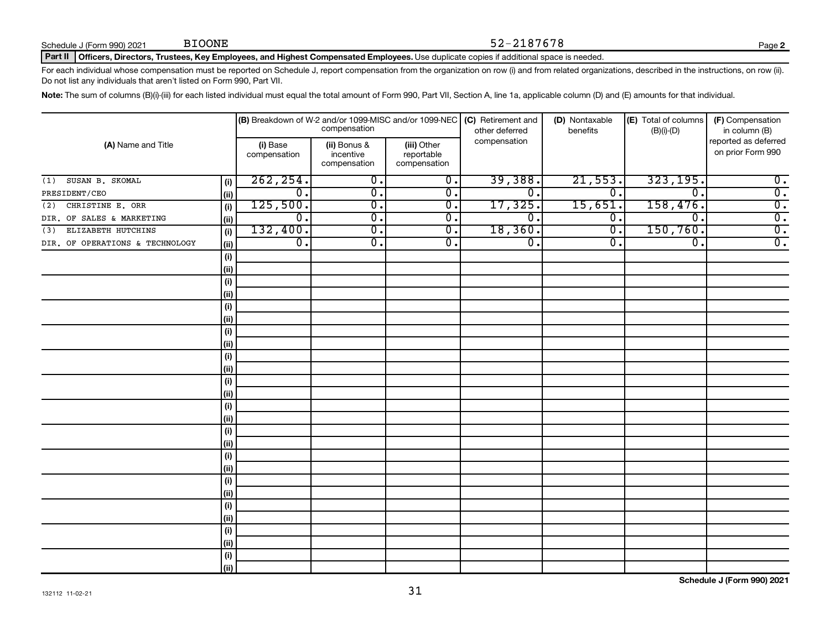#### BIOONE 52-2187678

#### Part II | Officers, Directors, Trustees, Key Employees, and Highest Compensated Employees. Use duplicate copies if additional space is needed.

For each individual whose compensation must be reported on Schedule J, report compensation from the organization on row (i) and from related organizations, described in the instructions, on row (ii). Do not list any individuals that aren't listed on Form 990, Part VII.

Note: The sum of columns (B)(i)-(iii) for each listed individual must equal the total amount of Form 990, Part VII, Section A, line 1a, applicable column (D) and (E) amounts for that individual.

|                                 |      |                          | compensation                              |                                           | (B) Breakdown of W-2 and/or 1099-MISC and/or 1099-NEC (C) Retirement and<br>other deferred | (D) Nontaxable<br>benefits | (E) Total of columns<br>$(B)(i)-(D)$ | (F) Compensation<br>in column (B)         |
|---------------------------------|------|--------------------------|-------------------------------------------|-------------------------------------------|--------------------------------------------------------------------------------------------|----------------------------|--------------------------------------|-------------------------------------------|
| (A) Name and Title              |      | (i) Base<br>compensation | (ii) Bonus &<br>incentive<br>compensation | (iii) Other<br>reportable<br>compensation | compensation                                                                               |                            |                                      | reported as deferred<br>on prior Form 990 |
| SUSAN B. SKOMAL<br>(1)          | (i)  | 262, 254.                | $\overline{\mathbf{0}}$ .                 | $\overline{0}$ .                          | 39,388.                                                                                    | 21,553.                    | 323, 195.                            | $\overline{\mathbf{0}}$ .                 |
| PRESIDENT/CEO                   | (ii) | 0.                       | $\overline{\mathfrak{o}}$ .               | $\overline{\mathbf{0}}$ .                 | 0,                                                                                         | $\overline{0}$ .           | $\overline{0}$ .                     | $\overline{0}$ .                          |
| CHRISTINE E. ORR<br>(2)         | (i)  | 125,500.                 | $\overline{\mathfrak{o}}$ .               | $\overline{\mathbf{0}}$ .                 | 17, 325.                                                                                   | 15,651                     | 158,476.                             | $\overline{0}$ .                          |
| DIR. OF SALES & MARKETING       | (ii) | $\overline{0}$ .         | $\overline{\mathfrak{o}}$ .               | $\overline{\mathfrak{o}}$ .               | 0.                                                                                         | $\overline{0}$             | $\overline{\mathfrak{o}}$ .          | $\overline{0}$ .                          |
| ELIZABETH HUTCHINS<br>(3)       | (i)  | 132,400.                 | $\overline{\mathfrak{o}}$ .               | $\overline{\mathbf{0}}$ .                 | 18,360.                                                                                    | $\overline{0}$ .           | 150, 760.                            | $\overline{0}$ .                          |
| DIR. OF OPERATIONS & TECHNOLOGY | (ii) | $\overline{0}$ .         | $\overline{\mathfrak{o}}$ .               | $\overline{\mathbf{0}}$ .                 | 0,                                                                                         | $\overline{0}$ .           | $\overline{\mathfrak{o}}$ .          | $\overline{0}$ .                          |
|                                 | (i)  |                          |                                           |                                           |                                                                                            |                            |                                      |                                           |
|                                 | (ii) |                          |                                           |                                           |                                                                                            |                            |                                      |                                           |
|                                 | (i)  |                          |                                           |                                           |                                                                                            |                            |                                      |                                           |
|                                 | (ii) |                          |                                           |                                           |                                                                                            |                            |                                      |                                           |
|                                 | (i)  |                          |                                           |                                           |                                                                                            |                            |                                      |                                           |
|                                 | (ii) |                          |                                           |                                           |                                                                                            |                            |                                      |                                           |
|                                 | (i)  |                          |                                           |                                           |                                                                                            |                            |                                      |                                           |
|                                 | (ii) |                          |                                           |                                           |                                                                                            |                            |                                      |                                           |
|                                 | (i)  |                          |                                           |                                           |                                                                                            |                            |                                      |                                           |
|                                 | (ii) |                          |                                           |                                           |                                                                                            |                            |                                      |                                           |
|                                 | (i)  |                          |                                           |                                           |                                                                                            |                            |                                      |                                           |
|                                 | (ii) |                          |                                           |                                           |                                                                                            |                            |                                      |                                           |
|                                 | (i)  |                          |                                           |                                           |                                                                                            |                            |                                      |                                           |
|                                 | (ii) |                          |                                           |                                           |                                                                                            |                            |                                      |                                           |
|                                 | (i)  |                          |                                           |                                           |                                                                                            |                            |                                      |                                           |
|                                 | (ii) |                          |                                           |                                           |                                                                                            |                            |                                      |                                           |
|                                 | (i)  |                          |                                           |                                           |                                                                                            |                            |                                      |                                           |
|                                 | (ii) |                          |                                           |                                           |                                                                                            |                            |                                      |                                           |
|                                 | (i)  |                          |                                           |                                           |                                                                                            |                            |                                      |                                           |
|                                 | (ii) |                          |                                           |                                           |                                                                                            |                            |                                      |                                           |
|                                 | (i)  |                          |                                           |                                           |                                                                                            |                            |                                      |                                           |
|                                 | (ii) |                          |                                           |                                           |                                                                                            |                            |                                      |                                           |
|                                 | (i)  |                          |                                           |                                           |                                                                                            |                            |                                      |                                           |
|                                 | (ii) |                          |                                           |                                           |                                                                                            |                            |                                      |                                           |
|                                 | (i)  |                          |                                           |                                           |                                                                                            |                            |                                      |                                           |
|                                 | (ii) |                          |                                           |                                           |                                                                                            |                            |                                      |                                           |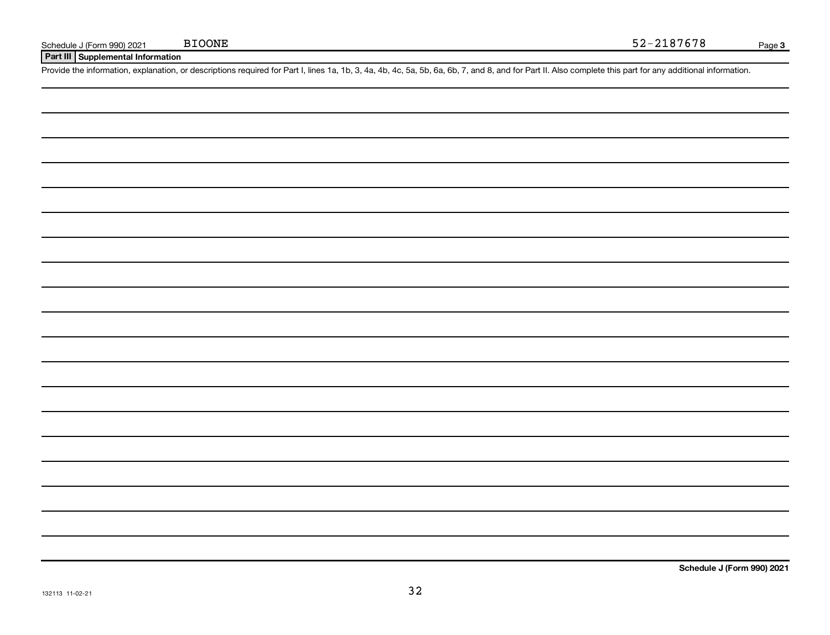**Part III Supplemental Information**

Provide the information, explanation, or descriptions required for Part I, lines 1a, 1b, 3, 4a, 4b, 4c, 5a, 5b, 6a, 6b, 7, and 8, and for Part II. Also complete this part for any additional information.

**Schedule J (Form 990) 2021**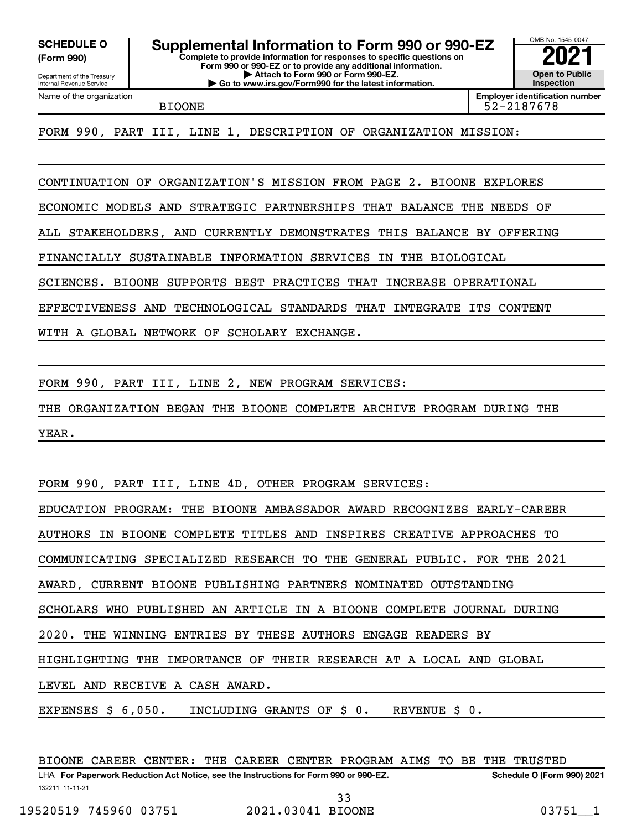**(Form 990)**

Department of the Treasury Internal Revenue Service

Name of the organization

**Complete to provide information for responses to specific questions on Form 990 or 990-EZ or to provide any additional information. | Attach to Form 990 or Form 990-EZ. SCHEDULE O Supplemental Information to Form 990 or 990-EZ**  $\frac{100000}{2}$ 

**| Go to www.irs.gov/Form990 for the latest information.**



**Employer identification number**

BIOONE 52-2187678

FORM 990, PART III, LINE 1, DESCRIPTION OF ORGANIZATION MISSION:

CONTINUATION OF ORGANIZATION'S MISSION FROM PAGE 2. BIOONE EXPLORES

ECONOMIC MODELS AND STRATEGIC PARTNERSHIPS THAT BALANCE THE NEEDS OF

ALL STAKEHOLDERS, AND CURRENTLY DEMONSTRATES THIS BALANCE BY OFFERING

FINANCIALLY SUSTAINABLE INFORMATION SERVICES IN THE BIOLOGICAL

SCIENCES. BIOONE SUPPORTS BEST PRACTICES THAT INCREASE OPERATIONAL

EFFECTIVENESS AND TECHNOLOGICAL STANDARDS THAT INTEGRATE ITS CONTENT

WITH A GLOBAL NETWORK OF SCHOLARY EXCHANGE.

FORM 990, PART III, LINE 2, NEW PROGRAM SERVICES:

THE ORGANIZATION BEGAN THE BIOONE COMPLETE ARCHIVE PROGRAM DURING THE

YEAR.

FORM 990, PART III, LINE 4D, OTHER PROGRAM SERVICES:

EDUCATION PROGRAM: THE BIOONE AMBASSADOR AWARD RECOGNIZES EARLY-CAREER

AUTHORS IN BIOONE COMPLETE TITLES AND INSPIRES CREATIVE APPROACHES TO

COMMUNICATING SPECIALIZED RESEARCH TO THE GENERAL PUBLIC. FOR THE 2021

AWARD, CURRENT BIOONE PUBLISHING PARTNERS NOMINATED OUTSTANDING

SCHOLARS WHO PUBLISHED AN ARTICLE IN A BIOONE COMPLETE JOURNAL DURING

2020. THE WINNING ENTRIES BY THESE AUTHORS ENGAGE READERS BY

HIGHLIGHTING THE IMPORTANCE OF THEIR RESEARCH AT A LOCAL AND GLOBAL

LEVEL AND RECEIVE A CASH AWARD.

EXPENSES \$ 6,050. INCLUDING GRANTS OF \$ 0. REVENUE \$ 0.

|  |  |  |  |  | BIOONE CAREER CENTER: THE CAREER CENTER PROGRAM AIMS TO BE THE TRUSTED |  |
|--|--|--|--|--|------------------------------------------------------------------------|--|
|  |  |  |  |  |                                                                        |  |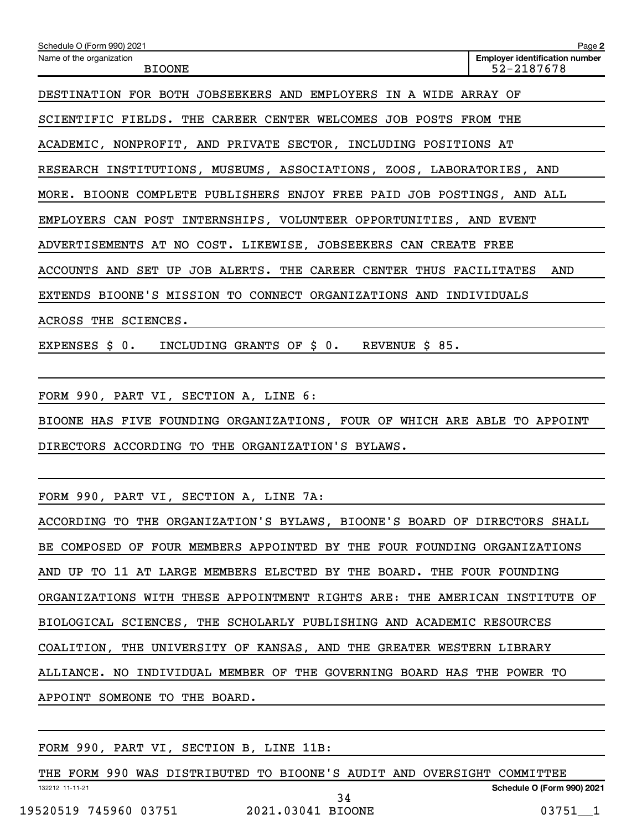| Schedule O (Form 990) 2021                                                | Page 2                                              |
|---------------------------------------------------------------------------|-----------------------------------------------------|
| Name of the organization<br><b>BIOONE</b>                                 | <b>Employer identification number</b><br>52-2187678 |
| DESTINATION FOR BOTH JOBSEEKERS AND EMPLOYERS IN A WIDE ARRAY OF          |                                                     |
| SCIENTIFIC FIELDS. THE CAREER CENTER WELCOMES JOB POSTS FROM THE          |                                                     |
| ACADEMIC, NONPROFIT, AND PRIVATE SECTOR, INCLUDING POSITIONS AT           |                                                     |
| RESEARCH INSTITUTIONS, MUSEUMS, ASSOCIATIONS, ZOOS, LABORATORIES, AND     |                                                     |
| MORE. BIOONE COMPLETE PUBLISHERS ENJOY FREE PAID JOB POSTINGS, AND ALL    |                                                     |
| EMPLOYERS CAN POST INTERNSHIPS, VOLUNTEER OPPORTUNITIES, AND EVENT        |                                                     |
| ADVERTISEMENTS AT NO COST. LIKEWISE, JOBSEEKERS CAN CREATE FREE           |                                                     |
| ACCOUNTS AND SET UP JOB ALERTS. THE CAREER CENTER THUS FACILITATES        | AND                                                 |
| EXTENDS BIOONE'S MISSION TO CONNECT ORGANIZATIONS AND INDIVIDUALS         |                                                     |
| ACROSS THE SCIENCES.                                                      |                                                     |
| EXPENSES \$ 0. INCLUDING GRANTS OF \$ 0. REVENUE \$ 85.                   |                                                     |
|                                                                           |                                                     |
| FORM 990, PART VI, SECTION A, LINE 6:                                     |                                                     |
| BIOONE HAS FIVE FOUNDING ORGANIZATIONS, FOUR OF WHICH ARE ABLE TO APPOINT |                                                     |
| DIRECTORS ACCORDING TO THE ORGANIZATION'S BYLAWS.                         |                                                     |
|                                                                           |                                                     |
| FORM 990, PART VI, SECTION A, LINE 7A:                                    |                                                     |

| ACCORDING TO THE ORGANIZATION'S BYLAWS, BIOONE'S BOARD OF DIRECTORS SHALL  |
|----------------------------------------------------------------------------|
| BE COMPOSED OF FOUR MEMBERS APPOINTED BY THE FOUR FOUNDING ORGANIZATIONS   |
| AND UP TO 11 AT LARGE MEMBERS ELECTED BY THE BOARD. THE FOUR FOUNDING      |
| ORGANIZATIONS WITH THESE APPOINTMENT RIGHTS ARE: THE AMERICAN INSTITUTE OF |
| BIOLOGICAL SCIENCES, THE SCHOLARLY PUBLISHING AND ACADEMIC RESOURCES       |
| COALITION, THE UNIVERSITY OF KANSAS, AND THE GREATER WESTERN LIBRARY       |
| ALLIANCE. NO INDIVIDUAL MEMBER OF THE GOVERNING BOARD HAS THE POWER TO     |
| APPOINT SOMEONE TO THE BOARD.                                              |

FORM 990, PART VI, SECTION B, LINE 11B:

132212 11-11-21 **Schedule O (Form 990) 2021** THE FORM 990 WAS DISTRIBUTED TO BIOONE'S AUDIT AND OVERSIGHT COMMITTEE 19520519 745960 03751 2021.03041 BIOONE 03751\_\_1 34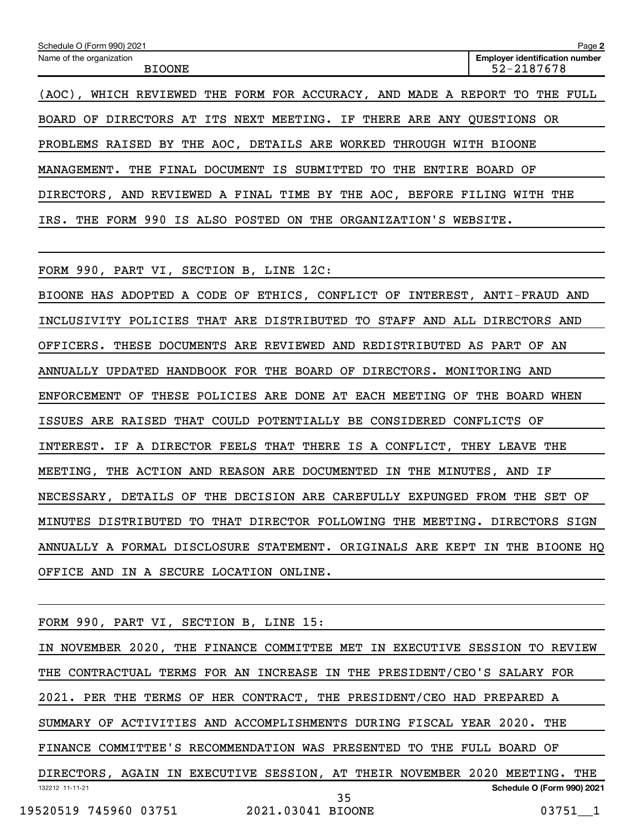| Schedule O (Form 990) 2021                                             | Page 2                                              |
|------------------------------------------------------------------------|-----------------------------------------------------|
| Name of the organization<br><b>BIOONE</b>                              | <b>Employer identification number</b><br>52-2187678 |
| WHICH REVIEWED THE FORM FOR ACCURACY, AND MADE A REPORT<br>$( AOC)$ ,  | FULL<br>TO<br>THE                                   |
| BOARD OF DIRECTORS AT ITS NEXT MEETING. IF THERE ARE ANY QUESTIONS OR  |                                                     |
| PROBLEMS RAISED BY THE AOC, DETAILS ARE WORKED<br>THROUGH WITH BIOONE  |                                                     |
| THE FINAL DOCUMENT IS SUBMITTED<br>TO.<br>THE<br>MANAGEMENT.<br>ENTIRE | BOARD OF                                            |
| DIRECTORS, AND REVIEWED A FINAL TIME BY THE AOC, BEFORE FILING         | THE<br>WITH                                         |
| THE FORM 990 IS ALSO POSTED ON THE ORGANIZATION'S WEBSITE.<br>IRS.     |                                                     |
|                                                                        |                                                     |
|                                                                        |                                                     |

FORM 990, PART VI, SECTION B, LINE 12C:

BIOONE HAS ADOPTED A CODE OF ETHICS, CONFLICT OF INTEREST, ANTI-FRAUD AND INCLUSIVITY POLICIES THAT ARE DISTRIBUTED TO STAFF AND ALL DIRECTORS AND OFFICERS. THESE DOCUMENTS ARE REVIEWED AND REDISTRIBUTED AS PART OF AN ANNUALLY UPDATED HANDBOOK FOR THE BOARD OF DIRECTORS. MONITORING AND ENFORCEMENT OF THESE POLICIES ARE DONE AT EACH MEETING OF THE BOARD WHEN ISSUES ARE RAISED THAT COULD POTENTIALLY BE CONSIDERED CONFLICTS OF INTEREST. IF A DIRECTOR FEELS THAT THERE IS A CONFLICT, THEY LEAVE THE MEETING, THE ACTION AND REASON ARE DOCUMENTED IN THE MINUTES, AND IF NECESSARY, DETAILS OF THE DECISION ARE CAREFULLY EXPUNGED FROM THE SET OF MINUTES DISTRIBUTED TO THAT DIRECTOR FOLLOWING THE MEETING. DIRECTORS SIGN ANNUALLY A FORMAL DISCLOSURE STATEMENT. ORIGINALS ARE KEPT IN THE BIOONE HQ OFFICE AND IN A SECURE LOCATION ONLINE.

132212 11-11-21 **Schedule O (Form 990) 2021** FORM 990, PART VI, SECTION B, LINE 15: IN NOVEMBER 2020, THE FINANCE COMMITTEE MET IN EXECUTIVE SESSION TO REVIEW THE CONTRACTUAL TERMS FOR AN INCREASE IN THE PRESIDENT/CEO'S SALARY FOR 2021. PER THE TERMS OF HER CONTRACT, THE PRESIDENT/CEO HAD PREPARED A SUMMARY OF ACTIVITIES AND ACCOMPLISHMENTS DURING FISCAL YEAR 2020. THE FINANCE COMMITTEE'S RECOMMENDATION WAS PRESENTED TO THE FULL BOARD OF DIRECTORS, AGAIN IN EXECUTIVE SESSION, AT THEIR NOVEMBER 2020 MEETING. THE 35

19520519 745960 03751 2021.03041 BIOONE 03751\_\_1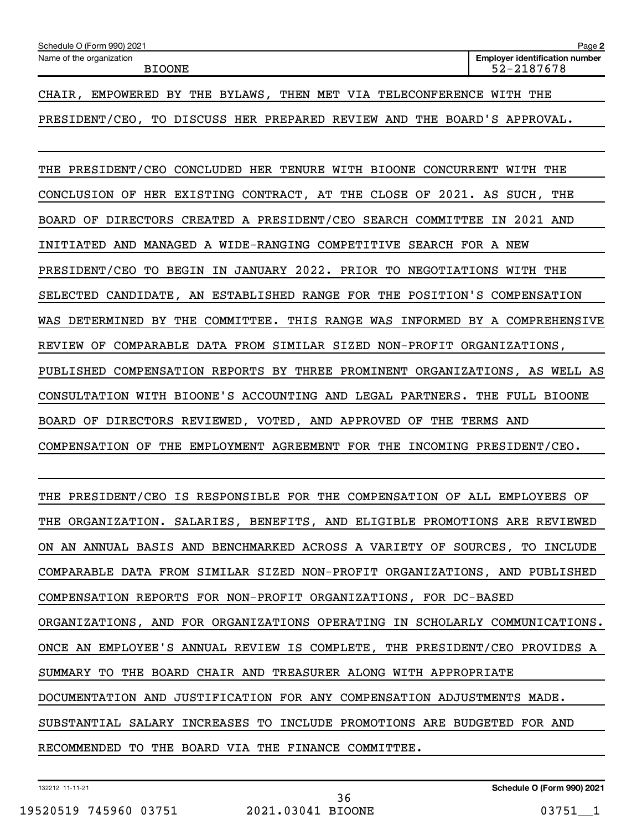| Schedule O (Form 990) 2021                | Page 2                                              |
|-------------------------------------------|-----------------------------------------------------|
| Name of the organization<br><b>BIOONE</b> | <b>Employer identification number</b><br>52-2187678 |
|                                           |                                                     |

CHAIR, EMPOWERED BY THE BYLAWS, THEN MET VIA TELECONFERENCE WITH THE PRESIDENT/CEO, TO DISCUSS HER PREPARED REVIEW AND THE BOARD'S APPROVAL.

THE PRESIDENT/CEO CONCLUDED HER TENURE WITH BIOONE CONCURRENT WITH THE CONCLUSION OF HER EXISTING CONTRACT, AT THE CLOSE OF 2021. AS SUCH, THE BOARD OF DIRECTORS CREATED A PRESIDENT/CEO SEARCH COMMITTEE IN 2021 AND INITIATED AND MANAGED A WIDE-RANGING COMPETITIVE SEARCH FOR A NEW PRESIDENT/CEO TO BEGIN IN JANUARY 2022. PRIOR TO NEGOTIATIONS WITH THE SELECTED CANDIDATE, AN ESTABLISHED RANGE FOR THE POSITION'S COMPENSATION WAS DETERMINED BY THE COMMITTEE. THIS RANGE WAS INFORMED BY A COMPREHENSIVE REVIEW OF COMPARABLE DATA FROM SIMILAR SIZED NON-PROFIT ORGANIZATIONS, PUBLISHED COMPENSATION REPORTS BY THREE PROMINENT ORGANIZATIONS, AS WELL AS CONSULTATION WITH BIOONE'S ACCOUNTING AND LEGAL PARTNERS. THE FULL BIOONE BOARD OF DIRECTORS REVIEWED, VOTED, AND APPROVED OF THE TERMS AND COMPENSATION OF THE EMPLOYMENT AGREEMENT FOR THE INCOMING PRESIDENT/CEO.

THE PRESIDENT/CEO IS RESPONSIBLE FOR THE COMPENSATION OF ALL EMPLOYEES OF THE ORGANIZATION. SALARIES, BENEFITS, AND ELIGIBLE PROMOTIONS ARE REVIEWED ON AN ANNUAL BASIS AND BENCHMARKED ACROSS A VARIETY OF SOURCES, TO INCLUDE COMPARABLE DATA FROM SIMILAR SIZED NON-PROFIT ORGANIZATIONS, AND PUBLISHED COMPENSATION REPORTS FOR NON-PROFIT ORGANIZATIONS, FOR DC-BASED ORGANIZATIONS, AND FOR ORGANIZATIONS OPERATING IN SCHOLARLY COMMUNICATIONS. ONCE AN EMPLOYEE'S ANNUAL REVIEW IS COMPLETE, THE PRESIDENT/CEO PROVIDES A SUMMARY TO THE BOARD CHAIR AND TREASURER ALONG WITH APPROPRIATE DOCUMENTATION AND JUSTIFICATION FOR ANY COMPENSATION ADJUSTMENTS MADE. SUBSTANTIAL SALARY INCREASES TO INCLUDE PROMOTIONS ARE BUDGETED FOR AND RECOMMENDED TO THE BOARD VIA THE FINANCE COMMITTEE.

132212 11-11-21